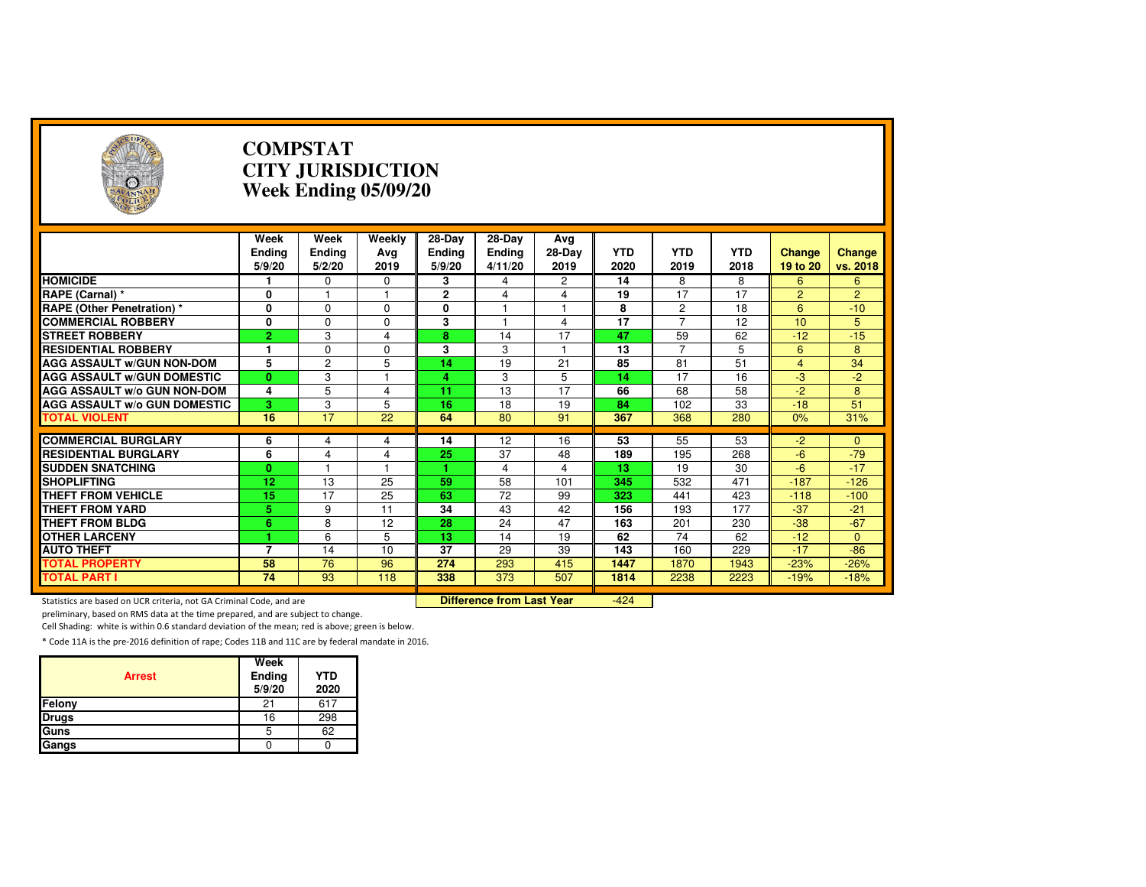| $(\cdot, \cdot)$                                                    |                                 | <b>COMPSTAT</b><br><b>CITY JURISDICTION</b><br>Week Ending 05/09/20 |                       |                                   |                                    |                       |                    |                    |                    |                           |                    |  |
|---------------------------------------------------------------------|---------------------------------|---------------------------------------------------------------------|-----------------------|-----------------------------------|------------------------------------|-----------------------|--------------------|--------------------|--------------------|---------------------------|--------------------|--|
|                                                                     | Week<br><b>Ending</b><br>5/9/20 | Week<br><b>Ending</b><br>5/2/20                                     | Weekly<br>Avg<br>2019 | 28-Day<br><b>Ending</b><br>5/9/20 | 28-Day<br><b>Ending</b><br>4/11/20 | Avg<br>28-Day<br>2019 | <b>YTD</b><br>2020 | <b>YTD</b><br>2019 | <b>YTD</b><br>2018 | <b>Change</b><br>19 to 20 | Change<br>vs. 2018 |  |
| <b>HOMICIDE</b>                                                     |                                 | 0                                                                   | 0                     | 3                                 | 4                                  | 2                     | 14                 | 8                  | 8                  | 6                         | 6                  |  |
| RAPE (Carnal) *                                                     | 0                               |                                                                     | 1                     | 2                                 | 4                                  | 4                     | 19                 | 17                 | 17                 | $\overline{2}$            | $\overline{2}$     |  |
| <b>RAPE (Other Penetration) *</b>                                   | $\overline{\mathbf{0}}$         | $\Omega$                                                            | $\Omega$              | 0                                 | $\overline{1}$                     | 1                     | 8                  | $\overline{2}$     | $\overline{18}$    | 6                         | $-10$              |  |
| <b>COMMERCIAL ROBBERY</b>                                           | 0                               | $\Omega$                                                            | $\Omega$              | 3                                 |                                    | 4                     | $\overline{17}$    | $\overline{7}$     | $\overline{12}$    | 10                        | 5                  |  |
| <b>STREET ROBBERY</b>                                               | $\overline{2}$                  | 3                                                                   | $\overline{4}$        | 8                                 | 14                                 | 17                    | 47                 | 59                 | 62                 | $-12$                     | $-15$              |  |
| <b>RESIDENTIAL ROBBERY</b>                                          | 1                               | $\Omega$                                                            | $\Omega$              | 3                                 | 3                                  | $\overline{1}$        | 13                 | $\overline{7}$     | 5                  | $6\overline{6}$           | 8                  |  |
| <b>AGG ASSAULT W/GUN NON-DOM</b>                                    | 5                               | $\overline{2}$                                                      | 5                     | $\overline{14}$                   | $\overline{19}$                    | 21                    | 85                 | $\overline{81}$    | 51                 | $\overline{4}$            | $\overline{34}$    |  |
| <b>AGG ASSAULT W/GUN DOMESTIC</b>                                   | $\mathbf{0}$                    | 3                                                                   | 1                     | 4                                 | 3                                  | 5                     | 14                 | 17                 | 16                 | $-3$                      | $-2$               |  |
| <b>AGG ASSAULT W/o GUN NON-DOM</b>                                  | 4                               | 5                                                                   | 4                     | 11                                | 13                                 | 17                    | 66                 | 68                 | 58                 | $-2$                      | 8                  |  |
| <b>AGG ASSAULT W/o GUN DOMESTIC</b>                                 | 3                               | 3                                                                   | 5                     | 16                                | 18                                 | 19                    | 84                 | 102                | 33                 | $-18$                     | 51                 |  |
| <b>TOTAL VIOLENT</b>                                                | 16                              | 17                                                                  | 22                    | 64                                | 80                                 | 91                    | 367                | 368                | 280                | 0%                        | 31%                |  |
|                                                                     |                                 |                                                                     |                       |                                   |                                    |                       |                    |                    |                    |                           |                    |  |
| <b>COMMERCIAL BURGLARY</b>                                          | 6                               | 4                                                                   | 4                     | 14                                | 12                                 | 16                    | 53                 | 55                 | 53                 | $-2$                      | $\Omega$           |  |
| <b>RESIDENTIAL BURGLARY</b>                                         | 6                               | $\overline{4}$                                                      | 4                     | 25                                | 37                                 | 48                    | 189                | 195                | 268                | $-6$                      | $-79$              |  |
| <b>SUDDEN SNATCHING</b>                                             | $\mathbf{0}$                    |                                                                     | 1                     |                                   | 4                                  | 4                     | 13                 | 19                 | 30                 | $-6$                      | $-17$              |  |
| <b>SHOPLIFTING</b>                                                  | $\overline{12}$                 | $\overline{13}$                                                     | $\overline{25}$       | 59                                | $\overline{58}$                    | 101                   | 345                | 532                | 471                | $-187$                    | $-126$             |  |
| <b>THEFT FROM VEHICLE</b>                                           | 15                              | 17                                                                  | 25                    | 63                                | 72                                 | 99                    | 323                | 441                | 423                | $-118$                    | $-100$             |  |
| <b>THEFT FROM YARD</b>                                              | 5                               | 9                                                                   | 11                    | 34                                | 43                                 | 42                    | 156                | 193                | 177                | $-37$                     | $-21$              |  |
| <b>THEFT FROM BLDG</b>                                              | $\overline{6}$                  | 8                                                                   | 12                    | 28                                | 24                                 | 47                    | 163                | 201                | 230                | $-38$                     | $-67$              |  |
| <b>OTHER LARCENY</b>                                                | 4                               | 6                                                                   | 5                     | 13                                | 14                                 | 19                    | 62                 | 74                 | 62                 | $-12$                     | $\mathbf{0}$       |  |
| <b>AUTO THEFT</b>                                                   | $\overline{7}$                  | 14                                                                  | 10                    | 37                                | 29                                 | 39                    | 143                | 160                | 229                | $-17$                     | $-86$              |  |
| <b>TOTAL PROPERTY</b>                                               | 58                              | 76                                                                  | 96                    | 274                               | 293                                | 415                   | 1447               | 1870               | 1943               | $-23%$                    | $-26%$             |  |
| <b>TOTAL PART I</b>                                                 | 74                              | 93                                                                  | 118                   | 338                               | $\overline{373}$                   | 507                   | 1814               | 2238               | 2223               | $-19%$                    | $-18%$             |  |
| Statistics are based on UCR criteria, not GA Criminal Code, and are |                                 |                                                                     |                       |                                   | <b>Difference from Last Year</b>   |                       | $-424$             |                    |                    |                           |                    |  |

Statistics are based on UCR criteria, not GA Criminal Code, and are **Difference from Last Year** 

preliminary, based on RMS data at the time prepared, and are subject to change.

Cell Shading: white is within 0.6 standard deviation of the mean; red is above; green is below.

| <b>Arrest</b> | Week<br>Ending<br>5/9/20 | <b>YTD</b><br>2020 |
|---------------|--------------------------|--------------------|
| Felony        | 21                       | 617                |
| <b>Drugs</b>  | 16                       | 298                |
| Guns          | 5                        | 62                 |
| Gangs         |                          |                    |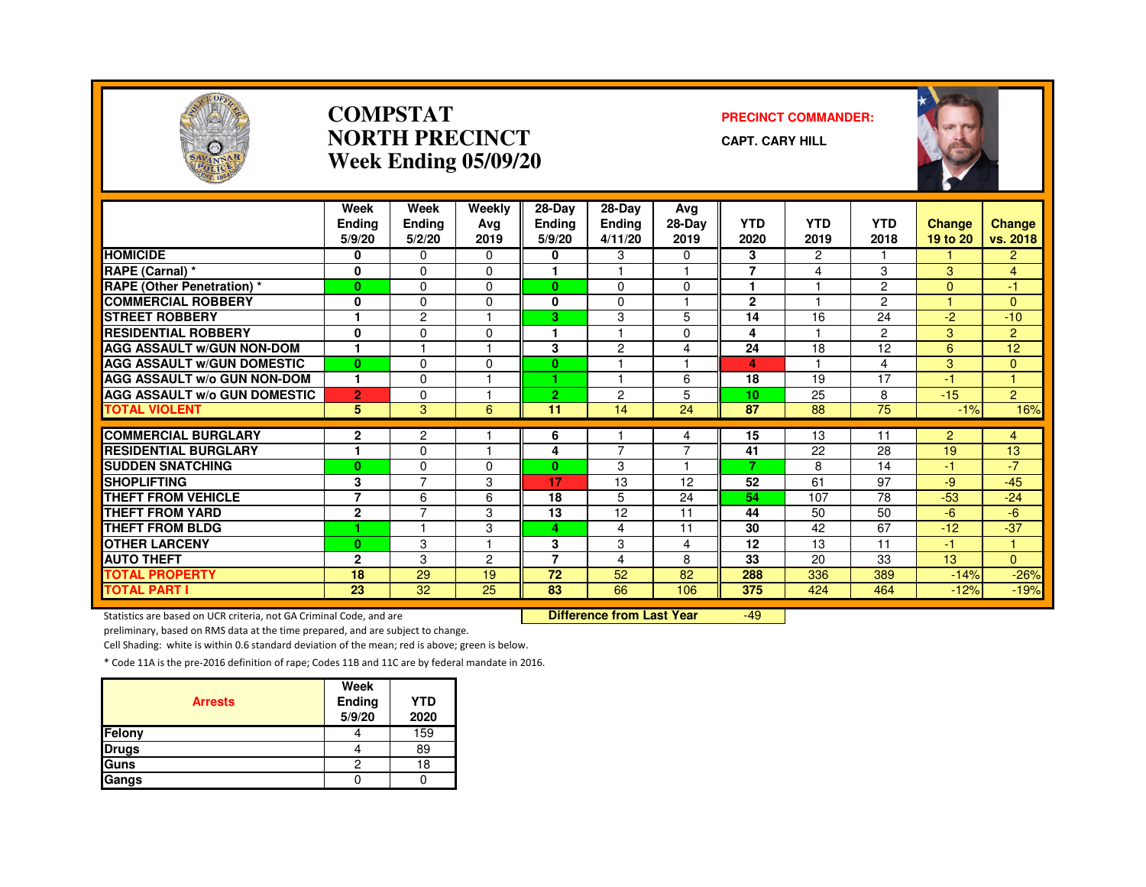

#### **COMPSTATNORTH PRECINCTWeek Ending 05/09/20**

#### **PRECINCT COMMANDER:**

**CAPT. CARY HILL**



|                                     | Week<br><b>Endina</b><br>5/9/20 | Week<br>Ending<br>5/2/20                  | Weekly<br>Ava<br>2019 | $28-Dav$<br><b>Ending</b><br>5/9/20 | 28-Day<br><b>Ending</b><br>4/11/20 | Ava<br>28-Day<br>2019    | <b>YTD</b><br>2020 | <b>YTD</b><br>2019 | <b>YTD</b><br>2018 | Change<br>19 to 20 | <b>Change</b><br>vs. 2018 |
|-------------------------------------|---------------------------------|-------------------------------------------|-----------------------|-------------------------------------|------------------------------------|--------------------------|--------------------|--------------------|--------------------|--------------------|---------------------------|
| <b>HOMICIDE</b>                     | 0                               | $\Omega$                                  | 0                     | 0                                   | 3                                  | 0                        | 3                  | $\overline{c}$     |                    |                    | $\overline{2}$            |
| RAPE (Carnal) *                     | $\mathbf 0$                     | $\Omega$                                  | $\Omega$              |                                     |                                    | 1                        | $\overline{7}$     | $\overline{4}$     | 3                  | 3                  | $\overline{4}$            |
| <b>RAPE (Other Penetration) *</b>   | $\bf{0}$                        | $\Omega$                                  | 0                     | $\bf{0}$                            | 0                                  | 0                        | 1                  |                    | $\overline{2}$     | $\Omega$           | Æ                         |
| <b>COMMERCIAL ROBBERY</b>           | 0                               | $\Omega$                                  | 0                     | $\mathbf{0}$                        | $\Omega$                           | н                        | $\mathbf{2}$       |                    | $\overline{2}$     |                    | $\Omega$                  |
| <b>STREET ROBBERY</b>               |                                 | $\overline{c}$                            |                       | 3                                   | 3                                  | 5                        | 14                 | 16                 | 24                 | $-2$               | $-10$                     |
| <b>RESIDENTIAL ROBBERY</b>          | $\bf{0}$                        | $\Omega$                                  | 0                     |                                     |                                    | $\Omega$                 | 4                  |                    | $\overline{2}$     | 3                  | $\overline{2}$            |
| <b>AGG ASSAULT W/GUN NON-DOM</b>    | $\mathbf{1}$                    |                                           |                       | 3                                   | 2                                  | 4                        | 24                 | 18                 | 12                 | 6                  | 12                        |
| <b>AGG ASSAULT W/GUN DOMESTIC</b>   | $\mathbf{0}$                    | $\Omega$                                  | 0                     | $\mathbf{0}$                        |                                    | $\overline{\phantom{a}}$ | 4                  | $\overline{1}$     | 4                  | 3                  | $\Omega$                  |
| <b>AGG ASSAULT W/o GUN NON-DOM</b>  | 1                               | $\Omega$                                  |                       | 1.                                  |                                    | 6                        | 18                 | 19                 | 17                 | $-1$               |                           |
| <b>AGG ASSAULT W/o GUN DOMESTIC</b> | $\overline{2}$                  | 0                                         |                       | 2                                   | 2                                  | 5                        | 10                 | 25                 | 8                  | $-15$              | $\overline{2}$            |
| <b>TOTAL VIOLENT</b>                | 5                               | 3                                         | 6                     | 11                                  | 14                                 | 24                       | 87                 | 88                 | 75                 | $-1%$              | 16%                       |
| <b>COMMERCIAL BURGLARY</b>          |                                 |                                           |                       |                                     |                                    |                          |                    |                    | 11                 |                    |                           |
|                                     | $\mathbf{2}$<br>и               | 2                                         |                       | 6                                   | $\overline{7}$                     | 4<br>7                   | 15                 | 13                 |                    | $\overline{2}$     | $\overline{4}$            |
| <b>RESIDENTIAL BURGLARY</b>         |                                 | $\Omega$                                  |                       | 4                                   |                                    | 1                        | 41<br>7            | 22                 | 28                 | 19                 | 13<br>$-7$                |
| <b>SUDDEN SNATCHING</b>             | $\bf{0}$                        | $\Omega$<br>$\overline{7}$                | 0                     | $\mathbf{0}$                        | 3                                  |                          |                    | 8                  | 14                 | -1                 |                           |
| <b>SHOPLIFTING</b>                  | 3<br>$\overline{7}$             |                                           | 3                     | 17                                  | 13                                 | 12                       | 52                 | 61                 | 97                 | $-9$               | $-45$                     |
| THEFT FROM VEHICLE                  |                                 | 6                                         | 6                     | 18                                  | 5                                  | 24                       | 54                 | 107                | 78                 | $-53$              | $-24$                     |
| <b>THEFT FROM YARD</b>              | $\overline{2}$                  | $\overline{7}$<br>$\overline{\mathbf{1}}$ | 3                     | 13                                  | 12                                 | 11                       | 44                 | 50                 | 50                 | $-6$               | -6                        |
| <b>THEFT FROM BLDG</b>              | ٠                               |                                           | 3                     | 4                                   | 4                                  | 11                       | 30                 | 42                 | 67                 | $-12$              | $-37$                     |
| <b>OTHER LARCENY</b>                | $\bf{0}$                        | 3                                         |                       | 3                                   | 3                                  | 4                        | 12                 | 13                 | 11                 | $-1$               |                           |
| <b>AUTO THEFT</b>                   | $\mathbf{2}$                    | 3                                         | $\mathbf{2}$          | $\overline{7}$                      | 4                                  | 8                        | 33                 | 20                 | 33                 | 13                 | $\overline{0}$            |
| <b>TOTAL PROPERTY</b>               | 18                              | 29                                        | 19                    | 72                                  | 52                                 | 82                       | 288                | 336                | 389                | $-14%$             | $-26%$                    |
| <b>TOTAL PART I</b>                 | 23                              | $\overline{32}$                           | 25                    | 83                                  | 66                                 | 106                      | 375                | 424                | 464                | $-12%$             | $-19%$                    |

Statistics are based on UCR criteria, not GA Criminal Code, and are **Difference from Last Year** 

-49

preliminary, based on RMS data at the time prepared, and are subject to change.

Cell Shading: white is within 0.6 standard deviation of the mean; red is above; green is below.

| <b>Arrests</b> | Week<br>Ending<br>5/9/20 | <b>YTD</b><br>2020 |
|----------------|--------------------------|--------------------|
| Felony         |                          | 159                |
| <b>Drugs</b>   |                          | 89                 |
| Guns           | ႒                        | 18                 |
| Gangs          |                          |                    |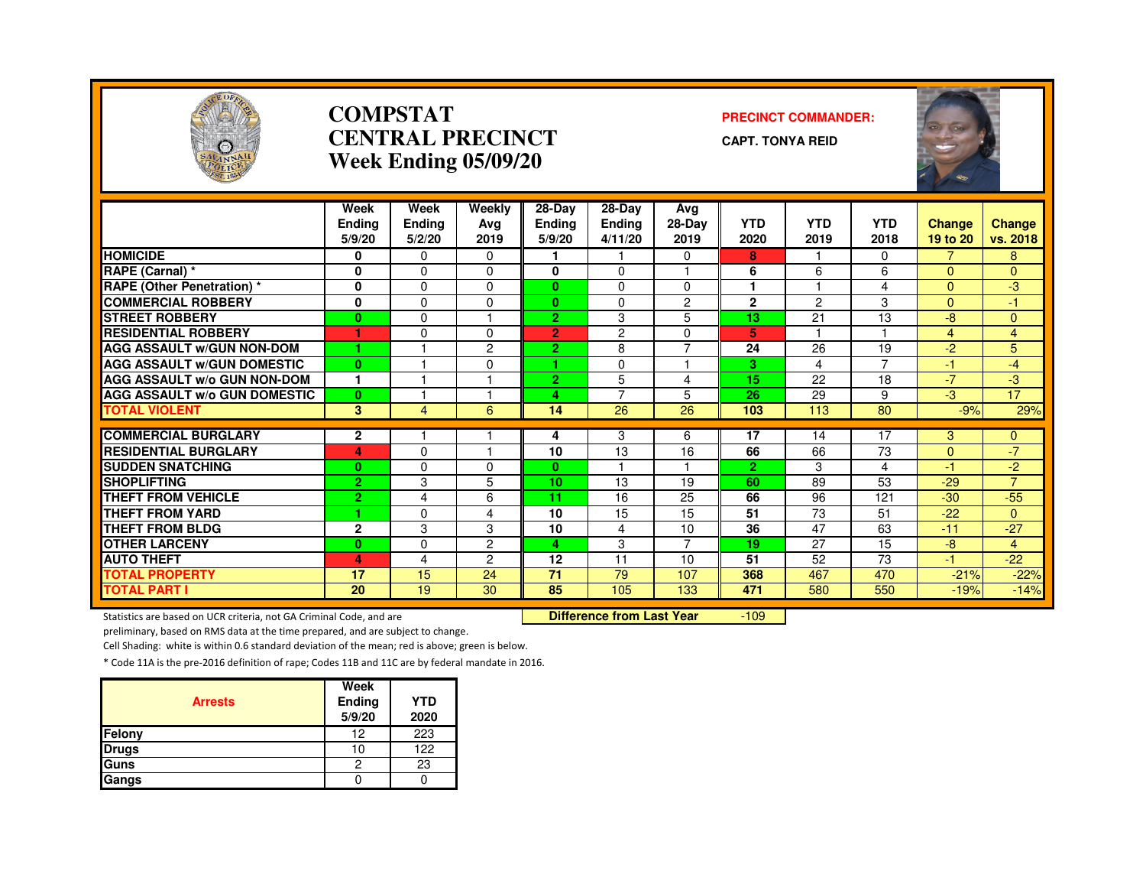

#### **COMPSTAT PRECINCT COMMANDER: CENTRAL PRECINCTWeek Ending 05/09/20**

**CAPT. TONYA REID**

| POLICE                              |                                 |                                 | Week Ending 05/09/20  |                                   |                                    |                         |                    |                    |                    | $\overline{A}$<br><b>RO</b> |                    |
|-------------------------------------|---------------------------------|---------------------------------|-----------------------|-----------------------------------|------------------------------------|-------------------------|--------------------|--------------------|--------------------|-----------------------------|--------------------|
|                                     | Week<br><b>Ending</b><br>5/9/20 | Week<br><b>Ending</b><br>5/2/20 | Weekly<br>Ava<br>2019 | 28-Day<br><b>Ending</b><br>5/9/20 | 28-Day<br><b>Ending</b><br>4/11/20 | Avg<br>$28-Dav$<br>2019 | <b>YTD</b><br>2020 | <b>YTD</b><br>2019 | <b>YTD</b><br>2018 | <b>Change</b><br>19 to 20   | Change<br>vs. 2018 |
| <b>HOMICIDE</b>                     | 0                               | 0                               | 0                     |                                   |                                    | 0                       | 8                  |                    | 0                  |                             | 8                  |
| RAPE (Carnal) *                     | $\mathbf{0}$                    | $\Omega$                        | $\Omega$              | $\mathbf{0}$                      | $\Omega$                           | $\overline{\mathbf{1}}$ | 6                  | 6                  | 6                  | $\Omega$                    | $\Omega$           |
| <b>RAPE (Other Penetration)</b> *   | 0                               | $\Omega$                        | $\Omega$              | $\mathbf{0}$                      | $\Omega$                           | $\Omega$                |                    |                    | 4                  | $\Omega$                    | $-3$               |
| <b>COMMERCIAL ROBBERY</b>           | 0                               | $\Omega$                        | $\Omega$              | $\mathbf{0}$                      | $\mathbf 0$                        | $\overline{c}$          | $\mathbf{2}$       | $\overline{c}$     | 3                  | $\Omega$                    | $-1$               |
| <b>STREET ROBBERY</b>               | $\bf{0}$                        | $\Omega$                        |                       | 2 <sup>1</sup>                    | 3                                  | 5                       | 13                 | 21                 | 13                 | $-8$                        | $\mathbf{0}$       |
| <b>RESIDENTIAL ROBBERY</b>          |                                 | $\Omega$                        | $\Omega$              | $\overline{2}$                    | $\overline{c}$                     | 0                       | 5.                 |                    |                    | 4                           | $\overline{4}$     |
| <b>AGG ASSAULT w/GUN NON-DOM</b>    |                                 |                                 | $\overline{c}$        | 2 <sup>1</sup>                    | 8                                  | $\overline{7}$          | 24                 | $\overline{26}$    | 19                 | $-2$                        | 5                  |
| <b>AGG ASSAULT W/GUN DOMESTIC</b>   | $\bf{0}$                        |                                 | $\Omega$              | 1.                                | $\Omega$                           |                         | 3.                 | 4                  | 7                  | $-1$                        | $-4$               |
| <b>AGG ASSAULT w/o GUN NON-DOM</b>  | 1                               |                                 |                       | $\overline{2}$                    | 5                                  | 4                       | 15                 | 22                 | 18                 | $-7$                        | $-3$               |
| <b>AGG ASSAULT w/o GUN DOMESTIC</b> | $\bf{0}$                        |                                 |                       | 4                                 | 7                                  | 5                       | 26                 | 29                 | 9                  | $-3$                        | 17                 |
| <b>TOTAL VIOLENT</b>                | $\overline{3}$                  | $\overline{4}$                  | 6                     | 14                                | 26                                 | 26                      | 103                | 113                | 80                 | $-9%$                       | 29%                |
|                                     |                                 |                                 |                       |                                   |                                    |                         |                    |                    |                    |                             |                    |
| <b>COMMERCIAL BURGLARY</b>          | $\mathbf{2}$                    |                                 |                       | 4                                 | 3                                  | 6                       | 17                 | 14                 | 17                 | 3                           | $\mathbf{0}$       |
| <b>RESIDENTIAL BURGLARY</b>         | 4                               | $\Omega$                        |                       | 10                                | $\overline{13}$                    | 16                      | 66                 | 66                 | 73                 | $\mathbf{0}$                | $-7$               |
| <b>SUDDEN SNATCHING</b>             | $\bf{0}$                        | $\Omega$                        | $\Omega$              | $\mathbf{0}$                      |                                    |                         | $\overline{2}$     | 3                  | $\overline{4}$     | $-1$                        | $-2$               |
| <b>SHOPLIFTING</b>                  | $\overline{2}$                  | 3                               | 5                     | 10 <sub>1</sub>                   | 13                                 | 19                      | 60                 | 89                 | 53                 | $-29$                       | $\overline{7}$     |
| <b>THEFT FROM VEHICLE</b>           | $\overline{2}$                  | 4                               | 6                     | 11                                | 16                                 | 25                      | 66                 | 96                 | 121                | $-30$                       | $-55$              |
| <b>THEFT FROM YARD</b>              |                                 | $\Omega$                        | 4                     | 10                                | 15                                 | 15                      | 51                 | 73                 | 51                 | $-22$                       | $\Omega$           |
| <b>THEFT FROM BLDG</b>              | $\mathbf{2}$                    | 3                               | 3                     | 10                                | 4                                  | 10                      | 36                 | 47                 | 63                 | $-11$                       | $-27$              |
| <b>OTHER LARCENY</b>                | $\bf{0}$                        | $\mathbf 0$                     | $\overline{c}$        | 4.                                | 3                                  | $\overline{7}$          | 19                 | 27                 | 15                 | $-8$                        | $\overline{4}$     |
| <b>AUTO THEFT</b>                   | 4                               | 4                               | $\overline{c}$        | 12                                | 11                                 | 10                      | 51                 | 52                 | 73                 | $-1$                        | $-22$              |
| <b>TOTAL PROPERTY</b>               | 17                              | 15                              | 24                    | $\overline{71}$                   | 79                                 | 107                     | 368                | 467                | 470                | $-21%$                      | $-22%$             |
| <b>TOTAL PART I</b>                 | 20                              | 19                              | 30                    | 85                                | 105                                | 133                     | 471                | 580                | 550                | $-19%$                      | $-14%$             |

Statistics are based on UCR criteria, not GA Criminal Code, and are **Difference from Last Year** 

-109

preliminary, based on RMS data at the time prepared, and are subject to change.

Cell Shading: white is within 0.6 standard deviation of the mean; red is above; green is below.

| <b>Arrests</b> | Week<br>Ending<br>5/9/20 | <b>YTD</b><br>2020 |
|----------------|--------------------------|--------------------|
| Felony         | 12                       | 223                |
| <b>Drugs</b>   | 10                       | 122                |
| Guns           | 2                        | 23                 |
| Gangs          |                          |                    |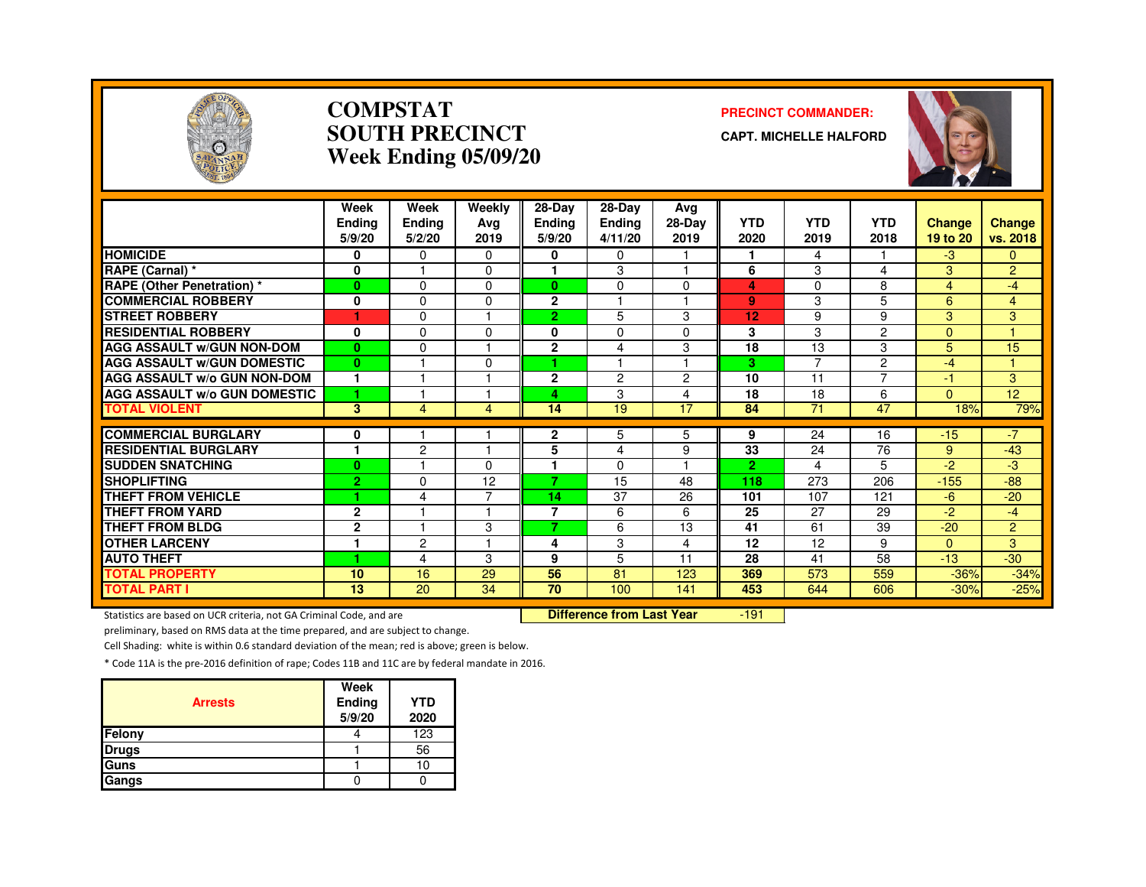

#### **COMPSTATSOUTH PRECINCTWeek Ending 05/09/20**

#### **PRECINCT COMMANDER:**

**CAPT. MICHELLE HALFORD**



|                                     | Week<br><b>Ending</b><br>5/9/20 | Week<br>Ending<br>5/2/20 | Weekly<br>Avg<br>2019 | 28-Day<br><b>Ending</b><br>5/9/20 | $28-Dav$<br><b>Ending</b><br>4/11/20 | Ava<br>28-Day<br>2019 | <b>YTD</b><br>2020 | <b>YTD</b><br>2019 | <b>YTD</b><br>2018 | <b>Change</b><br>19 to 20 | <b>Change</b><br>vs. 2018 |
|-------------------------------------|---------------------------------|--------------------------|-----------------------|-----------------------------------|--------------------------------------|-----------------------|--------------------|--------------------|--------------------|---------------------------|---------------------------|
| <b>HOMICIDE</b>                     | 0                               | $\Omega$                 | $\Omega$              | 0                                 | $\Omega$                             |                       | 1                  | 4                  |                    | $-3$                      | $\mathbf{0}$              |
| RAPE (Carnal) *                     | $\mathbf 0$                     |                          | $\Omega$              | 1                                 | 3                                    |                       | 6                  | 3                  | 4                  | 3                         | $\overline{2}$            |
| <b>RAPE (Other Penetration)</b> *   | $\mathbf{0}$                    | $\Omega$                 | $\Omega$              | 0                                 | $\Omega$                             | $\Omega$              | 4                  | 0                  | 8                  | 4                         | $-4$                      |
| <b>COMMERCIAL ROBBERY</b>           | 0                               | $\Omega$                 | $\Omega$              | $\mathbf{2}$                      |                                      |                       | 9                  | 3                  | 5                  | 6                         | $\overline{4}$            |
| <b>STREET ROBBERY</b>               | 1                               | $\mathbf{0}$             |                       | $\overline{2}$                    | 5                                    | 3                     | 12                 | 9                  | 9                  | 3                         | 3                         |
| <b>RESIDENTIAL ROBBERY</b>          | 0                               | $\mathbf{0}$             | O                     | 0                                 | $\Omega$                             | $\Omega$              | 3                  | 3                  | 2                  | $\Omega$                  |                           |
| <b>AGG ASSAULT W/GUN NON-DOM</b>    | $\mathbf{0}$                    | $\mathbf 0$              |                       | $\overline{2}$                    | 4                                    | 3                     | 18                 | 13                 | 3                  | 5                         | 15                        |
| <b>AGG ASSAULT W/GUN DOMESTIC</b>   | $\bf{0}$                        |                          | $\Omega$              | ٠                                 |                                      |                       | 3                  | $\overline{7}$     | 2                  | $-4$                      | и                         |
| <b>AGG ASSAULT w/o GUN NON-DOM</b>  | 1                               |                          |                       | $\overline{2}$                    | $\overline{2}$                       | $\overline{2}$        | 10                 | 11                 | 7                  | -1                        | $\overline{3}$            |
| <b>AGG ASSAULT w/o GUN DOMESTIC</b> | 1                               |                          |                       | 4                                 | 3                                    | $\overline{4}$        | 18                 | 18                 | 6                  | $\Omega$                  | 12 <sub>2</sub>           |
| <b>TOTAL VIOLENT</b>                | $\overline{3}$                  | 4                        | 4                     | 14                                | 19                                   | 17                    | 84                 | 71                 | 47                 | 18%                       | 79%                       |
| <b>COMMERCIAL BURGLARY</b>          | 0                               |                          |                       | 2                                 | 5                                    | 5                     | 9                  | 24                 | 16                 | $-15$                     | $-7$                      |
| <b>RESIDENTIAL BURGLARY</b>         | и                               | $\overline{2}$           | -1                    | 5                                 | 4                                    | 9                     | 33                 | 24                 | 76                 | 9                         | $-43$                     |
| <b>SUDDEN SNATCHING</b>             | $\bf{0}$                        |                          | 0                     | 1                                 | $\Omega$                             |                       | $\overline{2}$     | 4                  | 5                  | $-2$                      | -3                        |
| <b>SHOPLIFTING</b>                  | $\overline{2}$                  | $\Omega$                 | 12                    | 7                                 | 15                                   | 48                    | 118                | 273                | 206                | $-155$                    | $-88$                     |
| THEFT FROM VEHICLE                  | 4.                              | 4                        | ⇁                     | 14                                | 37                                   | 26                    | 101                | 107                | 121                | -6                        | $-20$                     |
| <b>THEFT FROM YARD</b>              | $\mathbf{2}$                    |                          |                       | $\overline{7}$                    | 6                                    | 6                     | 25                 | 27                 | 29                 | $-2$                      | $-4$                      |
| <b>THEFT FROM BLDG</b>              | $\mathbf{2}$                    |                          | 3                     | 7                                 | 6                                    | 13                    | 41                 | 61                 | 39                 | $-20$                     | $\overline{2}$            |
| <b>OTHER LARCENY</b>                | 1                               | $\overline{2}$           |                       | 4                                 | 3                                    | 4                     | 12                 | 12                 | 9                  | $\Omega$                  | 3                         |
| <b>AUTO THEFT</b>                   | 1                               | 4                        | 3                     | 9                                 | 5                                    | 11                    | 28                 | 41                 | 58                 | $-13$                     | $-30$                     |
| <b>TOTAL PROPERTY</b>               | 10                              | 16                       | 29                    | 56                                | 81                                   | 123                   | 369                | 573                | 559                | $-36%$                    | $-34%$                    |
| <b>TOTAL PART I</b>                 | 13                              | 20                       | 34                    | 70                                | 100                                  | 141                   | 453                | 644                | 606                | $-30%$                    | $-25%$                    |

Statistics are based on UCR criteria, not GA Criminal Code, and are **Difference from Last Year** 

-191

preliminary, based on RMS data at the time prepared, and are subject to change.

Cell Shading: white is within 0.6 standard deviation of the mean; red is above; green is below.

| <b>Arrests</b> | Week<br>Ending<br>5/9/20 | <b>YTD</b><br>2020 |
|----------------|--------------------------|--------------------|
| Felony         |                          | 123                |
| <b>Drugs</b>   |                          | 56                 |
| Guns           |                          | 10                 |
| Gangs          |                          |                    |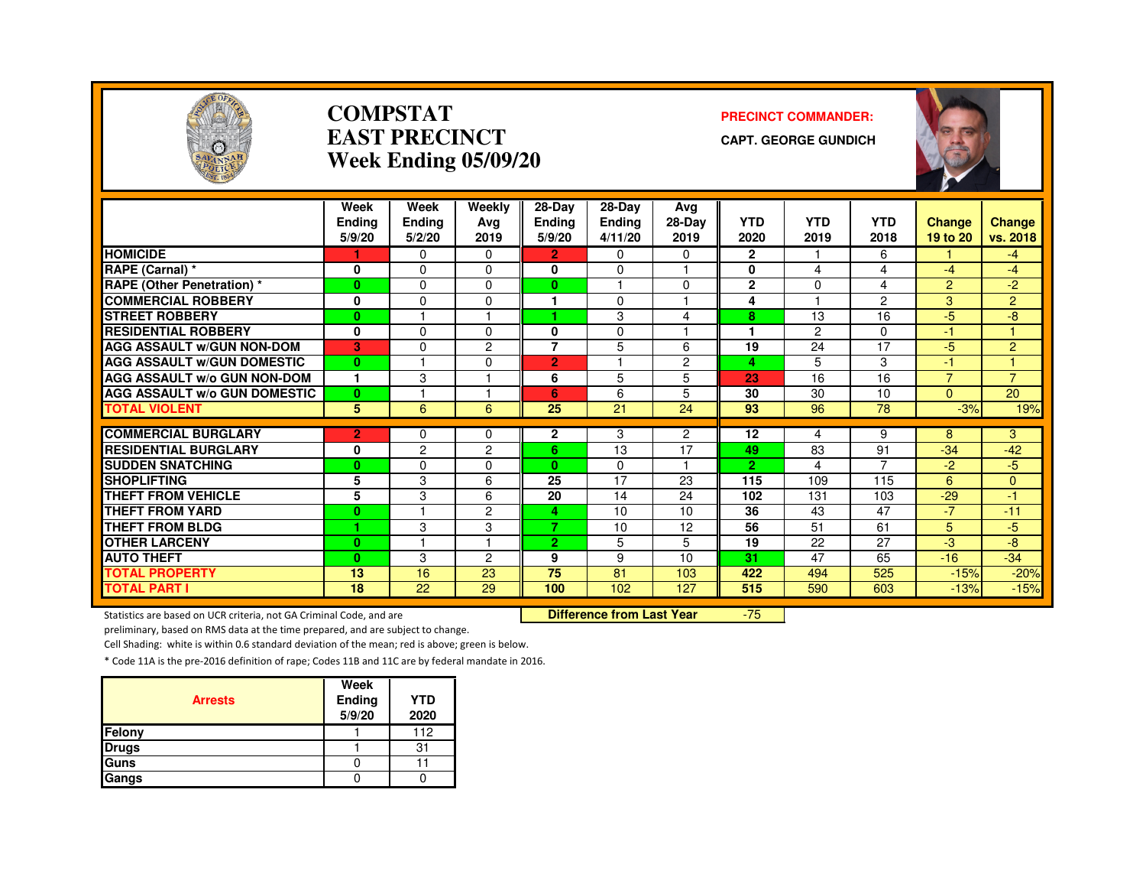

#### **COMPSTATEAST PRECINCTWeek Ending 05/09/20**

#### **PRECINCT COMMANDER:**

**CAPT. GEORGE GUNDICH**



|                                     | Week           | Week           | Weekly         | 28-Day                  | $28-Dav$             | Avg            |                 |                |                      |                |                |
|-------------------------------------|----------------|----------------|----------------|-------------------------|----------------------|----------------|-----------------|----------------|----------------------|----------------|----------------|
|                                     | <b>Endina</b>  | Ending         | Ava            | <b>Ending</b>           | Ending               | 28-Day         | <b>YTD</b>      | <b>YTD</b>     | <b>YTD</b>           | Change         | <b>Change</b>  |
|                                     | 5/9/20         | 5/2/20         | 2019           | 5/9/20                  | 4/11/20              | 2019           | 2020            | 2019           | 2018                 | 19 to 20       | vs. 2018       |
| <b>HOMICIDE</b>                     |                | $\Omega$       | $\Omega$       | $\overline{2}$          | 0                    | 0              | $\mathbf{2}$    |                | 6                    |                | $-4$           |
| RAPE (Carnal) *                     | 0              | $\Omega$       | $\Omega$       | 0                       | 0                    | ٠              | 0               | 4              | 4                    | $-4$           | $-4$           |
| <b>RAPE (Other Penetration) *</b>   | $\mathbf{0}$   | $\Omega$       | $\Omega$       | $\mathbf{0}$            | $\blacktriangleleft$ | $\Omega$       | $\mathbf{2}$    | $\Omega$       | 4                    | $\overline{2}$ | $-2$           |
| <b>COMMERCIAL ROBBERY</b>           | 0              | $\Omega$       | $\Omega$       |                         | 0                    | ٠              | 4               |                | $\overline{2}$       | 3              | $\overline{2}$ |
| <b>STREET ROBBERY</b>               | $\bf{0}$       |                |                |                         | 3                    | 4              | 8               | 13             | 16                   | $-5$           | -8             |
| <b>RESIDENTIAL ROBBERY</b>          | 0              | $\Omega$       | $\Omega$       | 0                       | 0                    |                |                 | $\overline{c}$ | $\Omega$             | $-1$           |                |
| <b>AGG ASSAULT W/GUN NON-DOM</b>    | в.             | $\Omega$       | 2              | $\overline{7}$          | 5                    | 6              | 19              | 24             | $\overline{17}$      | $-5$           | $\overline{2}$ |
| <b>AGG ASSAULT W/GUN DOMESTIC</b>   | $\bf{0}$       |                | $\Omega$       | $\overline{2}$          |                      | $\overline{c}$ | 4               | 5              | 3                    | $-1$           |                |
| <b>AGG ASSAULT w/o GUN NON-DOM</b>  | $\mathbf{1}$   | 3              |                | 6                       | 5                    | 5              | 23              | 16             | 16                   | $\overline{7}$ | $\overline{7}$ |
| <b>AGG ASSAULT W/o GUN DOMESTIC</b> | $\mathbf{0}$   |                |                | 6                       | 6                    | 5              | 30              | 30             | 10                   | $\Omega$       | 20             |
| <b>TOTAL VIOLENT</b>                | 5              | 6              | 6              | 25                      | 21                   | 24             | 93              | 96             | 78                   | $-3%$          | 19%            |
|                                     |                |                |                |                         |                      |                |                 |                |                      |                |                |
| <b>COMMERCIAL BURGLARY</b>          | $\overline{2}$ | $\Omega$       | $\Omega$       | $\mathbf{2}$            | 3                    | $\overline{2}$ | 12              | 4              | 9                    | 8              | 3              |
| <b>RESIDENTIAL BURGLARY</b>         | 0              | $\overline{c}$ | $\overline{2}$ | 6                       | 13                   | 17             | 49              | 83             | 91<br>$\overline{7}$ | $-34$          | $-42$          |
| <b>SUDDEN SNATCHING</b>             | $\bf{0}$       | $\Omega$       | $\Omega$       | $\mathbf{0}$            | 0                    | 1              | $\overline{2}$  | 4              |                      | $-2$           | $-5$           |
| <b>SHOPLIFTING</b>                  | 5              | 3              | 6              | 25                      | 17                   | 23             | 115             | 109            | 115                  | 6              | 0              |
| <b>THEFT FROM VEHICLE</b>           | 5              | 3              | 6              | 20                      | 14                   | 24             | 102             | 131            | 103                  | $-29$          | -1             |
| <b>THEFT FROM YARD</b>              | $\bf{0}$       |                | $\overline{2}$ | 4                       | 10                   | 10             | $\overline{36}$ | 43             | $\overline{47}$      | $-7$           | $-11$          |
| <b>THEFT FROM BLDG</b>              | ٠              | 3              | 3              | $\overline{\mathbf{z}}$ | 10                   | 12             | 56              | 51             | 61                   | 5              | $-5$           |
| <b>OTHER LARCENY</b>                | $\bf{0}$       |                | и              | $\mathbf{2}$            | 5                    | 5              | 19              | 22             | 27                   | $-3$           | -8             |
| <b>AUTO THEFT</b>                   | $\bf{0}$       | 3              | 2              | 9                       | 9                    | 10             | 31              | 47             | 65                   | $-16$          | $-34$          |
| <b>TOTAL PROPERTY</b>               | 13             | 16             | 23             | 75                      | 81                   | 103            | 422             | 494            | 525                  | $-15%$         | $-20%$         |
| <b>TOTAL PART I</b>                 | 18             | 22             | 29             | 100                     | 102                  | 127            | 515             | 590            | 603                  | $-13%$         | $-15%$         |

Statistics are based on UCR criteria, not GA Criminal Code, and are **Difference from Last Year** 

-75

preliminary, based on RMS data at the time prepared, and are subject to change.

Cell Shading: white is within 0.6 standard deviation of the mean; red is above; green is below.

| <b>Arrests</b> | Week<br>Ending<br>5/9/20 | <b>YTD</b><br>2020 |
|----------------|--------------------------|--------------------|
| Felony         |                          | 112                |
| <b>Drugs</b>   |                          | 31                 |
| Guns           |                          |                    |
| Gangs          |                          |                    |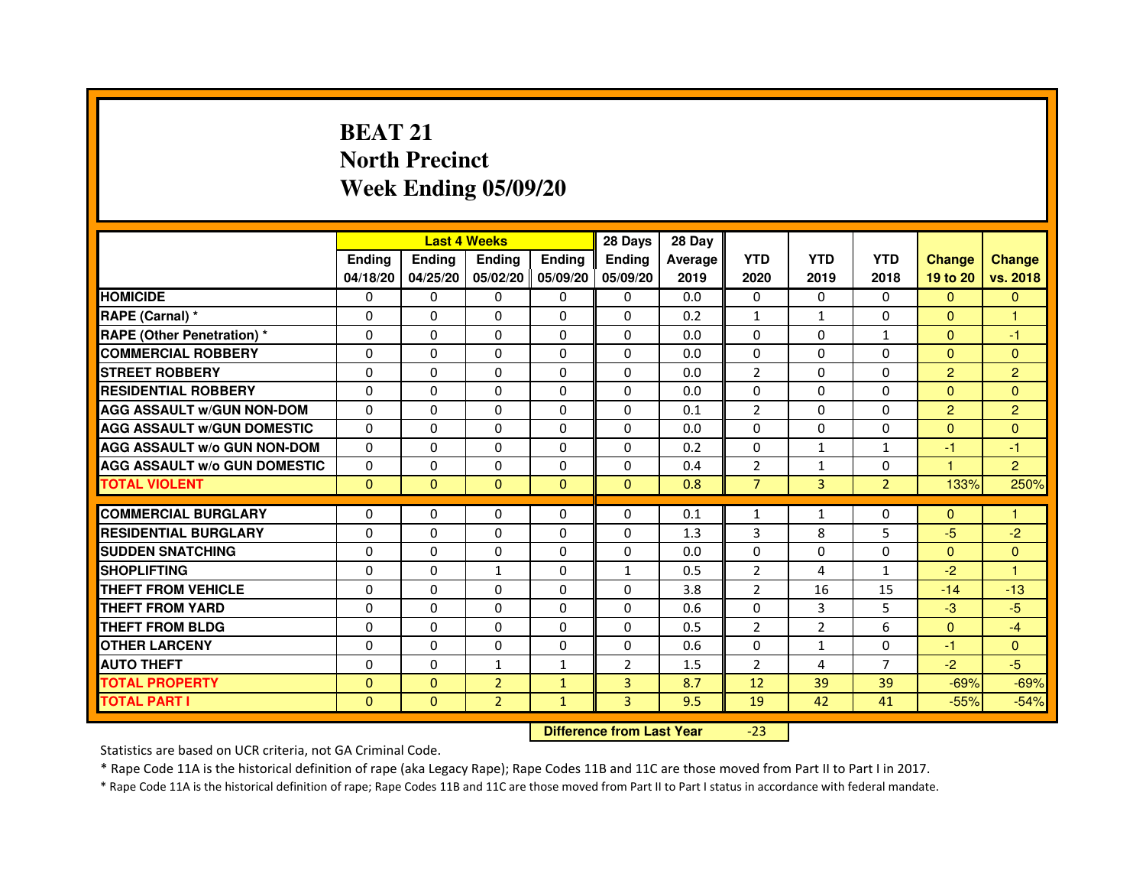# **BEAT 21 North PrecinctWeek Ending 05/09/20**

|                                     |               | <b>Last 4 Weeks</b> |                                  |               | 28 Days        | 28 Day  |                |                |                |                |                |
|-------------------------------------|---------------|---------------------|----------------------------------|---------------|----------------|---------|----------------|----------------|----------------|----------------|----------------|
|                                     | <b>Ending</b> | <b>Ending</b>       | <b>Ending</b>                    | <b>Ending</b> | <b>Ending</b>  | Average | <b>YTD</b>     | <b>YTD</b>     | <b>YTD</b>     | <b>Change</b>  | <b>Change</b>  |
|                                     | 04/18/20      | 04/25/20            | 05/02/20                         | 05/09/20      | 05/09/20       | 2019    | 2020           | 2019           | 2018           | 19 to 20       | vs. 2018       |
| <b>HOMICIDE</b>                     | $\mathbf{0}$  | $\Omega$            | $\Omega$                         | $\Omega$      | 0              | 0.0     | $\Omega$       | $\Omega$       | 0              | $\Omega$       | $\Omega$       |
| RAPE (Carnal) *                     | 0             | $\Omega$            | 0                                | $\Omega$      | $\mathbf{0}$   | 0.2     | $\mathbf{1}$   | $\mathbf{1}$   | $\Omega$       | $\mathbf{0}$   | 1              |
| <b>RAPE (Other Penetration) *</b>   | $\mathbf 0$   | 0                   | $\Omega$                         | $\Omega$      | $\Omega$       | 0.0     | $\Omega$       | $\Omega$       | $\mathbf{1}$   | $\Omega$       | $-1$           |
| <b>COMMERCIAL ROBBERY</b>           | $\mathbf 0$   | $\mathbf{0}$        | $\Omega$                         | $\mathbf{0}$  | $\mathbf{0}$   | 0.0     | $\mathbf{0}$   | $\Omega$       | $\Omega$       | $\Omega$       | $\Omega$       |
| <b>STREET ROBBERY</b>               | $\Omega$      | $\Omega$            | $\Omega$                         | $\Omega$      | $\Omega$       | 0.0     | 2              | $\Omega$       | $\Omega$       | $\overline{2}$ | $\overline{2}$ |
| <b>RESIDENTIAL ROBBERY</b>          | 0             | $\Omega$            | 0                                | $\Omega$      | $\Omega$       | 0.0     | $\Omega$       | $\Omega$       | $\Omega$       | $\Omega$       | $\Omega$       |
| <b>AGG ASSAULT W/GUN NON-DOM</b>    | $\Omega$      | 0                   | $\Omega$                         | $\Omega$      | $\Omega$       | 0.1     | $\overline{2}$ | $\Omega$       | $\Omega$       | $\overline{2}$ | $\overline{2}$ |
| <b>AGG ASSAULT W/GUN DOMESTIC</b>   | $\Omega$      | $\Omega$            | $\Omega$                         | $\Omega$      | $\Omega$       | 0.0     | $\Omega$       | $\Omega$       | $\Omega$       | $\Omega$       | $\Omega$       |
| <b>AGG ASSAULT W/o GUN NON-DOM</b>  | $\Omega$      | 0                   | 0                                | $\mathbf{0}$  | 0              | 0.2     | 0              | $\mathbf{1}$   | $\mathbf{1}$   | $-1$           | $-1$           |
| <b>AGG ASSAULT W/o GUN DOMESTIC</b> | $\Omega$      | 0                   | 0                                | $\Omega$      | $\Omega$       | 0.4     | $\overline{2}$ | $\mathbf{1}$   | $\Omega$       | 1              | $\overline{2}$ |
| <b>TOTAL VIOLENT</b>                | $\mathbf{0}$  | $\mathbf{0}$        | $\mathbf{0}$                     | $\mathbf{0}$  | $\mathbf{0}$   | 0.8     | $\overline{7}$ | $\overline{3}$ | $\overline{2}$ | 133%           | 250%           |
| <b>COMMERCIAL BURGLARY</b>          | 0             | 0                   | 0                                | $\mathbf{0}$  | 0              | 0.1     | 1              | $\mathbf{1}$   | 0              | $\Omega$       | 1              |
| <b>RESIDENTIAL BURGLARY</b>         | $\Omega$      | $\Omega$            | $\Omega$                         | $\mathbf{0}$  | $\Omega$       | 1.3     | 3              | 8              | 5              | $-5$           | $-2$           |
| <b>SUDDEN SNATCHING</b>             | $\Omega$      | $\Omega$            | $\Omega$                         | $\Omega$      | $\Omega$       | 0.0     | $\Omega$       | $\Omega$       | $\Omega$       | $\Omega$       | $\Omega$       |
| <b>SHOPLIFTING</b>                  | 0             | 0                   | 1                                | $\mathbf{0}$  | $\mathbf{1}$   | 0.5     | 2              | 4              | $\mathbf{1}$   | $-2$           | 1              |
| THEFT FROM VEHICLE                  | 0             | $\Omega$            | 0                                | $\Omega$      | 0              | 3.8     | $\overline{2}$ | 16             | 15             | $-14$          | $-13$          |
| THEFT FROM YARD                     | $\mathbf 0$   | 0                   | $\Omega$                         | $\mathbf{0}$  | $\Omega$       | 0.6     | $\Omega$       | 3              | 5              | $-3$           | $-5$           |
| <b>THEFT FROM BLDG</b>              | 0             | $\Omega$            | 0                                | $\mathbf{0}$  | $\Omega$       | 0.5     | 2              | $\overline{2}$ | 6              | $\Omega$       | $-4$           |
| <b>OTHER LARCENY</b>                | 0             | $\Omega$            | 0                                | $\mathbf{0}$  | $\Omega$       | 0.6     | $\Omega$       | $\mathbf{1}$   | $\Omega$       | $-1$           | $\Omega$       |
| <b>AUTO THEFT</b>                   | $\Omega$      | $\Omega$            | $\mathbf{1}$                     | $\mathbf{1}$  | $\overline{2}$ | 1.5     | $\overline{2}$ | 4              | $\overline{7}$ | $-2$           | $-5$           |
| <b>TOTAL PROPERTY</b>               | $\Omega$      | $\mathbf{0}$        | $\overline{2}$                   | $\mathbf{1}$  | 3              | 8.7     | 12             | 39             | 39             | $-69%$         | $-69%$         |
| <b>TOTAL PART I</b>                 | $\mathbf{0}$  | $\mathbf{0}$        | $\overline{2}$                   | $\mathbf{1}$  | 3              | 9.5     | 19             | 42             | 41             | $-55%$         | $-54%$         |
|                                     |               |                     | <b>Difference from Last Year</b> |               | $-23$          |         |                |                |                |                |                |

Statistics are based on UCR criteria, not GA Criminal Code.

\* Rape Code 11A is the historical definition of rape (aka Legacy Rape); Rape Codes 11B and 11C are those moved from Part II to Part I in 2017.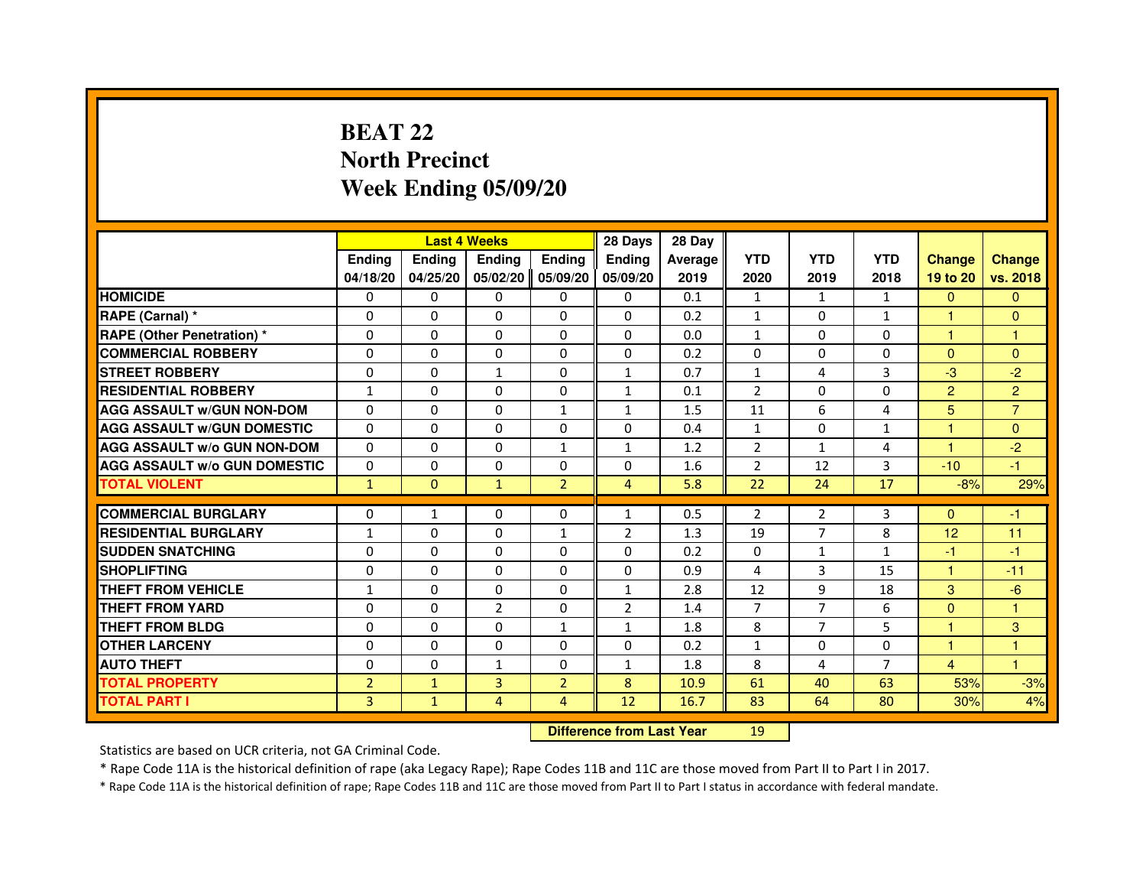# **BEAT 22 North PrecinctWeek Ending 05/09/20**

|                                     |                |                                  | <b>Last 4 Weeks</b> |                | 28 Days        | 28 Day  |                |                |                |                |                |
|-------------------------------------|----------------|----------------------------------|---------------------|----------------|----------------|---------|----------------|----------------|----------------|----------------|----------------|
|                                     | <b>Ending</b>  | <b>Ending</b>                    | <b>Ending</b>       | <b>Ending</b>  | <b>Ending</b>  | Average | <b>YTD</b>     | <b>YTD</b>     | <b>YTD</b>     | <b>Change</b>  | <b>Change</b>  |
|                                     | 04/18/20       | 04/25/20                         | 05/02/20            | 05/09/20       | 05/09/20       | 2019    | 2020           | 2019           | 2018           | 19 to 20       | vs. 2018       |
| <b>HOMICIDE</b>                     | $\Omega$       | $\Omega$                         | $\Omega$            | $\Omega$       | 0              | 0.1     | $\mathbf{1}$   | $\mathbf{1}$   | $\mathbf{1}$   | $\Omega$       | $\mathbf{0}$   |
| RAPE (Carnal) *                     | 0              | 0                                | 0                   | 0              | 0              | 0.2     | $\mathbf{1}$   | 0              | $\mathbf{1}$   | 1              | $\Omega$       |
| <b>RAPE (Other Penetration) *</b>   | $\Omega$       | $\Omega$                         | $\Omega$            | $\Omega$       | $\Omega$       | 0.0     | $\mathbf{1}$   | $\Omega$       | $\Omega$       | $\mathbf{1}$   | $\mathbf{1}$   |
| <b>COMMERCIAL ROBBERY</b>           | $\Omega$       | $\Omega$                         | $\Omega$            | $\Omega$       | $\Omega$       | 0.2     | $\Omega$       | $\Omega$       | $\Omega$       | $\Omega$       | $\Omega$       |
| <b>STREET ROBBERY</b>               | $\Omega$       | $\Omega$                         | $\mathbf{1}$        | $\Omega$       | $\mathbf{1}$   | 0.7     | $\mathbf{1}$   | 4              | 3              | $-3$           | $-2$           |
| <b>RESIDENTIAL ROBBERY</b>          | $\mathbf{1}$   | $\Omega$                         | $\Omega$            | $\Omega$       | $\mathbf{1}$   | 0.1     | $\overline{2}$ | $\Omega$       | 0              | $\overline{2}$ | $\overline{2}$ |
| <b>AGG ASSAULT W/GUN NON-DOM</b>    | $\Omega$       | $\Omega$                         | $\Omega$            | $\mathbf{1}$   | $\mathbf{1}$   | 1.5     | 11             | 6              | 4              | 5              | $\overline{7}$ |
| <b>AGG ASSAULT W/GUN DOMESTIC</b>   | $\Omega$       | $\Omega$                         | $\Omega$            | $\Omega$       | $\Omega$       | 0.4     | $\mathbf{1}$   | $\Omega$       | $\mathbf{1}$   | $\mathbf{1}$   | $\Omega$       |
| <b>AGG ASSAULT W/o GUN NON-DOM</b>  | $\Omega$       | 0                                | 0                   | 1              | $\mathbf{1}$   | 1.2     | $\overline{2}$ | $\mathbf{1}$   | 4              | 1              | $-2$           |
| <b>AGG ASSAULT W/o GUN DOMESTIC</b> | $\Omega$       | 0                                | 0                   | $\Omega$       | $\Omega$       | 1.6     | $\overline{2}$ | 12             | 3              | $-10$          | $-1$           |
| <b>TOTAL VIOLENT</b>                | $\mathbf{1}$   | $\mathbf 0$                      | $\mathbf{1}$        | $\overline{2}$ | $\overline{4}$ | 5.8     | 22             | 24             | 17             | $-8%$          | 29%            |
| <b>COMMERCIAL BURGLARY</b>          | $\Omega$       | 1                                | 0                   | 0              | $\mathbf{1}$   | 0.5     | $\overline{2}$ | $\overline{2}$ | 3              | $\Omega$       | $-1$           |
| <b>RESIDENTIAL BURGLARY</b>         | $\mathbf{1}$   | $\Omega$                         | $\Omega$            | $\mathbf{1}$   | $\overline{2}$ | 1.3     | 19             | $\overline{7}$ | 8              | 12             | 11             |
| <b>SUDDEN SNATCHING</b>             | $\Omega$       | $\Omega$                         | $\Omega$            | $\Omega$       | $\Omega$       | 0.2     | $\Omega$       | $\mathbf{1}$   | 1              | $-1$           | $-1$           |
| <b>SHOPLIFTING</b>                  | 0              | 0                                | 0                   | 0              | 0              | 0.9     | 4              | 3              | 15             | $\mathbf{1}$   | $-11$          |
| THEFT FROM VEHICLE                  | $\mathbf{1}$   | $\Omega$                         | 0                   | $\Omega$       | $\mathbf{1}$   | 2.8     | 12             | 9              | 18             | 3              | $-6$           |
| <b>THEFT FROM YARD</b>              | $\Omega$       | 0                                | $\overline{2}$      | 0              | $\overline{2}$ | 1.4     | $\overline{7}$ | $\overline{7}$ | 6              | $\mathbf{0}$   | $\mathbf{1}$   |
| <b>THEFT FROM BLDG</b>              | $\Omega$       | $\Omega$                         | $\Omega$            | $\mathbf{1}$   | $\mathbf{1}$   | 1.8     | 8              | $\overline{7}$ | 5              | $\mathbf{1}$   | 3              |
| <b>OTHER LARCENY</b>                | $\Omega$       | $\Omega$                         | $\Omega$            | $\Omega$       | $\Omega$       | 0.2     | $\mathbf{1}$   | $\Omega$       | $\Omega$       | 1              | 1              |
| <b>AUTO THEFT</b>                   | $\Omega$       | $\Omega$                         | $\mathbf{1}$        | $\Omega$       | $\mathbf{1}$   | 1.8     | 8              | 4              | $\overline{7}$ | 4              | $\mathbf{1}$   |
| <b>TOTAL PROPERTY</b>               | $\overline{2}$ | $\mathbf{1}$                     | $\overline{3}$      | $\overline{2}$ | 8              | 10.9    | 61             | 40             | 63             | 53%            | $-3%$          |
| <b>TOTAL PART I</b>                 | 3              | $\mathbf{1}$                     | 4                   | 4              | 12             | 16.7    | 83             | 64             | 80             | 30%            | 4%             |
|                                     |                | <b>Difference from Last Year</b> |                     | 19             |                |         |                |                |                |                |                |

 **Difference from Last Year**

Statistics are based on UCR criteria, not GA Criminal Code.

\* Rape Code 11A is the historical definition of rape (aka Legacy Rape); Rape Codes 11B and 11C are those moved from Part II to Part I in 2017.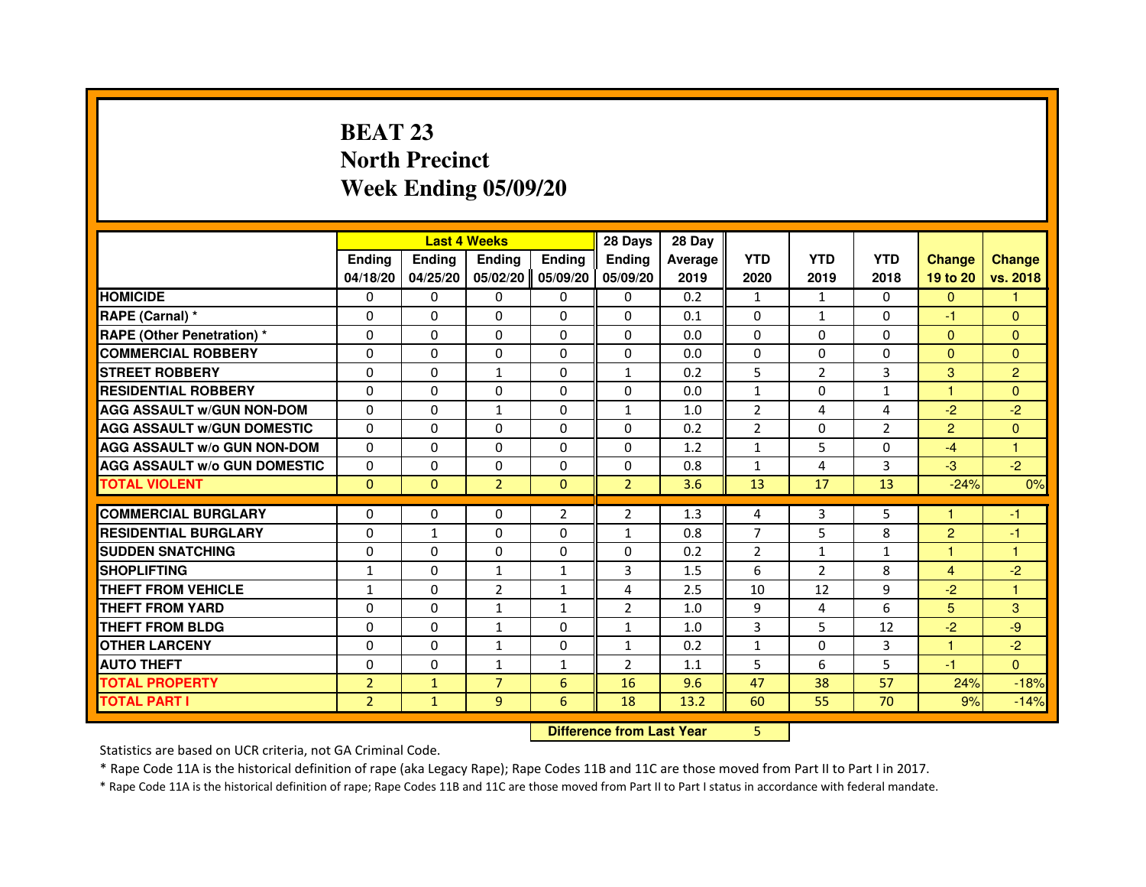# **BEAT 23 North PrecinctWeek Ending 05/09/20**

|                                     |                |              | <b>Last 4 Weeks</b> |                | 28 Days                          | 28 Day  |                |                |                |                |                |
|-------------------------------------|----------------|--------------|---------------------|----------------|----------------------------------|---------|----------------|----------------|----------------|----------------|----------------|
|                                     | <b>Ending</b>  | Ending       | <b>Ending</b>       | <b>Ending</b>  | <b>Ending</b>                    | Average | <b>YTD</b>     | <b>YTD</b>     | <b>YTD</b>     | <b>Change</b>  | <b>Change</b>  |
|                                     | 04/18/20       | 04/25/20     | 05/02/20            | 05/09/20       | 05/09/20                         | 2019    | 2020           | 2019           | 2018           | 19 to 20       | vs. 2018       |
| <b>HOMICIDE</b>                     | 0              | 0            | $\Omega$            | 0              | 0                                | 0.2     | $\mathbf{1}$   | $\mathbf{1}$   | $\Omega$       | $\mathbf{0}$   | $\mathbf{1}$   |
| RAPE (Carnal) *                     | 0              | 0            | 0                   | 0              | 0                                | 0.1     | 0              | $\mathbf{1}$   | 0              | $-1$           | $\mathbf{0}$   |
| RAPE (Other Penetration) *          | $\Omega$       | 0            | $\Omega$            | $\Omega$       | $\Omega$                         | 0.0     | $\Omega$       | $\Omega$       | $\Omega$       | $\Omega$       | $\Omega$       |
| <b>COMMERCIAL ROBBERY</b>           | $\Omega$       | $\Omega$     | $\Omega$            | $\Omega$       | $\Omega$                         | 0.0     | $\Omega$       | $\Omega$       | $\Omega$       | $\Omega$       | $\mathbf{0}$   |
| <b>STREET ROBBERY</b>               | $\Omega$       | $\Omega$     | $\mathbf{1}$        | $\Omega$       | $\mathbf{1}$                     | 0.2     | 5              | $\overline{2}$ | 3              | 3              | $\overline{2}$ |
| <b>RESIDENTIAL ROBBERY</b>          | 0              | 0            | $\Omega$            | 0              | 0                                | 0.0     | $\mathbf{1}$   | 0              | 1              | 1              | $\Omega$       |
| <b>AGG ASSAULT W/GUN NON-DOM</b>    | $\Omega$       | $\Omega$     | $\mathbf{1}$        | $\Omega$       | $\mathbf{1}$                     | 1.0     | $\overline{2}$ | 4              | 4              | $-2$           | $-2$           |
| <b>AGG ASSAULT W/GUN DOMESTIC</b>   | $\Omega$       | $\Omega$     | $\Omega$            | $\Omega$       | $\Omega$                         | 0.2     | $\overline{2}$ | $\Omega$       | $\overline{2}$ | $\overline{2}$ | $\Omega$       |
| <b>AGG ASSAULT W/o GUN NON-DOM</b>  | $\Omega$       | $\Omega$     | $\Omega$            | $\Omega$       | $\Omega$                         | 1.2     | $\mathbf{1}$   | 5              | $\Omega$       | $-4$           | $\mathbf{1}$   |
| <b>AGG ASSAULT W/o GUN DOMESTIC</b> | $\Omega$       | $\Omega$     | 0                   | $\Omega$       | $\Omega$                         | 0.8     | $\mathbf{1}$   | 4              | 3              | $-3$           | $-2$           |
| <b>TOTAL VIOLENT</b>                | $\mathbf{0}$   | $\mathbf{0}$ | $\overline{2}$      | $\mathbf{0}$   | $\overline{2}$                   | 3.6     | 13             | 17             | 13             | $-24%$         | 0%             |
| <b>COMMERCIAL BURGLARY</b>          | 0              | 0            | 0                   | $\overline{2}$ | 2                                | 1.3     | 4              | 3              | 5              | 1              | $-1$           |
| <b>RESIDENTIAL BURGLARY</b>         | 0              | 1            | $\Omega$            | $\Omega$       | $\mathbf{1}$                     | 0.8     | $\overline{7}$ | 5              | 8              | $\overline{c}$ | $-1$           |
| <b>SUDDEN SNATCHING</b>             | $\Omega$       | $\Omega$     | $\Omega$            | $\Omega$       | $\Omega$                         | 0.2     | $\overline{2}$ | $\mathbf{1}$   | $\mathbf{1}$   | $\mathbf{1}$   | $\mathbf{1}$   |
| <b>SHOPLIFTING</b>                  | $\mathbf{1}$   | 0            | $\mathbf{1}$        | 1              | 3                                | 1.5     | 6              | $\overline{2}$ | 8              | $\overline{4}$ | $-2$           |
| THEFT FROM VEHICLE                  | 1              | 0            | $\overline{2}$      | 1              | 4                                | 2.5     | 10             | 12             | 9              | $-2$           | 1              |
| <b>THEFT FROM YARD</b>              | $\Omega$       | $\Omega$     | $\mathbf{1}$        | $\mathbf{1}$   | $\overline{2}$                   | 1.0     | 9              | 4              | 6              | 5              | 3              |
| <b>THEFT FROM BLDG</b>              | $\Omega$       | $\Omega$     | $\mathbf{1}$        | $\Omega$       | $\mathbf{1}$                     | 1.0     | 3              | 5              | 12             | $-2$           | -9             |
| <b>OTHER LARCENY</b>                | 0              | $\Omega$     | 1                   | 0              | $\mathbf{1}$                     | 0.2     | $\mathbf{1}$   | 0              | 3              | 1              | $-2$           |
| <b>AUTO THEFT</b>                   | $\Omega$       | $\Omega$     | $\mathbf{1}$        | $\mathbf{1}$   | $\overline{2}$                   | 1.1     | 5              | 6              | 5              | $-1$           | $\Omega$       |
| <b>TOTAL PROPERTY</b>               | $\overline{2}$ | $\mathbf{1}$ | $\overline{7}$      | 6              | 16                               | 9.6     | 47             | 38             | 57             | 24%            | $-18%$         |
| <b>TOTAL PART I</b>                 | $\overline{2}$ | $\mathbf{1}$ | 9                   | 6              | 18                               | 13.2    | 60             | 55             | 70             | 9%             | $-14%$         |
|                                     |                |              |                     |                | <b>Difference from Last Year</b> |         | 5              |                |                |                |                |

 **Difference from Last Year**

Statistics are based on UCR criteria, not GA Criminal Code.

\* Rape Code 11A is the historical definition of rape (aka Legacy Rape); Rape Codes 11B and 11C are those moved from Part II to Part I in 2017.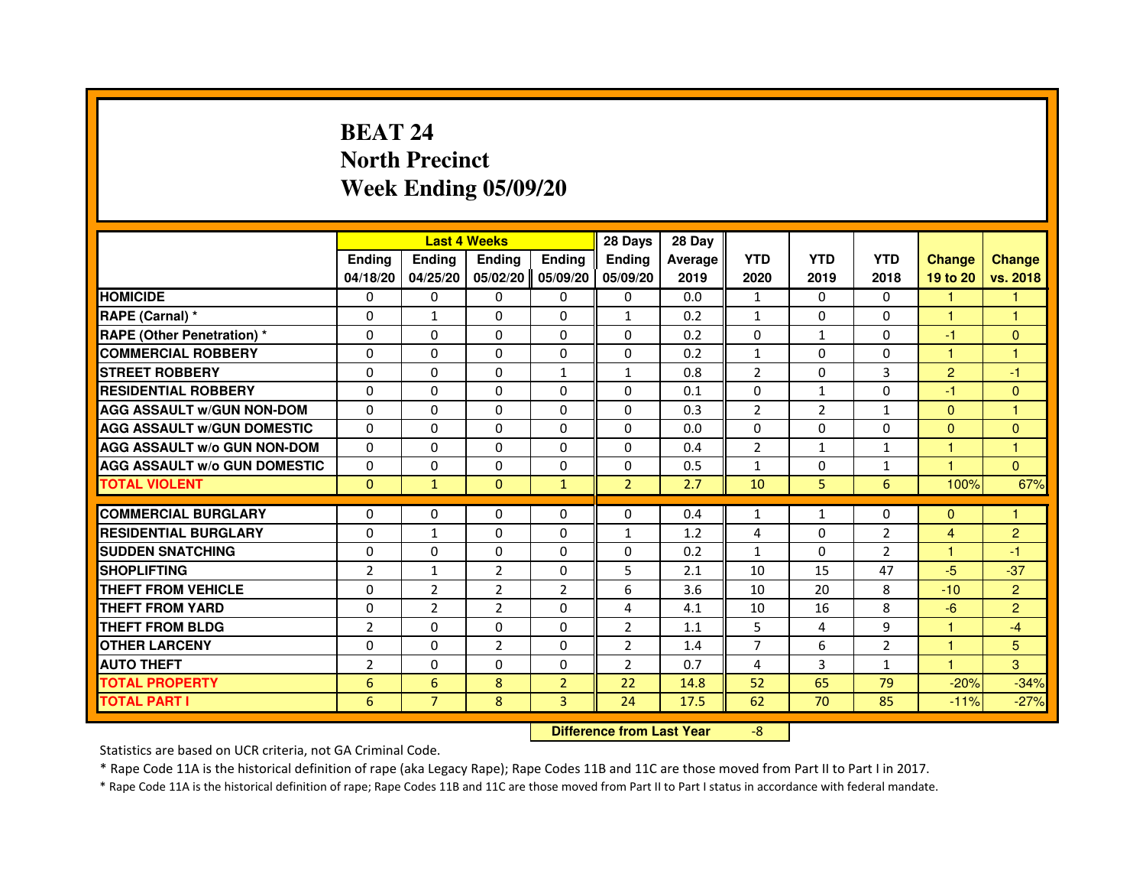# **BEAT 24 North PrecinctWeek Ending 05/09/20**

|                                     |                |                                  | <b>Last 4 Weeks</b> |                | 28 Days        | 28 Day  |                |              |                |                |                |
|-------------------------------------|----------------|----------------------------------|---------------------|----------------|----------------|---------|----------------|--------------|----------------|----------------|----------------|
|                                     | <b>Ending</b>  | <b>Ending</b>                    | <b>Ending</b>       | <b>Ending</b>  | <b>Ending</b>  | Average | <b>YTD</b>     | <b>YTD</b>   | <b>YTD</b>     | <b>Change</b>  | <b>Change</b>  |
|                                     | 04/18/20       | 04/25/20                         | 05/02/20            | 05/09/20       | 05/09/20       | 2019    | 2020           | 2019         | 2018           | 19 to 20       | vs. 2018       |
| <b>HOMICIDE</b>                     | $\Omega$       | $\Omega$                         | $\Omega$            | $\Omega$       | 0              | 0.0     | $\mathbf{1}$   | $\Omega$     | $\Omega$       | 1              | 1.             |
| RAPE (Carnal) *                     | 0              | $\mathbf{1}$                     | 0                   | 0              | $\mathbf{1}$   | 0.2     | $\mathbf{1}$   | 0            | 0              | 1              | 1              |
| <b>RAPE (Other Penetration) *</b>   | $\Omega$       | $\Omega$                         | $\Omega$            | $\Omega$       | $\Omega$       | 0.2     | $\Omega$       | $\mathbf{1}$ | $\Omega$       | $-1$           | $\mathbf{0}$   |
| <b>COMMERCIAL ROBBERY</b>           | $\Omega$       | $\Omega$                         | $\Omega$            | $\Omega$       | $\Omega$       | 0.2     | $\mathbf{1}$   | $\Omega$     | $\Omega$       | $\mathbf{1}$   | $\mathbf{1}$   |
| <b>STREET ROBBERY</b>               | $\Omega$       | $\Omega$                         | $\Omega$            | $\mathbf{1}$   | $\mathbf{1}$   | 0.8     | $\overline{2}$ | $\Omega$     | 3              | $\overline{2}$ | $-1$           |
| <b>RESIDENTIAL ROBBERY</b>          | $\Omega$       | $\Omega$                         | $\Omega$            | $\Omega$       | $\Omega$       | 0.1     | $\Omega$       | $\mathbf{1}$ | $\Omega$       | $-1$           | $\Omega$       |
| <b>AGG ASSAULT W/GUN NON-DOM</b>    | $\Omega$       | $\Omega$                         | $\Omega$            | $\Omega$       | $\Omega$       | 0.3     | $\overline{2}$ | 2            | $\mathbf{1}$   | $\Omega$       | $\mathbf{1}$   |
| <b>AGG ASSAULT W/GUN DOMESTIC</b>   | $\Omega$       | $\Omega$                         | $\Omega$            | $\Omega$       | $\Omega$       | 0.0     | $\Omega$       | $\Omega$     | $\Omega$       | $\Omega$       | $\Omega$       |
| <b>AGG ASSAULT W/o GUN NON-DOM</b>  | $\Omega$       | 0                                | 0                   | 0              | 0              | 0.4     | $\overline{2}$ | $\mathbf{1}$ | $\mathbf{1}$   | 1              | 1              |
| <b>AGG ASSAULT W/o GUN DOMESTIC</b> | $\Omega$       | 0                                | 0                   | $\Omega$       | $\Omega$       | 0.5     | $\mathbf{1}$   | $\Omega$     | 1              | 1              | $\Omega$       |
| <b>TOTAL VIOLENT</b>                | $\mathbf{0}$   | $\mathbf{1}$                     | $\mathbf{0}$        | $\mathbf{1}$   | $\overline{2}$ | 2.7     | 10             | 5            | 6              | 100%           | 67%            |
| <b>COMMERCIAL BURGLARY</b>          | 0              | 0                                | 0                   | 0              | $\Omega$       | 0.4     | $\mathbf{1}$   | $\mathbf{1}$ | 0              | $\Omega$       | 1              |
| <b>RESIDENTIAL BURGLARY</b>         | $\Omega$       | $\mathbf{1}$                     | $\Omega$            | $\Omega$       | $\mathbf{1}$   | 1.2     | 4              | $\Omega$     | $\overline{2}$ | $\overline{4}$ | $\overline{c}$ |
| <b>SUDDEN SNATCHING</b>             | $\Omega$       | $\Omega$                         | $\Omega$            | $\Omega$       | $\Omega$       | 0.2     | $\mathbf{1}$   | $\Omega$     | $\overline{2}$ | 1              | $-1$           |
| <b>SHOPLIFTING</b>                  | 2              | 1                                | 2                   | 0              | 5              | 2.1     | 10             | 15           | 47             | $-5$           | $-37$          |
| THEFT FROM VEHICLE                  | $\Omega$       | $\overline{2}$                   | $\overline{2}$      | $\overline{2}$ | 6              | 3.6     | 10             | 20           | 8              | $-10$          | $\overline{2}$ |
| THEFT FROM YARD                     | 0              | $\overline{2}$                   | $\overline{2}$      | 0              | 4              | 4.1     | 10             | 16           | 8              | $-6$           | $\overline{2}$ |
| <b>THEFT FROM BLDG</b>              | $\overline{2}$ | $\Omega$                         | $\Omega$            | $\Omega$       | $\overline{2}$ | 1.1     | 5              | 4            | 9              | $\mathbf{1}$   | $-4$           |
| <b>OTHER LARCENY</b>                | $\Omega$       | $\Omega$                         | $\overline{2}$      | $\Omega$       | $\overline{2}$ | 1.4     | $\overline{7}$ | 6            | $\overline{2}$ | 1              | 5              |
| <b>AUTO THEFT</b>                   | $\overline{2}$ | $\Omega$                         | $\Omega$            | $\Omega$       | $\overline{2}$ | 0.7     | 4              | 3            | $\mathbf{1}$   | $\mathbf{1}$   | 3              |
| <b>TOTAL PROPERTY</b>               | 6              | $6\phantom{1}6$                  | 8                   | $\overline{2}$ | 22             | 14.8    | 52             | 65           | 79             | $-20%$         | $-34%$         |
| <b>TOTAL PART I</b>                 | 6              | $\overline{7}$                   | 8                   | 3              | 24             | 17.5    | 62             | 70           | 85             | $-11%$         | $-27%$         |
|                                     |                | <b>Difference from Last Year</b> |                     | $-8$           |                |         |                |              |                |                |                |

 **Difference from Last Year**

Statistics are based on UCR criteria, not GA Criminal Code.

\* Rape Code 11A is the historical definition of rape (aka Legacy Rape); Rape Codes 11B and 11C are those moved from Part II to Part I in 2017.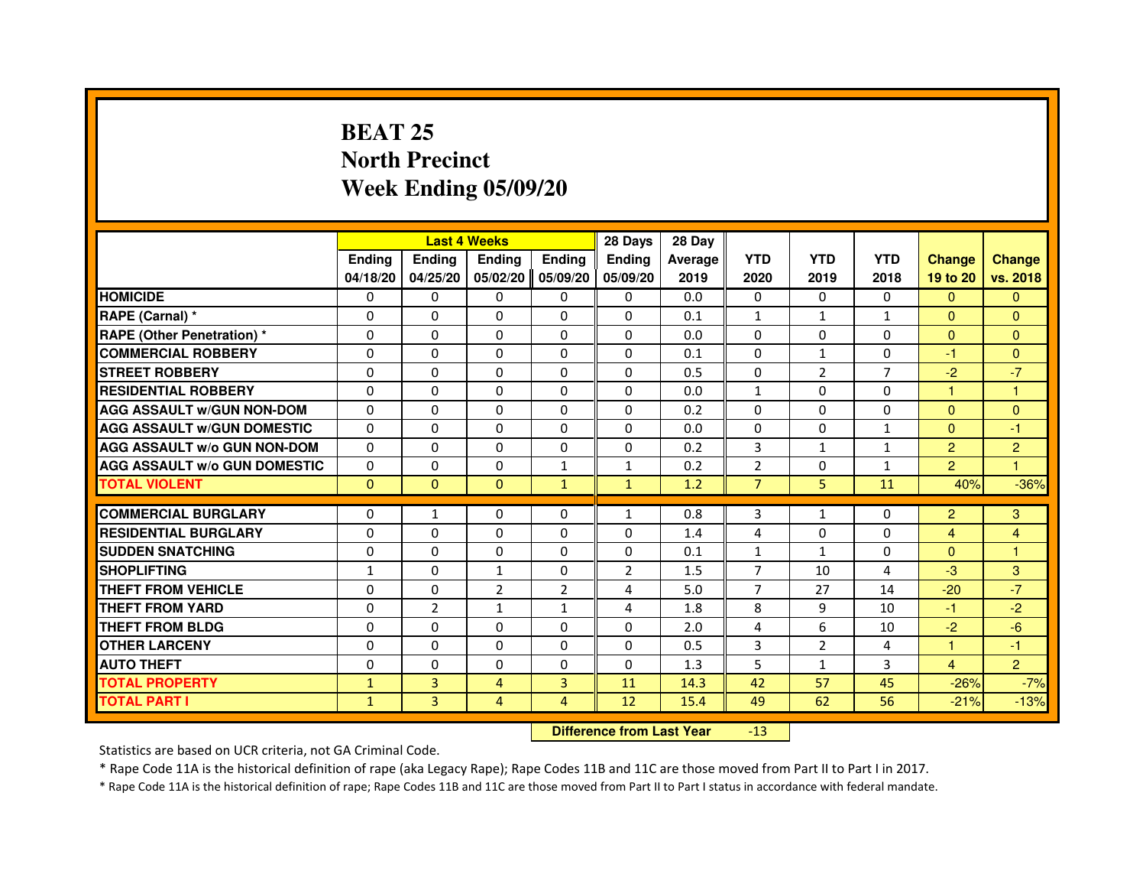# **BEAT 25 North PrecinctWeek Ending 05/09/20**

|                                     |               |                | <b>Last 4 Weeks</b> |                | 28 Days                          | 28 Day         |                |                |                |                |                |
|-------------------------------------|---------------|----------------|---------------------|----------------|----------------------------------|----------------|----------------|----------------|----------------|----------------|----------------|
|                                     | <b>Ending</b> | <b>Ending</b>  | <b>Ending</b>       | <b>Ending</b>  | <b>Ending</b>                    | <b>Average</b> | <b>YTD</b>     | <b>YTD</b>     | <b>YTD</b>     | <b>Change</b>  | <b>Change</b>  |
|                                     | 04/18/20      | 04/25/20       | 05/02/20            | 05/09/20       | 05/09/20                         | 2019           | 2020           | 2019           | 2018           | 19 to 20       | vs. 2018       |
| <b>HOMICIDE</b>                     | 0             | $\mathbf{0}$   | $\Omega$            | 0              | 0                                | 0.0            | 0              | $\Omega$       | $\Omega$       | $\Omega$       | $\Omega$       |
| RAPE (Carnal) *                     | 0             | $\Omega$       | $\Omega$            | $\Omega$       | 0                                | 0.1            | $\mathbf{1}$   | $\mathbf{1}$   | $\mathbf{1}$   | $\mathbf{0}$   | $\Omega$       |
| <b>RAPE (Other Penetration) *</b>   | $\Omega$      | $\Omega$       | $\Omega$            | $\Omega$       | $\Omega$                         | 0.0            | $\Omega$       | $\Omega$       | $\Omega$       | $\Omega$       | $\overline{0}$ |
| <b>COMMERCIAL ROBBERY</b>           | 0             | $\Omega$       | $\Omega$            | $\Omega$       | $\Omega$                         | 0.1            | $\Omega$       | $\mathbf{1}$   | $\Omega$       | $-1$           | $\mathbf{0}$   |
| <b>STREET ROBBERY</b>               | 0             | $\Omega$       | $\Omega$            | $\Omega$       | $\Omega$                         | 0.5            | $\Omega$       | $\overline{2}$ | $\overline{7}$ | $-2$           | $-7$           |
| <b>RESIDENTIAL ROBBERY</b>          | 0             | $\Omega$       | 0                   | $\Omega$       | $\Omega$                         | 0.0            | 1              | $\Omega$       | $\Omega$       | 1              | 1              |
| <b>AGG ASSAULT W/GUN NON-DOM</b>    | $\Omega$      | $\Omega$       | $\Omega$            | $\Omega$       | $\Omega$                         | 0.2            | $\Omega$       | $\Omega$       | $\Omega$       | $\Omega$       | $\overline{0}$ |
| <b>AGG ASSAULT W/GUN DOMESTIC</b>   | $\Omega$      | $\Omega$       | $\Omega$            | $\Omega$       | $\Omega$                         | 0.0            | $\Omega$       | $\Omega$       | $\mathbf{1}$   | $\Omega$       | $-1$           |
| <b>AGG ASSAULT W/o GUN NON-DOM</b>  | 0             | 0              | $\mathbf{0}$        | 0              | 0                                | 0.2            | 3              | $\mathbf{1}$   | $\mathbf{1}$   | $\overline{2}$ | $\overline{c}$ |
| <b>AGG ASSAULT W/o GUN DOMESTIC</b> | $\Omega$      | 0              | 0                   | $\mathbf{1}$   | $\mathbf{1}$                     | 0.2            | $\overline{2}$ | 0              | $\mathbf{1}$   | $\overline{2}$ | 1              |
| <b>TOTAL VIOLENT</b>                | $\mathbf 0$   | $\mathbf{0}$   | $\mathbf{0}$        | $\mathbf{1}$   | $\mathbf{1}$                     | 1.2            | $\overline{7}$ | 5              | 11             | 40%            | $-36%$         |
| <b>COMMERCIAL BURGLARY</b>          | $\Omega$      | $\mathbf{1}$   | 0                   | 0              | $\mathbf{1}$                     | 0.8            | 3              | $\mathbf{1}$   | 0              | $\overline{2}$ | 3              |
| <b>RESIDENTIAL BURGLARY</b>         | $\Omega$      | $\Omega$       | $\Omega$            | $\Omega$       | $\Omega$                         | 1.4            | 4              | $\Omega$       | $\Omega$       | $\overline{4}$ | 4              |
| <b>SUDDEN SNATCHING</b>             | $\Omega$      | $\Omega$       | $\Omega$            | $\Omega$       | $\Omega$                         | 0.1            | $\mathbf{1}$   | $\mathbf{1}$   | $\Omega$       | $\Omega$       | 1              |
| <b>SHOPLIFTING</b>                  | 1             | 0              | 1                   | 0              | $\overline{2}$                   | 1.5            | 7              | 10             | 4              | $-3$           | 3              |
| <b>THEFT FROM VEHICLE</b>           | 0             | $\Omega$       | $\overline{2}$      | $\overline{2}$ | 4                                | 5.0            | $\overline{7}$ | 27             | 14             | $-20$          | $-7$           |
| <b>THEFT FROM YARD</b>              | 0             | $\overline{2}$ | $\mathbf{1}$        | $\mathbf{1}$   | 4                                | 1.8            | 8              | 9              | 10             | $-1$           | $-2$           |
| <b>THEFT FROM BLDG</b>              | $\Omega$      | $\Omega$       | $\Omega$            | $\Omega$       | $\Omega$                         | 2.0            | 4              | 6              | 10             | $-2$           | $-6$           |
| <b>OTHER LARCENY</b>                | 0             | $\Omega$       | $\Omega$            | $\Omega$       | 0                                | 0.5            | 3              | 2              | 4              | 1              | $-1$           |
| <b>AUTO THEFT</b>                   | $\Omega$      | $\Omega$       | $\Omega$            | $\Omega$       | $\Omega$                         | 1.3            | 5              | $\mathbf{1}$   | 3              | $\overline{4}$ | $\overline{2}$ |
| <b>TOTAL PROPERTY</b>               | $\mathbf{1}$  | 3              | $\overline{4}$      | 3              | 11                               | 14.3           | 42             | 57             | 45             | $-26%$         | $-7%$          |
| <b>TOTAL PART I</b>                 | $\mathbf{1}$  | 3              | 4                   | 4              | 12                               | 15.4           | 49             | 62             | 56             | $-21%$         | $-13%$         |
|                                     |               |                |                     |                | <b>Difference from Last Year</b> |                | $-13$          |                |                |                |                |

Statistics are based on UCR criteria, not GA Criminal Code.

\* Rape Code 11A is the historical definition of rape (aka Legacy Rape); Rape Codes 11B and 11C are those moved from Part II to Part I in 2017.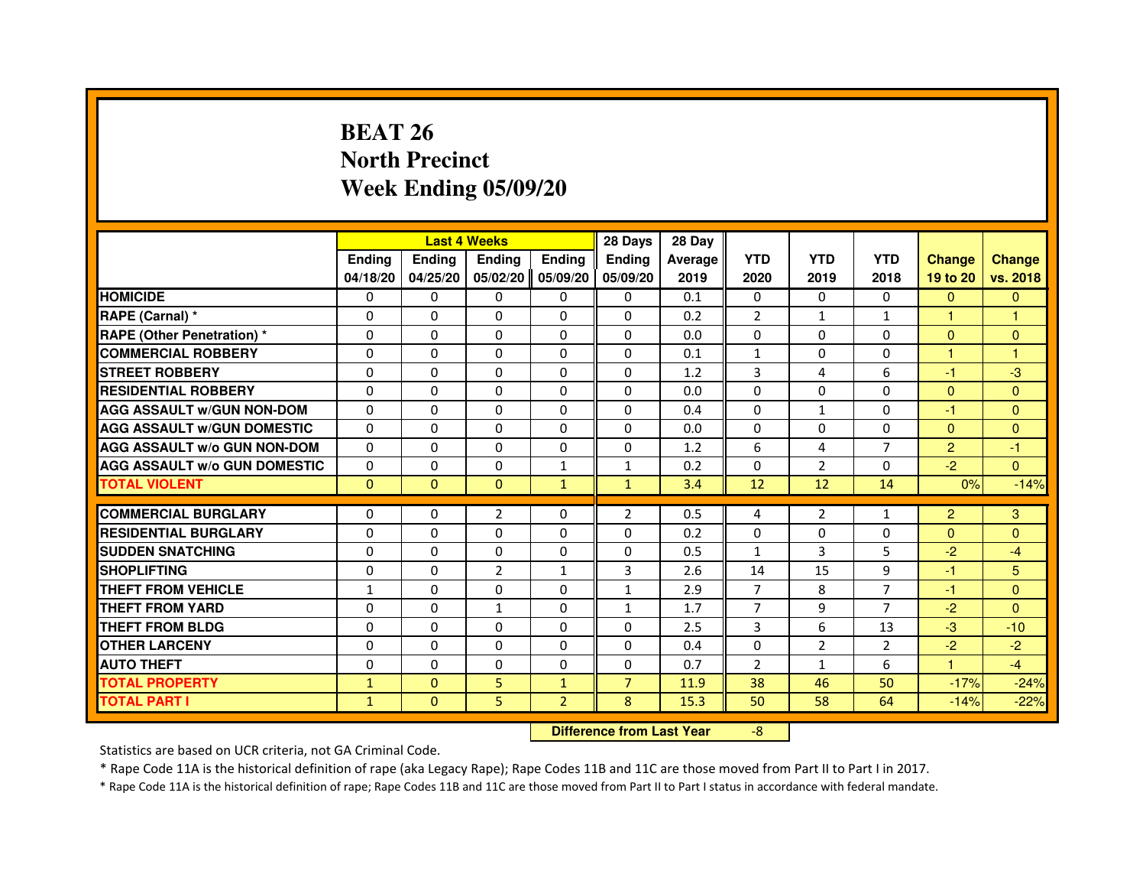# **BEAT 26 North PrecinctWeek Ending 05/09/20**

|                                     |               |              | <b>Last 4 Weeks</b>              |                | 28 Days        | 28 Day  |                |                |                |                |                |
|-------------------------------------|---------------|--------------|----------------------------------|----------------|----------------|---------|----------------|----------------|----------------|----------------|----------------|
|                                     | <b>Ending</b> | Ending       | <b>Ending</b>                    | <b>Ending</b>  | <b>Ending</b>  | Average | <b>YTD</b>     | <b>YTD</b>     | <b>YTD</b>     | <b>Change</b>  | <b>Change</b>  |
|                                     | 04/18/20      | 04/25/20     | 05/02/20                         | 05/09/20       | 05/09/20       | 2019    | 2020           | 2019           | 2018           | 19 to 20       | vs. 2018       |
| <b>HOMICIDE</b>                     | 0             | 0            | $\Omega$                         | $\Omega$       | 0              | 0.1     | $\Omega$       | 0              | $\Omega$       | $\mathbf{0}$   | $\mathbf{0}$   |
| RAPE (Carnal) *                     | 0             | 0            | 0                                | 0              | 0              | 0.2     | 2              | $\mathbf{1}$   | 1              | 1              | 1              |
| RAPE (Other Penetration) *          | $\Omega$      | 0            | $\Omega$                         | $\Omega$       | $\Omega$       | 0.0     | $\Omega$       | $\Omega$       | $\Omega$       | $\Omega$       | $\mathbf{0}$   |
| <b>COMMERCIAL ROBBERY</b>           | $\Omega$      | $\Omega$     | $\Omega$                         | $\Omega$       | $\Omega$       | 0.1     | $\mathbf{1}$   | $\Omega$       | $\Omega$       | $\mathbf{1}$   | $\mathbf{1}$   |
| <b>STREET ROBBERY</b>               | $\Omega$      | $\Omega$     | $\Omega$                         | $\Omega$       | $\Omega$       | 1.2     | 3              | 4              | 6              | $-1$           | $-3$           |
| <b>RESIDENTIAL ROBBERY</b>          | 0             | 0            | $\Omega$                         | 0              | 0              | 0.0     | 0              | $\Omega$       | $\Omega$       | $\Omega$       | $\mathbf{0}$   |
| <b>AGG ASSAULT W/GUN NON-DOM</b>    | $\Omega$      | $\Omega$     | $\Omega$                         | $\Omega$       | $\Omega$       | 0.4     | $\Omega$       | $\mathbf{1}$   | $\Omega$       | $-1$           | $\Omega$       |
| <b>AGG ASSAULT W/GUN DOMESTIC</b>   | $\Omega$      | $\Omega$     | $\Omega$                         | $\Omega$       | $\Omega$       | 0.0     | $\Omega$       | $\Omega$       | $\Omega$       | $\Omega$       | $\Omega$       |
| <b>AGG ASSAULT W/o GUN NON-DOM</b>  | $\Omega$      | $\Omega$     | $\Omega$                         | $\Omega$       | $\Omega$       | 1.2     | 6              | 4              | $\overline{7}$ | 2              | $-1$           |
| <b>AGG ASSAULT W/o GUN DOMESTIC</b> | $\Omega$      | $\Omega$     | $\Omega$                         | $\mathbf{1}$   | $\mathbf{1}$   | 0.2     | $\Omega$       | $\overline{2}$ | $\Omega$       | $-2$           | $\Omega$       |
| <b>TOTAL VIOLENT</b>                | $\mathbf{0}$  | $\mathbf{0}$ | $\mathbf{0}$                     | $\mathbf{1}$   | $\mathbf{1}$   | 3.4     | 12             | 12             | 14             | 0%             | $-14%$         |
| <b>COMMERCIAL BURGLARY</b>          | 0             | 0            | 2                                | 0              | 2              | 0.5     | 4              | 2              | 1              | $\overline{2}$ | 3              |
| <b>RESIDENTIAL BURGLARY</b>         | 0             | $\Omega$     | $\Omega$                         | $\Omega$       | $\Omega$       | 0.2     | $\Omega$       | $\Omega$       | $\Omega$       | $\Omega$       | $\overline{0}$ |
| <b>SUDDEN SNATCHING</b>             | $\Omega$      | $\Omega$     | $\Omega$                         | $\Omega$       | $\Omega$       | 0.5     | $\mathbf{1}$   | 3              | 5              | $-2$           | $-4$           |
| <b>SHOPLIFTING</b>                  | 0             | 0            | $\overline{2}$                   | $\mathbf{1}$   | 3              | 2.6     | 14             | 15             | 9              | $-1$           | 5              |
| THEFT FROM VEHICLE                  | 1             | 0            | $\Omega$                         | $\Omega$       | $\mathbf{1}$   | 2.9     | $\overline{7}$ | 8              | $\overline{7}$ | $-1$           | $\mathbf{0}$   |
| <b>THEFT FROM YARD</b>              | $\Omega$      | $\Omega$     | $\mathbf{1}$                     | $\Omega$       | $\mathbf{1}$   | 1.7     | $\overline{7}$ | 9              | $\overline{7}$ | $-2$           | $\Omega$       |
| <b>THEFT FROM BLDG</b>              | $\Omega$      | $\Omega$     | $\Omega$                         | $\Omega$       | $\Omega$       | 2.5     | $\overline{3}$ | 6              | 13             | $-3$           | $-10$          |
| <b>OTHER LARCENY</b>                | 0             | $\Omega$     | 0                                | 0              | 0              | 0.4     | $\Omega$       | $\overline{2}$ | $\overline{2}$ | $-2$           | $-2$           |
| <b>AUTO THEFT</b>                   | $\Omega$      | $\Omega$     | $\Omega$                         | $\Omega$       | $\Omega$       | 0.7     | $\overline{2}$ | $\mathbf{1}$   | 6              | $\mathbf{1}$   | $-4$           |
| <b>TOTAL PROPERTY</b>               | $\mathbf{1}$  | $\Omega$     | 5                                | $\mathbf{1}$   | $\overline{7}$ | 11.9    | 38             | 46             | 50             | $-17%$         | $-24%$         |
| <b>TOTAL PART I</b>                 | $\mathbf{1}$  | $\mathbf{0}$ | 5                                | $\overline{2}$ | 8              | 15.3    | 50             | 58             | 64             | $-14%$         | $-22%$         |
|                                     |               |              | <b>Difference from Last Year</b> |                | $-8$           |         |                |                |                |                |                |

 **Difference from Last Year**

Statistics are based on UCR criteria, not GA Criminal Code.

\* Rape Code 11A is the historical definition of rape (aka Legacy Rape); Rape Codes 11B and 11C are those moved from Part II to Part I in 2017.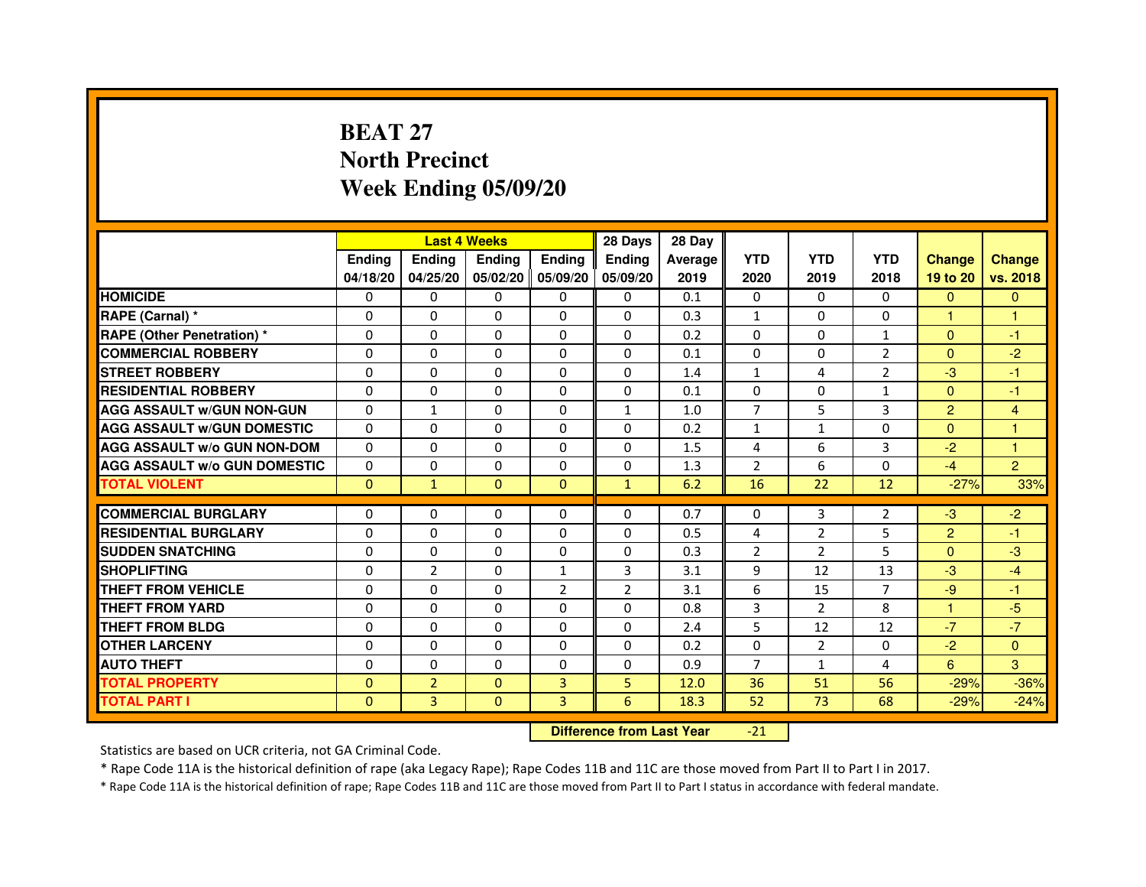# **BEAT 27 North PrecinctWeek Ending 05/09/20**

|                                     |               | <b>Last 4 Weeks</b> |                |                   | 28 Days        | 28 Day  |                |                |                |                |                |
|-------------------------------------|---------------|---------------------|----------------|-------------------|----------------|---------|----------------|----------------|----------------|----------------|----------------|
|                                     | <b>Endina</b> | Ending              | <b>Endina</b>  | <b>Endina</b>     | <b>Endina</b>  | Average | <b>YTD</b>     | <b>YTD</b>     | <b>YTD</b>     | <b>Change</b>  | <b>Change</b>  |
|                                     | 04/18/20      | 04/25/20            |                | 05/02/20 05/09/20 | 05/09/20       | 2019    | 2020           | 2019           | 2018           | 19 to 20       | vs. 2018       |
| <b>HOMICIDE</b>                     | 0             | 0                   | 0              | 0                 | 0              | 0.1     | $\mathbf{0}$   | $\Omega$       | $\Omega$       | $\mathbf{0}$   | $\mathbf{0}$   |
| RAPE (Carnal) *                     | $\Omega$      | $\Omega$            | $\Omega$       | $\Omega$          | $\Omega$       | 0.3     | $\mathbf{1}$   | $\Omega$       | $\Omega$       | $\mathbf{1}$   | $\mathbf{1}$   |
| <b>RAPE (Other Penetration) *</b>   | 0             | 0                   | $\Omega$       | $\Omega$          | $\Omega$       | 0.2     | $\Omega$       | $\Omega$       | $\mathbf{1}$   | $\Omega$       | $-1$           |
| <b>COMMERCIAL ROBBERY</b>           | 0             | 0                   | 0              | $\Omega$          | $\Omega$       | 0.1     | $\Omega$       | $\Omega$       | 2              | $\Omega$       | $-2$           |
| <b>STREET ROBBERY</b>               | 0             | $\Omega$            | 0              | $\Omega$          | 0              | 1.4     | $\mathbf{1}$   | 4              | $\overline{2}$ | $-3$           | $-1$           |
| <b>RESIDENTIAL ROBBERY</b>          | 0             | $\Omega$            | 0              | $\Omega$          | 0              | 0.1     | 0              | 0              | $\mathbf{1}$   | $\Omega$       | $-1$           |
| <b>AGG ASSAULT W/GUN NON-GUN</b>    | $\Omega$      | $\mathbf{1}$        | $\Omega$       | $\Omega$          | $\mathbf{1}$   | 1.0     | $\overline{7}$ | 5              | 3              | $\overline{2}$ | $\overline{4}$ |
| <b>AGG ASSAULT W/GUN DOMESTIC</b>   | $\Omega$      | 0                   | 0              | 0                 | $\Omega$       | 0.2     | $\mathbf{1}$   | $\mathbf{1}$   | $\Omega$       | $\Omega$       | 1              |
| <b>AGG ASSAULT W/o GUN NON-DOM</b>  | $\Omega$      | 0                   | $\Omega$       | 0                 | $\Omega$       | 1.5     | $\overline{4}$ | 6              | 3              | $-2$           | 1              |
| <b>AGG ASSAULT W/o GUN DOMESTIC</b> | $\Omega$      | $\Omega$            | 0              | $\mathbf{0}$      | $\Omega$       | 1.3     | $\overline{2}$ | 6              | $\Omega$       | $-4$           | $\overline{2}$ |
| <b>TOTAL VIOLENT</b>                | $\Omega$      | $\mathbf{1}$        | $\Omega$       | $\mathbf{0}$      | $\mathbf{1}$   | 6.2     | 16             | 22             | 12             | $-27%$         | 33%            |
|                                     |               |                     |                |                   |                |         |                |                |                |                |                |
| <b>COMMERCIAL BURGLARY</b>          | 0             | 0                   | $\Omega$       | 0                 | $\Omega$       | 0.7     | $\Omega$       | 3              | $\overline{2}$ | $-3$           | $-2$           |
| <b>RESIDENTIAL BURGLARY</b>         | 0             | $\Omega$            | 0              | $\mathbf{0}$      | $\Omega$       | 0.5     | 4              | $\overline{2}$ | 5              | $\overline{2}$ | $-1$           |
| <b>SUDDEN SNATCHING</b>             | 0             | 0                   | $\Omega$       | $\Omega$          | $\Omega$       | 0.3     | $\overline{2}$ | $\overline{2}$ | 5              | $\Omega$       | -3             |
| <b>SHOPLIFTING</b>                  | $\mathbf 0$   | $\overline{2}$      | $\Omega$       | $\mathbf{1}$      | 3              | 3.1     | 9              | 12             | 13             | $-3$           | $-4$           |
| <b>THEFT FROM VEHICLE</b>           | 0             | $\Omega$            | $\Omega$       | $\overline{2}$    | $\overline{2}$ | 3.1     | 6              | 15             | $\overline{7}$ | $-9$           | $-1$           |
| <b>THEFT FROM YARD</b>              | 0             | 0                   | $\Omega$       | $\Omega$          | $\Omega$       | 0.8     | 3              | 2              | 8              | 1              | $-5$           |
| <b>THEFT FROM BLDG</b>              | 0             | 0                   | 0              | 0                 | 0              | 2.4     | 5              | 12             | 12             | $-7$           | $-7$           |
| <b>OTHER LARCENY</b>                | 0             | $\Omega$            | 0              | 0                 | $\Omega$       | 0.2     | $\Omega$       | $\overline{2}$ | $\Omega$       | $-2$           | $\Omega$       |
| <b>AUTO THEFT</b>                   | $\mathbf 0$   | 0                   | $\Omega$       | $\Omega$          | $\Omega$       | 0.9     | $\overline{7}$ | $\mathbf{1}$   | $\overline{4}$ | 6              | 3              |
| <b>TOTAL PROPERTY</b>               | 0             | $\overline{2}$      | $\Omega$       | 3                 | 5              | 12.0    | 36             | 51             | 56             | $-29%$         | $-36%$         |
| <b>TOTAL PART I</b>                 | $\Omega$      | 3                   | $\overline{0}$ | 3                 | 6              | 18.3    | 52             | 73             | 68             | $-29%$         | $-24%$         |

 **Difference from Last Year**-21

Statistics are based on UCR criteria, not GA Criminal Code.

\* Rape Code 11A is the historical definition of rape (aka Legacy Rape); Rape Codes 11B and 11C are those moved from Part II to Part I in 2017.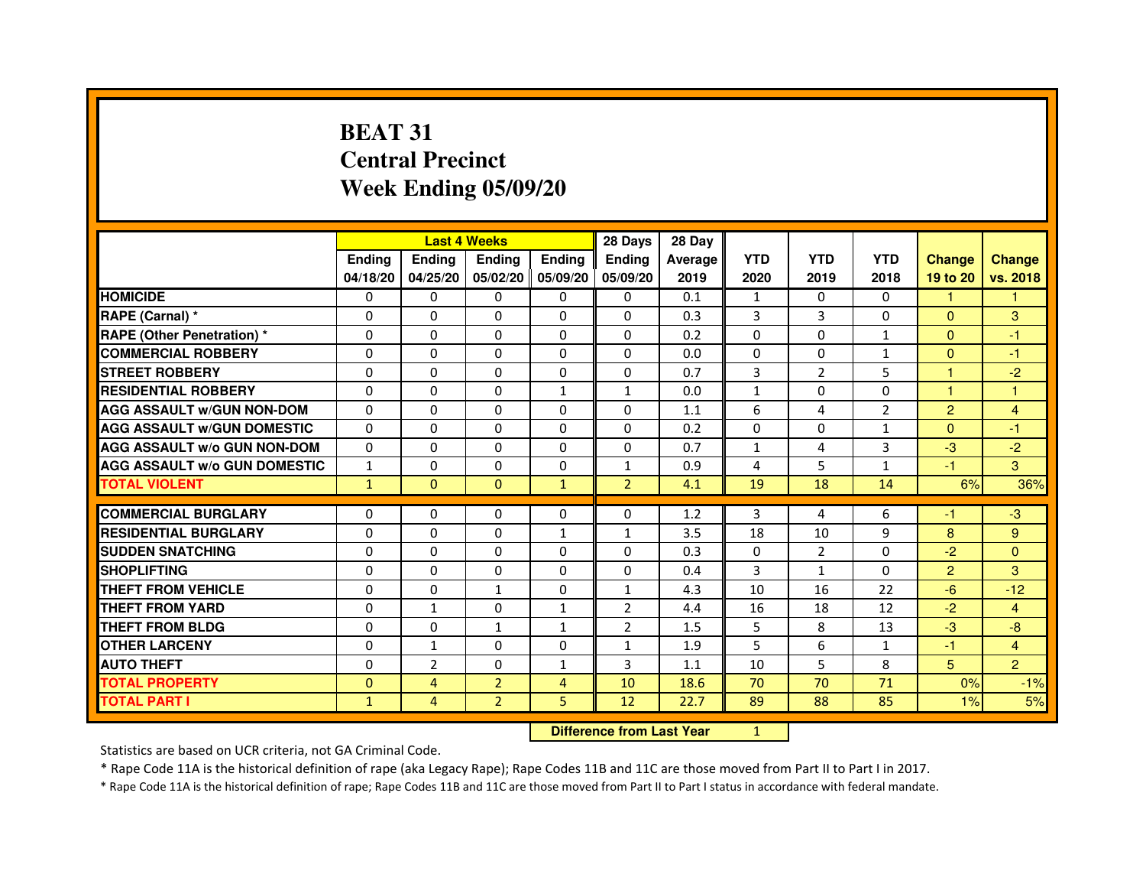# **BEAT 31 Central PrecinctWeek Ending 05/09/20**

|                                     |               | <b>Last 4 Weeks</b> |                     |                | 28 Days        | 28 Day  |              |                |                |                |                |
|-------------------------------------|---------------|---------------------|---------------------|----------------|----------------|---------|--------------|----------------|----------------|----------------|----------------|
|                                     | <b>Endina</b> | <b>Ending</b>       | <b>Ending</b>       | Ending         | <b>Endina</b>  | Average | <b>YTD</b>   | <b>YTD</b>     | <b>YTD</b>     | <b>Change</b>  | <b>Change</b>  |
|                                     | 04/18/20      | 04/25/20            | 05/02/20   05/09/20 |                | 05/09/20       | 2019    | 2020         | 2019           | 2018           | 19 to 20       | vs. 2018       |
| <b>HOMICIDE</b>                     | 0             | 0                   | 0                   | 0              | 0              | 0.1     | $\mathbf{1}$ | 0              | $\Omega$       | $\mathbf{1}$   | 1              |
| RAPE (Carnal) *                     | $\Omega$      | $\Omega$            | $\Omega$            | $\Omega$       | $\Omega$       | 0.3     | 3            | 3              | $\Omega$       | $\Omega$       | 3              |
| <b>RAPE (Other Penetration) *</b>   | $\Omega$      | $\Omega$            | $\Omega$            | $\Omega$       | $\Omega$       | 0.2     | $\Omega$     | $\Omega$       | $\mathbf{1}$   | $\Omega$       | $-1$           |
| <b>COMMERCIAL ROBBERY</b>           | 0             | $\Omega$            | 0                   | 0              | 0              | 0.0     | 0            | 0              | $\mathbf{1}$   | $\Omega$       | $-1$           |
| <b>STREET ROBBERY</b>               | $\Omega$      | $\Omega$            | $\Omega$            | 0              | 0              | 0.7     | 3            | $\overline{2}$ | 5              | $\mathbf{1}$   | $-2$           |
| <b>RESIDENTIAL ROBBERY</b>          | $\Omega$      | $\Omega$            | $\Omega$            | $\mathbf{1}$   | $\mathbf{1}$   | 0.0     | $\mathbf{1}$ | $\Omega$       | $\Omega$       | $\mathbf{1}$   | 1              |
| <b>AGG ASSAULT w/GUN NON-DOM</b>    | $\Omega$      | $\Omega$            | $\mathbf 0$         | $\Omega$       | 0              | 1.1     | 6            | 4              | $\overline{2}$ | $\overline{2}$ | $\overline{4}$ |
| <b>AGG ASSAULT W/GUN DOMESTIC</b>   | $\Omega$      | $\Omega$            | $\Omega$            | $\Omega$       | $\Omega$       | 0.2     | $\Omega$     | 0              | $\mathbf{1}$   | $\Omega$       | $-1$           |
| <b>AGG ASSAULT W/o GUN NON-DOM</b>  | $\Omega$      | 0                   | $\Omega$            | 0              | $\Omega$       | 0.7     | $\mathbf{1}$ | 4              | 3              | $-3$           | $-2$           |
| <b>AGG ASSAULT W/o GUN DOMESTIC</b> | $\mathbf{1}$  | 0                   | 0                   | 0              | $\mathbf{1}$   | 0.9     | 4            | 5              | $\mathbf{1}$   | $-1$           | 3              |
| <b>TOTAL VIOLENT</b>                | $\mathbf{1}$  | $\mathbf{0}$        | $\Omega$            | $\mathbf{1}$   | $\overline{2}$ | 4.1     | 19           | 18             | 14             | 6%             | 36%            |
|                                     |               |                     |                     |                |                |         |              |                |                |                |                |
| <b>COMMERCIAL BURGLARY</b>          | 0             | 0                   | 0                   | 0              | 0              | 1.2     | 3            | 4              | 6              | $-1$           | -3             |
| <b>RESIDENTIAL BURGLARY</b>         | $\Omega$      | 0                   | $\Omega$            | $\mathbf{1}$   | $\mathbf{1}$   | 3.5     | 18           | 10             | 9              | 8              | 9              |
| <b>SUDDEN SNATCHING</b>             | $\Omega$      | $\Omega$            | $\Omega$            | $\Omega$       | $\Omega$       | 0.3     | $\Omega$     | $\overline{2}$ | $\Omega$       | $-2$           | $\Omega$       |
| <b>SHOPLIFTING</b>                  | $\Omega$      | $\Omega$            | $\Omega$            | $\Omega$       | $\Omega$       | 0.4     | 3            | $\mathbf{1}$   | $\Omega$       | $\overline{2}$ | 3              |
| <b>THEFT FROM VEHICLE</b>           | 0             | 0                   | $\mathbf{1}$        | 0              | $\mathbf{1}$   | 4.3     | 10           | 16             | 22             | $-6$           | $-12$          |
| <b>THEFT FROM YARD</b>              | $\Omega$      | $\mathbf{1}$        | $\Omega$            | 1              | $\overline{2}$ | 4.4     | 16           | 18             | 12             | $-2$           | $\overline{4}$ |
| <b>THEFT FROM BLDG</b>              | $\Omega$      | $\Omega$            | 1                   | 1              | $\overline{2}$ | 1.5     | 5            | 8              | 13             | $-3$           | -8             |
| <b>OTHER LARCENY</b>                | $\Omega$      | 1                   | 0                   | 0              | $\mathbf{1}$   | 1.9     | 5            | 6              | $\mathbf{1}$   | $-1$           | $\overline{4}$ |
| <b>AUTO THEFT</b>                   | 0             | $\overline{2}$      | 0                   | $\mathbf{1}$   | 3              | 1.1     | 10           | 5              | 8              | 5              | $\overline{2}$ |
| <b>TOTAL PROPERTY</b>               | $\Omega$      | 4                   | $\overline{2}$      | $\overline{4}$ | 10             | 18.6    | 70           | 70             | 71             | 0%             | $-1%$          |
| <b>TOTAL PART I</b>                 | $\mathbf{1}$  | 4                   | $\overline{2}$      | 5              | 12             | 22.7    | 89           | 88             | 85             | 1%             | 5%             |

 **Difference from Last Year**

<sup>1</sup>

Statistics are based on UCR criteria, not GA Criminal Code.

\* Rape Code 11A is the historical definition of rape (aka Legacy Rape); Rape Codes 11B and 11C are those moved from Part II to Part I in 2017.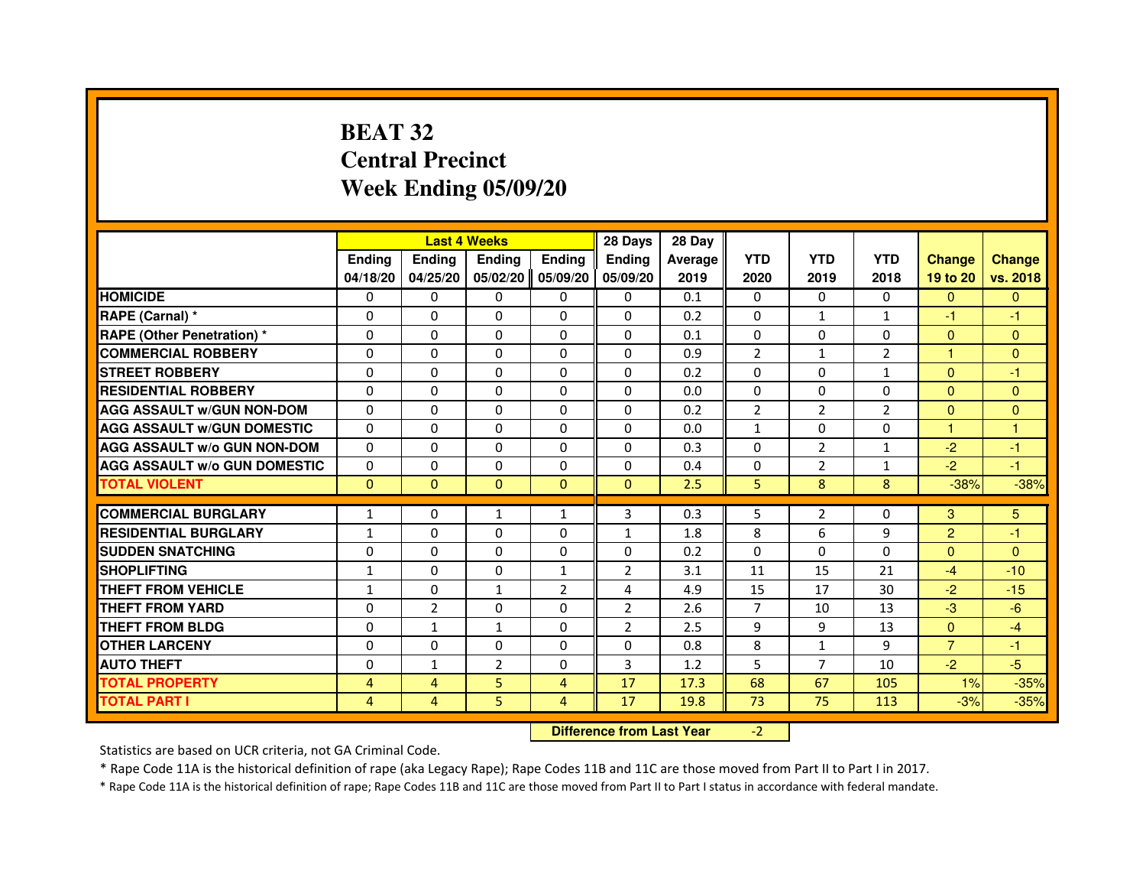# **BEAT 32 Central PrecinctWeek Ending 05/09/20**

|                                     |               |                                  | <b>Last 4 Weeks</b> |                | 28 Days        | 28 Day  |                |                |                |                |               |
|-------------------------------------|---------------|----------------------------------|---------------------|----------------|----------------|---------|----------------|----------------|----------------|----------------|---------------|
|                                     | <b>Ending</b> | <b>Ending</b>                    | <b>Ending</b>       | <b>Ending</b>  | <b>Ending</b>  | Average | <b>YTD</b>     | <b>YTD</b>     | <b>YTD</b>     | <b>Change</b>  | <b>Change</b> |
|                                     | 04/18/20      | 04/25/20                         | 05/02/20            | 05/09/20       | 05/09/20       | 2019    | 2020           | 2019           | 2018           | 19 to 20       | vs. 2018      |
| <b>HOMICIDE</b>                     | 0             | 0                                | $\mathbf{0}$        | 0              | 0              | 0.1     | $\mathbf{0}$   | 0              | 0              | $\Omega$       | $\mathbf{0}$  |
| RAPE (Carnal) *                     | 0             | 0                                | 0                   | 0              | 0              | 0.2     | 0              | 1              | $\mathbf{1}$   | $-1$           | -1            |
| RAPE (Other Penetration) *          | $\Omega$      | $\Omega$                         | $\Omega$            | $\Omega$       | $\Omega$       | 0.1     | $\Omega$       | $\Omega$       | $\Omega$       | $\Omega$       | $\mathbf{0}$  |
| <b>COMMERCIAL ROBBERY</b>           | 0             | $\Omega$                         | $\Omega$            | $\Omega$       | 0              | 0.9     | $\overline{2}$ | $\mathbf{1}$   | $\overline{2}$ | $\mathbf{1}$   | $\mathbf{0}$  |
| <b>STREET ROBBERY</b>               | $\Omega$      | $\Omega$                         | $\Omega$            | $\Omega$       | $\Omega$       | 0.2     | $\Omega$       | $\Omega$       | $\mathbf{1}$   | $\mathbf{0}$   | -1            |
| <b>RESIDENTIAL ROBBERY</b>          | 0             | 0                                | $\Omega$            | 0              | $\Omega$       | 0.0     | 0              | 0              | $\Omega$       | $\Omega$       | $\mathbf{0}$  |
| <b>AGG ASSAULT W/GUN NON-DOM</b>    | $\Omega$      | $\Omega$                         | 0                   | $\Omega$       | $\Omega$       | 0.2     | $\overline{2}$ | $\overline{2}$ | $\overline{2}$ | $\mathbf{0}$   | $\Omega$      |
| <b>AGG ASSAULT W/GUN DOMESTIC</b>   | $\Omega$      | $\Omega$                         | 0                   | $\Omega$       | $\Omega$       | 0.0     | $\mathbf{1}$   | $\Omega$       | $\Omega$       | $\mathbf{1}$   | $\mathbf{1}$  |
| <b>AGG ASSAULT W/o GUN NON-DOM</b>  | $\Omega$      | $\Omega$                         | $\Omega$            | $\Omega$       | $\Omega$       | 0.3     | $\Omega$       | $\overline{2}$ | $\mathbf{1}$   | $-2$           | -1            |
| <b>AGG ASSAULT W/o GUN DOMESTIC</b> | 0             | 0                                | 0                   | $\Omega$       | $\Omega$       | 0.4     | $\Omega$       | $\overline{2}$ | $\mathbf{1}$   | $-2$           | -1            |
| <b>TOTAL VIOLENT</b>                | $\mathbf{0}$  | $\mathbf{0}$                     | $\mathbf{0}$        | $\mathbf{0}$   | $\mathbf{0}$   | 2.5     | 5              | 8              | 8              | $-38%$         | $-38%$        |
| <b>COMMERCIAL BURGLARY</b>          | 1             | 0                                | 1                   | 1              | 3              | 0.3     | 5              | $\overline{2}$ | 0              | 3              | 5             |
| <b>RESIDENTIAL BURGLARY</b>         | $\mathbf{1}$  | $\Omega$                         | 0                   | $\Omega$       | $\mathbf{1}$   | 1.8     | 8              | 6              | 9              | $\overline{2}$ | $-1$          |
| <b>SUDDEN SNATCHING</b>             | 0             | $\Omega$                         | $\Omega$            | $\Omega$       | $\Omega$       | 0.2     | $\Omega$       | $\Omega$       | $\Omega$       | $\Omega$       | $\mathbf{0}$  |
| <b>SHOPLIFTING</b>                  | $\mathbf{1}$  | $\mathbf{0}$                     | 0                   | $\mathbf{1}$   | 2              | 3.1     | 11             | 15             | 21             | $-4$           | $-10$         |
| THEFT FROM VEHICLE                  | 1             | $\Omega$                         | $\mathbf{1}$        | $\overline{2}$ | 4              | 4.9     | 15             | 17             | 30             | $-2$           | $-15$         |
| <b>THEFT FROM YARD</b>              | $\Omega$      | $\overline{2}$                   | $\Omega$            | $\Omega$       | $\overline{2}$ | 2.6     | $\overline{7}$ | 10             | 13             | $-3$           | $-6$          |
| <b>THEFT FROM BLDG</b>              | $\Omega$      | $\mathbf{1}$                     | $\mathbf{1}$        | $\Omega$       | $\overline{2}$ | 2.5     | 9              | 9              | 13             | $\Omega$       | $-4$          |
| <b>OTHER LARCENY</b>                | $\Omega$      | $\Omega$                         | $\Omega$            | $\Omega$       | $\Omega$       | 0.8     | 8              | $\mathbf{1}$   | 9              | $\overline{7}$ | $-1$          |
| <b>AUTO THEFT</b>                   | $\Omega$      | $\mathbf{1}$                     | $\overline{2}$      | $\Omega$       | 3              | 1.2     | 5              | $\overline{7}$ | 10             | $-2$           | $-5$          |
| <b>TOTAL PROPERTY</b>               | 4             | 4                                | 5                   | 4              | 17             | 17.3    | 68             | 67             | 105            | 1%             | $-35%$        |
| <b>TOTAL PART I</b>                 | 4             | 4                                | 5                   | 4              | 17             | 19.8    | 73             | 75             | 113            | $-3%$          | $-35%$        |
|                                     |               | <b>Difference from Last Year</b> |                     | $-2$           |                |         |                |                |                |                |               |

 **Difference from Last Year**

Statistics are based on UCR criteria, not GA Criminal Code.

\* Rape Code 11A is the historical definition of rape (aka Legacy Rape); Rape Codes 11B and 11C are those moved from Part II to Part I in 2017.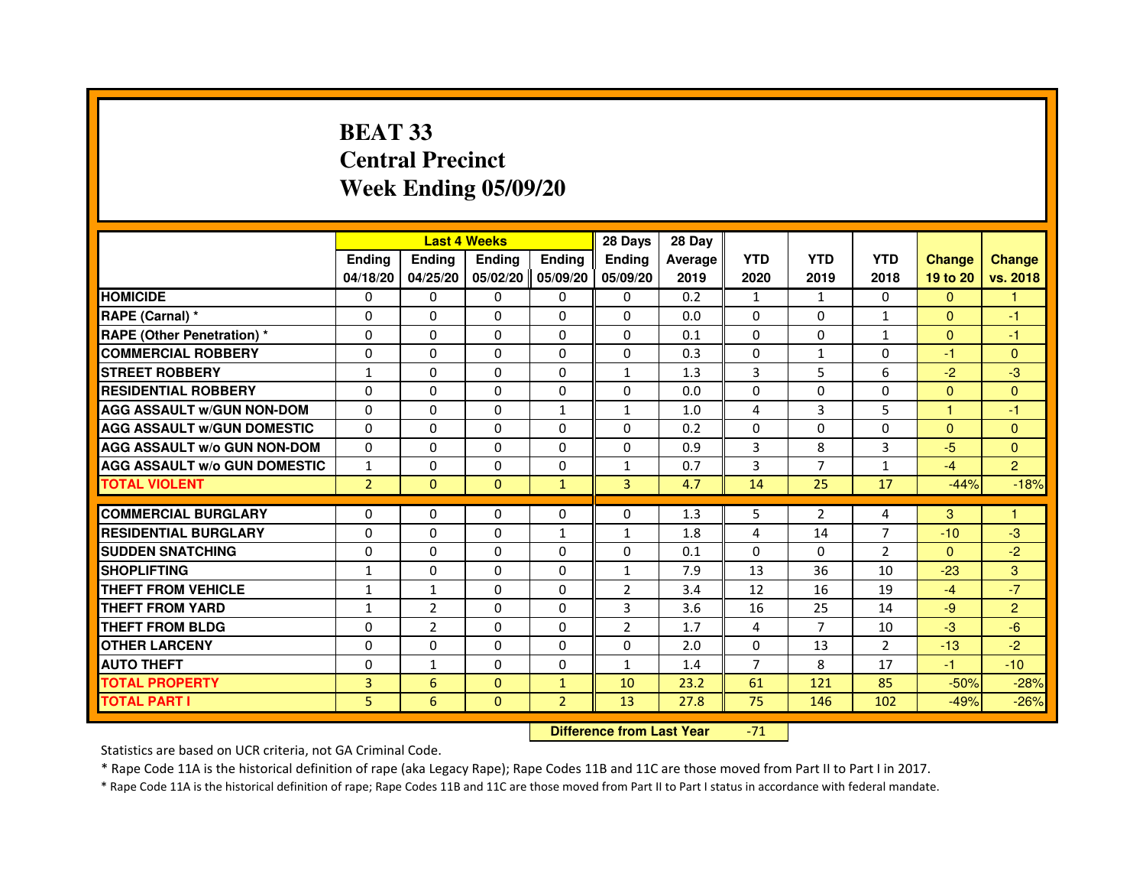# **BEAT 33 Central PrecinctWeek Ending 05/09/20**

|                                     |                | <b>Last 4 Weeks</b> |                   |                | 28 Days        | 28 Day  |                |                |                |                      |                |
|-------------------------------------|----------------|---------------------|-------------------|----------------|----------------|---------|----------------|----------------|----------------|----------------------|----------------|
|                                     | <b>Endina</b>  | <b>Ending</b>       | <b>Ending</b>     | <b>Ending</b>  | <b>Endina</b>  | Average | <b>YTD</b>     | <b>YTD</b>     | <b>YTD</b>     | <b>Change</b>        | <b>Change</b>  |
|                                     | 04/18/20       | 04/25/20            | 05/02/20 05/09/20 |                | 05/09/20       | 2019    | 2020           | 2019           | 2018           | 19 to 20             | vs. 2018       |
| <b>HOMICIDE</b>                     | 0              | 0                   | 0                 | 0              | $\Omega$       | 0.2     | $\mathbf{1}$   | $\mathbf{1}$   | 0              | $\mathbf{0}$         |                |
| RAPE (Carnal) *                     | 0              | $\Omega$            | $\Omega$          | $\Omega$       | $\Omega$       | 0.0     | $\Omega$       | $\Omega$       | $\mathbf{1}$   | $\Omega$             | $-1$           |
| <b>RAPE (Other Penetration)*</b>    | 0              | 0                   | 0                 | $\Omega$       | 0              | 0.1     | $\Omega$       | 0              | $\mathbf{1}$   | $\Omega$             | $-1$           |
| <b>COMMERCIAL ROBBERY</b>           | 0              | 0                   | 0                 | 0              | 0              | 0.3     | $\Omega$       | 1              | $\Omega$       | $-1$                 | $\mathbf{0}$   |
| <b>STREET ROBBERY</b>               | $\mathbf{1}$   | $\Omega$            | $\Omega$          | 0              | 1              | 1.3     | 3              | 5              | 6              | $-2$                 | $-3$           |
| <b>RESIDENTIAL ROBBERY</b>          | 0              | $\Omega$            | $\Omega$          | 0              | 0              | 0.0     | $\Omega$       | $\Omega$       | $\Omega$       | $\Omega$             | $\Omega$       |
| <b>AGG ASSAULT W/GUN NON-DOM</b>    | $\Omega$       | $\Omega$            | $\mathbf 0$       | $\mathbf{1}$   | $\mathbf{1}$   | 1.0     | 4              | 3              | 5              | $\blacktriangleleft$ | $-1$           |
| <b>AGG ASSAULT W/GUN DOMESTIC</b>   | $\Omega$       | $\Omega$            | $\Omega$          | $\Omega$       | $\Omega$       | 0.2     | $\Omega$       | $\Omega$       | $\Omega$       | $\Omega$             | $\mathbf{0}$   |
| <b>AGG ASSAULT W/o GUN NON-DOM</b>  | 0              | $\Omega$            | 0                 | $\Omega$       | $\Omega$       | 0.9     | 3              | 8              | 3              | -5                   | $\Omega$       |
| <b>AGG ASSAULT W/o GUN DOMESTIC</b> | $\mathbf{1}$   | $\Omega$            | $\Omega$          | 0              | 1              | 0.7     | 3              | 7              | $\mathbf{1}$   | $-4$                 | $\overline{2}$ |
| <b>TOTAL VIOLENT</b>                | $\overline{2}$ | $\Omega$            | $\Omega$          | $\mathbf{1}$   | $\overline{3}$ | 4.7     | 14             | 25             | 17             | $-44%$               | $-18%$         |
|                                     |                |                     |                   |                |                |         |                |                |                |                      |                |
| <b>COMMERCIAL BURGLARY</b>          | $\Omega$       | 0                   | 0                 | $\Omega$       | $\Omega$       | 1.3     | 5              | $\overline{2}$ | 4              | 3                    | $\overline{1}$ |
| <b>RESIDENTIAL BURGLARY</b>         | 0              | 0                   | 0                 | $\mathbf{1}$   | $\mathbf{1}$   | 1.8     | $\overline{4}$ | 14             | $\overline{7}$ | $-10$                | $-3$           |
| <b>SUDDEN SNATCHING</b>             | 0              | $\Omega$            | 0                 | 0              | 0              | 0.1     | $\Omega$       | $\Omega$       | $\overline{2}$ | $\Omega$             | $-2$           |
| <b>SHOPLIFTING</b>                  | $\mathbf{1}$   | 0                   | $\Omega$          | 0              | $\mathbf{1}$   | 7.9     | 13             | 36             | 10             | $-23$                | 3              |
| THEFT FROM VEHICLE                  | 1              | $\mathbf{1}$        | $\Omega$          | 0              | $\overline{2}$ | 3.4     | 12             | 16             | 19             | $-4$                 | $-7$           |
| <b>THEFT FROM YARD</b>              | $\mathbf{1}$   | $\overline{2}$      | $\Omega$          | $\Omega$       | 3              | 3.6     | 16             | 25             | 14             | $-9$                 | $\overline{2}$ |
| THEFT FROM BLDG                     | 0              | $\overline{2}$      | 0                 | 0              | 2              | 1.7     | 4              | 7              | 10             | $-3$                 | $-6$           |
| <b>OTHER LARCENY</b>                | 0              | $\Omega$            | 0                 | 0              | 0              | 2.0     | $\Omega$       | 13             | 2              | $-13$                | $-2$           |
| <b>AUTO THEFT</b>                   | $\Omega$       | $\mathbf{1}$        | $\Omega$          | 0              | $\mathbf{1}$   | 1.4     | $\overline{7}$ | 8              | 17             | $-1$                 | $-10$          |
| <b>TOTAL PROPERTY</b>               | 3              | 6                   | 0                 | $\mathbf{1}$   | 10             | 23.2    | 61             | 121            | 85             | $-50%$               | $-28%$         |
| <b>TOTAL PART I</b>                 | 5              | $6\phantom{1}6$     | $\mathbf{0}$      | $\overline{2}$ | 13             | 27.8    | 75             | 146            | 102            | $-49%$               | $-26%$         |

 **Difference from Last Year**-71

Statistics are based on UCR criteria, not GA Criminal Code.

\* Rape Code 11A is the historical definition of rape (aka Legacy Rape); Rape Codes 11B and 11C are those moved from Part II to Part I in 2017.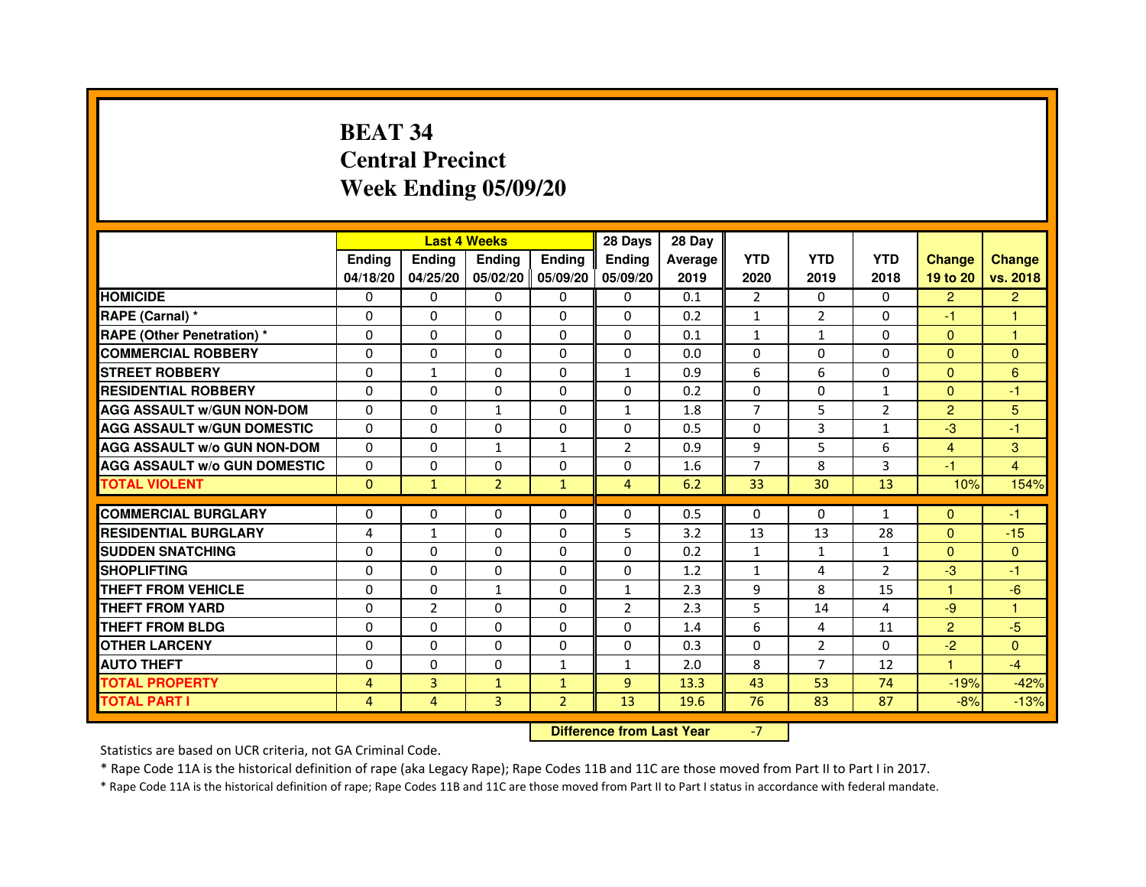# **BEAT 34 Central PrecinctWeek Ending 05/09/20**

|                                     |                | <b>Last 4 Weeks</b>              |                |                   | 28 Days        | 28 Day  |                |                |                |                |                |
|-------------------------------------|----------------|----------------------------------|----------------|-------------------|----------------|---------|----------------|----------------|----------------|----------------|----------------|
|                                     | <b>Ending</b>  | Ending                           | Ending         | Ending            | <b>Ending</b>  | Average | <b>YTD</b>     | <b>YTD</b>     | <b>YTD</b>     | <b>Change</b>  | <b>Change</b>  |
|                                     | 04/18/20       | 04/25/20                         |                | 05/02/20 05/09/20 | 05/09/20       | 2019    | 2020           | 2019           | 2018           | 19 to 20       | vs. 2018       |
| <b>HOMICIDE</b>                     | 0              | 0                                | $\mathbf{0}$   | $\Omega$          | 0              | 0.1     | $\overline{2}$ | $\mathbf{0}$   | $\Omega$       | $\overline{2}$ | $\overline{2}$ |
| RAPE (Carnal) *                     | 0              | $\Omega$                         | 0              | $\Omega$          | $\Omega$       | 0.2     | $\mathbf{1}$   | $\overline{2}$ | $\Omega$       | $-1$           | 1              |
| <b>RAPE (Other Penetration) *</b>   | 0              | $\Omega$                         | 0              | $\Omega$          | $\Omega$       | 0.1     | $\mathbf{1}$   | $\mathbf{1}$   | $\Omega$       | $\Omega$       | 1              |
| <b>COMMERCIAL ROBBERY</b>           | 0              | 0                                | $\Omega$       | $\mathbf{0}$      | $\mathbf{0}$   | 0.0     | $\Omega$       | $\mathbf{0}$   | $\Omega$       | $\Omega$       | $\mathbf{0}$   |
| <b>STREET ROBBERY</b>               | 0              | $\mathbf{1}$                     | $\Omega$       | $\Omega$          | $\mathbf{1}$   | 0.9     | 6              | 6              | $\Omega$       | $\Omega$       | $6\phantom{1}$ |
| <b>RESIDENTIAL ROBBERY</b>          | 0              | 0                                | 0              | $\Omega$          | $\Omega$       | 0.2     | $\Omega$       | $\Omega$       | $\mathbf{1}$   | $\Omega$       | $-1$           |
| <b>AGG ASSAULT w/GUN NON-DOM</b>    | $\Omega$       | $\Omega$                         | 1              | $\mathbf{0}$      | $\mathbf{1}$   | 1.8     | 7              | 5              | $\overline{2}$ | $\overline{2}$ | 5              |
| <b>AGG ASSAULT W/GUN DOMESTIC</b>   | $\Omega$       | $\Omega$                         | $\Omega$       | $\mathbf{0}$      | $\Omega$       | 0.5     | $\Omega$       | 3              | $\mathbf{1}$   | $-3$           | $-1$           |
| <b>AGG ASSAULT W/o GUN NON-DOM</b>  | $\Omega$       | $\Omega$                         | $\mathbf{1}$   | $\mathbf{1}$      | $\overline{2}$ | 0.9     | 9              | 5              | 6              | $\overline{4}$ | 3              |
| <b>AGG ASSAULT W/o GUN DOMESTIC</b> | 0              | 0                                | 0              | $\Omega$          | $\Omega$       | 1.6     | $\overline{7}$ | 8              | 3              | $-1$           | $\overline{4}$ |
| <b>TOTAL VIOLENT</b>                | $\mathbf{0}$   | $\mathbf{1}$                     | $\overline{2}$ | $\mathbf{1}$      | $\overline{4}$ | 6.2     | 33             | 30             | 13             | 10%            | 154%           |
| <b>COMMERCIAL BURGLARY</b>          | 0              | 0                                | 0              | $\mathbf{0}$      | 0              | 0.5     | $\Omega$       | 0              | $\mathbf{1}$   | $\Omega$       | $-1$           |
| <b>RESIDENTIAL BURGLARY</b>         | 4              | $\mathbf{1}$                     | $\Omega$       | $\Omega$          | 5              | 3.2     | 13             | 13             | 28             | $\Omega$       | $-15$          |
| <b>SUDDEN SNATCHING</b>             | $\Omega$       | $\Omega$                         | $\Omega$       | $\mathbf{0}$      | $\Omega$       | 0.2     | $\mathbf{1}$   | $\mathbf{1}$   | $\mathbf{1}$   | $\Omega$       | $\Omega$       |
| <b>SHOPLIFTING</b>                  | 0              | $\Omega$                         | 0              | $\mathbf{0}$      | 0              | 1.2     | $\mathbf{1}$   | 4              | $\overline{2}$ | $-3$           | $-1$           |
| <b>THEFT FROM VEHICLE</b>           | 0              | 0                                | 1              | $\Omega$          | $\mathbf{1}$   | 2.3     | 9              | 8              | 15             | 1              | $-6$           |
| <b>THEFT FROM YARD</b>              | $\Omega$       | $\overline{2}$                   | $\Omega$       | $\Omega$          | $\overline{2}$ | 2.3     | 5              | 14             | 4              | $-9$           | $\mathbf{1}$   |
| <b>THEFT FROM BLDG</b>              | 0              | $\Omega$                         | $\Omega$       | $\Omega$          | $\Omega$       | 1.4     | 6              | 4              | 11             | $\overline{2}$ | $-5$           |
| <b>OTHER LARCENY</b>                | 0              | $\mathbf{0}$                     | 0              | $\mathbf{0}$      | $\Omega$       | 0.3     | $\Omega$       | $\overline{2}$ | $\Omega$       | $-2$           | $\mathbf{0}$   |
| <b>AUTO THEFT</b>                   | 0              | 0                                | 0              | $\mathbf{1}$      | $\mathbf{1}$   | 2.0     | 8              | 7              | 12             | 1              | $-4$           |
| <b>TOTAL PROPERTY</b>               | $\overline{4}$ | 3                                | $\mathbf{1}$   | $\mathbf{1}$      | 9              | 13.3    | 43             | 53             | 74             | $-19%$         | $-42%$         |
| <b>TOTAL PART I</b>                 | $\overline{4}$ | $\overline{4}$                   | 3              | $\overline{2}$    | 13             | 19.6    | 76             | 83             | 87             | $-8%$          | $-13%$         |
|                                     |                | <b>Difference from Last Year</b> |                | $-7$              |                |         |                |                |                |                |                |

#### **Difference from Last Year**

Statistics are based on UCR criteria, not GA Criminal Code.

\* Rape Code 11A is the historical definition of rape (aka Legacy Rape); Rape Codes 11B and 11C are those moved from Part II to Part I in 2017.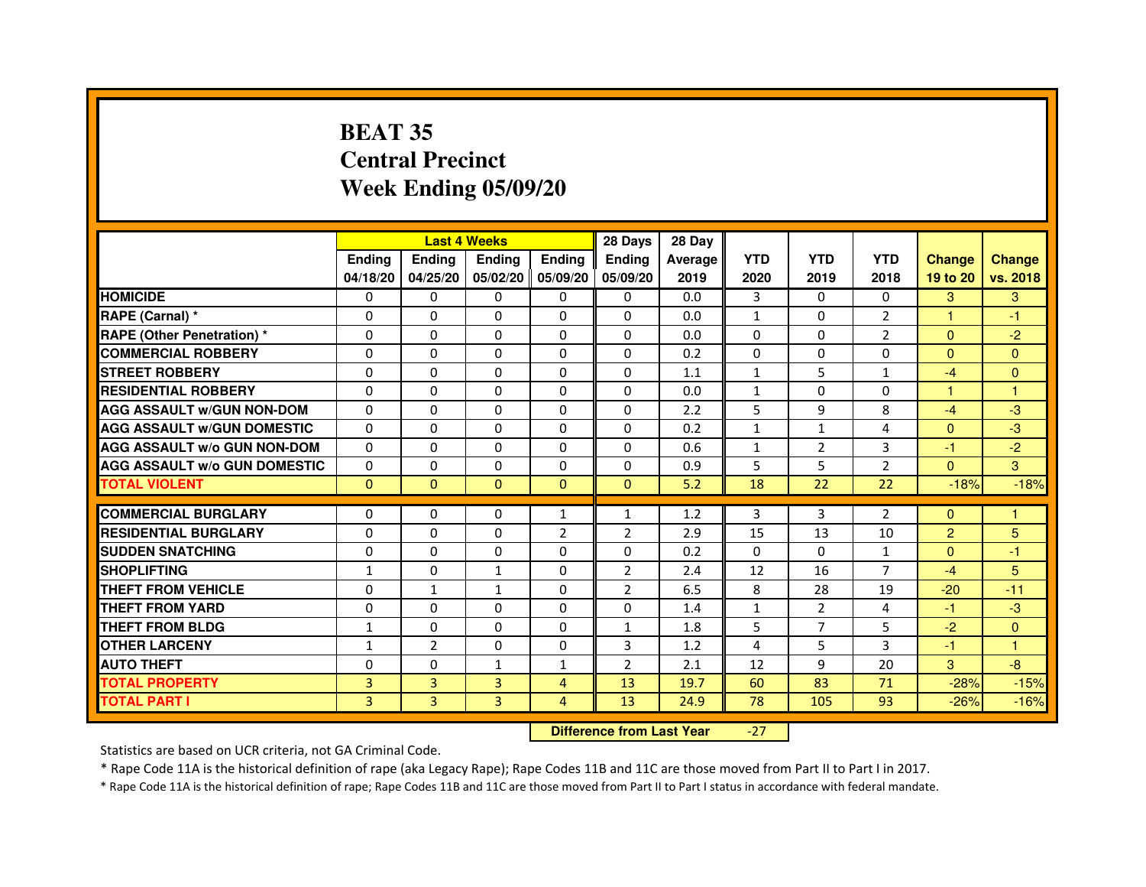# **BEAT 35 Central PrecinctWeek Ending 05/09/20**

|                                     |               | <b>Last 4 Weeks</b> |               |                   | 28 Days        | 28 Day  |                |                |                |                |               |
|-------------------------------------|---------------|---------------------|---------------|-------------------|----------------|---------|----------------|----------------|----------------|----------------|---------------|
|                                     | <b>Endina</b> | Ending              | <b>Endina</b> | <b>Endina</b>     | <b>Endina</b>  | Average | <b>YTD</b>     | <b>YTD</b>     | <b>YTD</b>     | <b>Change</b>  | <b>Change</b> |
|                                     | 04/18/20      | 04/25/20            |               | 05/02/20 05/09/20 | 05/09/20       | 2019    | 2020           | 2019           | 2018           | 19 to 20       | vs. 2018      |
| <b>HOMICIDE</b>                     | 0             | 0                   | 0             | 0                 | 0              | 0.0     | 3              | $\Omega$       | $\Omega$       | 3              | 3             |
| RAPE (Carnal) *                     | $\Omega$      | $\Omega$            | $\Omega$      | $\Omega$          | $\Omega$       | 0.0     | $\mathbf{1}$   | $\Omega$       | $\overline{2}$ | $\mathbf{1}$   | $-1$          |
| <b>RAPE (Other Penetration)*</b>    | $\Omega$      | $\Omega$            | $\Omega$      | $\Omega$          | $\Omega$       | 0.0     | $\Omega$       | $\Omega$       | 2              | $\Omega$       | $-2$          |
| <b>COMMERCIAL ROBBERY</b>           | 0             | 0                   | 0             | 0                 | 0              | 0.2     | 0              | 0              | $\Omega$       | $\Omega$       | $\Omega$      |
| <b>STREET ROBBERY</b>               | 0             | $\Omega$            | 0             | 0                 | 0              | 1.1     | $\mathbf{1}$   | 5              | $\mathbf{1}$   | $-4$           | $\Omega$      |
| <b>RESIDENTIAL ROBBERY</b>          | 0             | $\Omega$            | 0             | $\Omega$          | $\Omega$       | 0.0     | $\mathbf{1}$   | $\Omega$       | $\Omega$       | 1              | $\mathbf{1}$  |
| <b>AGG ASSAULT w/GUN NON-DOM</b>    | $\Omega$      | $\Omega$            | $\Omega$      | $\mathbf{0}$      | $\Omega$       | 2.2     | 5              | 9              | 8              | $-4$           | -3            |
| <b>AGG ASSAULT W/GUN DOMESTIC</b>   | $\Omega$      | $\Omega$            | $\Omega$      | $\Omega$          | $\Omega$       | 0.2     | $\mathbf{1}$   | $\mathbf{1}$   | $\overline{4}$ | $\Omega$       | $-3$          |
| <b>AGG ASSAULT W/o GUN NON-DOM</b>  | $\Omega$      | 0                   | $\Omega$      | 0                 | $\Omega$       | 0.6     | $\mathbf{1}$   | $\overline{2}$ | 3              | $-1$           | $-2$          |
| <b>AGG ASSAULT W/o GUN DOMESTIC</b> | 0             | $\Omega$            | 0             | $\mathbf{0}$      | 0              | 0.9     | 5              | 5              | $\overline{2}$ | $\Omega$       | 3             |
| <b>TOTAL VIOLENT</b>                | $\Omega$      | $\mathbf{0}$        | $\Omega$      | $\Omega$          | $\Omega$       | 5.2     | 18             | 22             | 22             | $-18%$         | $-18%$        |
|                                     |               |                     |               |                   |                |         |                |                |                |                |               |
| <b>COMMERCIAL BURGLARY</b>          | 0             | 0                   | 0             | $\mathbf{1}$      | $\mathbf{1}$   | 1.2     | 3              | 3              | $\overline{2}$ | $\Omega$       | 1             |
| <b>RESIDENTIAL BURGLARY</b>         | 0             | $\Omega$            | 0             | $\overline{2}$    | $\overline{2}$ | 2.9     | 15             | 13             | 10             | $\overline{2}$ | 5             |
| <b>SUDDEN SNATCHING</b>             | 0             | $\Omega$            | $\Omega$      | $\Omega$          | $\Omega$       | 0.2     | $\Omega$       | $\Omega$       | $\mathbf{1}$   | $\Omega$       | $-1$          |
| <b>SHOPLIFTING</b>                  | $\mathbf{1}$  | $\Omega$            | $\mathbf{1}$  | $\mathbf{0}$      | $\overline{2}$ | 2.4     | 12             | 16             | $\overline{7}$ | $-4$           | 5             |
| <b>THEFT FROM VEHICLE</b>           | 0             | $\mathbf{1}$        | $\mathbf{1}$  | $\mathbf{0}$      | $\overline{2}$ | 6.5     | 8              | 28             | 19             | $-20$          | $-11$         |
| <b>THEFT FROM YARD</b>              | $\Omega$      | 0                   | $\Omega$      | $\Omega$          | $\Omega$       | 1.4     | $\mathbf{1}$   | $\overline{2}$ | $\overline{a}$ | $-1$           | $-3$          |
| <b>THEFT FROM BLDG</b>              | 1             | $\Omega$            | 0             | $\mathbf{0}$      | 1              | 1.8     | 5              | $\overline{7}$ | 5              | $-2$           | $\Omega$      |
| <b>OTHER LARCENY</b>                | 1             | $\overline{2}$      | $\Omega$      | $\Omega$          | 3              | 1.2     | $\overline{4}$ | 5              | 3              | $-1$           | 1             |
| <b>AUTO THEFT</b>                   | 0             | 0                   | $\mathbf{1}$  | $\mathbf{1}$      | $\overline{2}$ | 2.1     | 12             | 9              | 20             | 3              | -8            |
| <b>TOTAL PROPERTY</b>               | 3             | 3                   | 3             | $\overline{4}$    | 13             | 19.7    | 60             | 83             | 71             | $-28%$         | $-15%$        |
| <b>TOTAL PART I</b>                 | 3             | 3                   | 3             | $\overline{4}$    | 13             | 24.9    | 78             | 105            | 93             | $-26%$         | $-16%$        |

 **Difference from Last Year**-27

Statistics are based on UCR criteria, not GA Criminal Code.

\* Rape Code 11A is the historical definition of rape (aka Legacy Rape); Rape Codes 11B and 11C are those moved from Part II to Part I in 2017.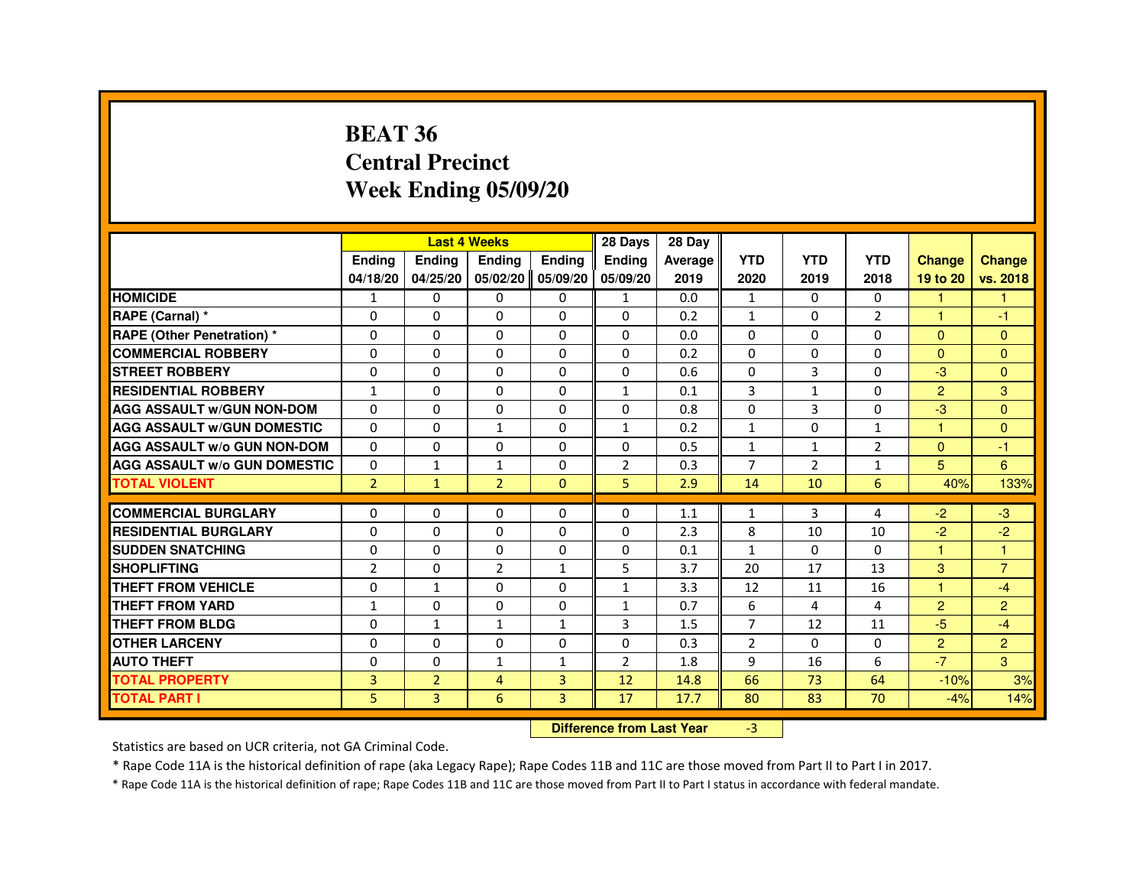#### **BEAT 36 Central PrecinctWeek Ending 05/09/20**

|                                     |                |                | <b>Last 4 Weeks</b> |              | 28 Days        | 28 Day                           |                |                |                |                      |                |
|-------------------------------------|----------------|----------------|---------------------|--------------|----------------|----------------------------------|----------------|----------------|----------------|----------------------|----------------|
|                                     | Ending         | Ending         | Ending              | Ending       | Ending         | Average                          | <b>YTD</b>     | <b>YTD</b>     | <b>YTD</b>     | <b>Change</b>        | Change         |
|                                     | 04/18/20       | 04/25/20       | 05/02/20 05/09/20   |              | 05/09/20       | 2019                             | 2020           | 2019           | 2018           | 19 to 20             | vs. 2018       |
| <b>HOMICIDE</b>                     | 1              | 0              | 0                   | 0            | 1              | 0.0                              | $\mathbf{1}$   | 0              | 0              | $\mathbf{1}$         | 1              |
| RAPE (Carnal) *                     | $\Omega$       | $\Omega$       | $\Omega$            | $\Omega$     | 0              | 0.2                              | $\mathbf{1}$   | $\Omega$       | $\overline{2}$ | 1                    | -1             |
| <b>RAPE (Other Penetration) *</b>   | $\Omega$       | $\Omega$       | $\Omega$            | $\mathbf 0$  | $\Omega$       | 0.0                              | $\Omega$       | $\Omega$       | 0              | $\Omega$             | $\overline{0}$ |
| <b>COMMERCIAL ROBBERY</b>           | $\Omega$       | $\Omega$       | 0                   | $\Omega$     | 0              | 0.2                              | $\Omega$       | $\Omega$       | $\Omega$       | $\Omega$             | $\Omega$       |
| <b>STREET ROBBERY</b>               | 0              | $\Omega$       | 0                   | 0            | 0              | 0.6                              | $\Omega$       | 3              | 0              | $-3$                 | $\Omega$       |
| <b>RESIDENTIAL ROBBERY</b>          | $\mathbf{1}$   | 0              | 0                   | $\mathbf 0$  | $\mathbf{1}$   | 0.1                              | 3              | $\mathbf{1}$   | 0              | $\overline{2}$       | 3              |
| <b>AGG ASSAULT w/GUN NON-DOM</b>    | 0              | $\mathbf 0$    | 0                   | $\mathbf 0$  | 0              | 0.8                              | $\Omega$       | 3              | 0              | -3                   | $\mathbf{0}$   |
| <b>AGG ASSAULT W/GUN DOMESTIC</b>   | $\Omega$       | $\Omega$       | $\mathbf{1}$        | $\mathbf 0$  | 1              | 0.2                              | $\mathbf{1}$   | $\Omega$       | $\mathbf{1}$   | $\overline{1}$       | $\Omega$       |
| <b>AGG ASSAULT w/o GUN NON-DOM</b>  | $\mathbf{0}$   | $\mathbf{0}$   | 0                   | $\Omega$     | 0              | 0.5                              | $\mathbf{1}$   | $\mathbf{1}$   | 2              | $\Omega$             | -1             |
| <b>AGG ASSAULT W/o GUN DOMESTIC</b> | $\Omega$       | $\mathbf{1}$   | $\mathbf{1}$        | $\mathbf 0$  | $\overline{2}$ | 0.3                              | $\overline{7}$ | $\overline{2}$ | $\mathbf{1}$   | 5                    | 6              |
| <b>TOTAL VIOLENT</b>                | $\overline{2}$ | $\mathbf{1}$   | $\overline{2}$      | $\mathbf{0}$ | 5              | 2.9                              | 14             | 10             | 6              | 40%                  | 133%           |
| <b>COMMERCIAL BURGLARY</b>          | 0              | 0              | 0                   | 0            | 0              | 1.1                              | 1              | 3              | 4              | $-2$                 | $-3$           |
| <b>RESIDENTIAL BURGLARY</b>         | $\Omega$       | $\Omega$       | $\Omega$            | $\mathbf 0$  | $\mathbf 0$    | 2.3                              | 8              | 10             | 10             | $-2$                 | $-2$           |
| <b>SUDDEN SNATCHING</b>             | $\Omega$       | $\Omega$       | 0                   | $\mathbf 0$  | 0              | 0.1                              | $\mathbf{1}$   | $\Omega$       | $\Omega$       | $\mathbf{1}$         | $\overline{1}$ |
| <b>SHOPLIFTING</b>                  | 2              | 0              | $\overline{2}$      | $\mathbf{1}$ | 5              | 3.7                              | 20             | 17             | 13             | 3                    | $\overline{7}$ |
| THEFT FROM VEHICLE                  | $\Omega$       | $\mathbf{1}$   | 0                   | $\Omega$     | $\mathbf{1}$   | 3.3                              | 12             | 11             | 16             | $\blacktriangleleft$ | $-4$           |
| <b>THEFT FROM YARD</b>              | $\mathbf{1}$   | $\mathbf 0$    | $\Omega$            | $\mathbf 0$  | $\mathbf{1}$   | 0.7                              | 6              | 4              | 4              | $\overline{2}$       | $\overline{2}$ |
| <b>THEFT FROM BLDG</b>              | $\Omega$       | $\mathbf{1}$   | $\mathbf{1}$        | $\mathbf{1}$ | 3              | 1.5                              | $\overline{7}$ | 12             | 11             | $-5$                 | $-4$           |
| <b>OTHER LARCENY</b>                | $\Omega$       | $\Omega$       | 0                   | $\Omega$     | 0              | 0.3                              | $\overline{2}$ | 0              | $\Omega$       | $\overline{2}$       | $\overline{2}$ |
| <b>AUTO THEFT</b>                   | 0              | 0              | $\mathbf{1}$        | $\mathbf{1}$ | $\overline{2}$ | 1.8                              | 9              | 16             | 6              | $-7$                 | 3              |
| <b>TOTAL PROPERTY</b>               | 3              | $\overline{2}$ | 4                   | 3            | 12             | 14.8                             | 66             | 73             | 64             | $-10%$               | 3%             |
| <b>TOTAL PART I</b>                 | 5              | 3              | 6                   | 3            | 17             | 17.7                             | 80             | 83             | 70             | $-4%$                | 14%            |
|                                     |                |                |                     |              |                | <b>Difference from Last Year</b> | $-3$           |                |                |                      |                |

#### **Difference from Last Year**

Statistics are based on UCR criteria, not GA Criminal Code.

\* Rape Code 11A is the historical definition of rape (aka Legacy Rape); Rape Codes 11B and 11C are those moved from Part II to Part I in 2017.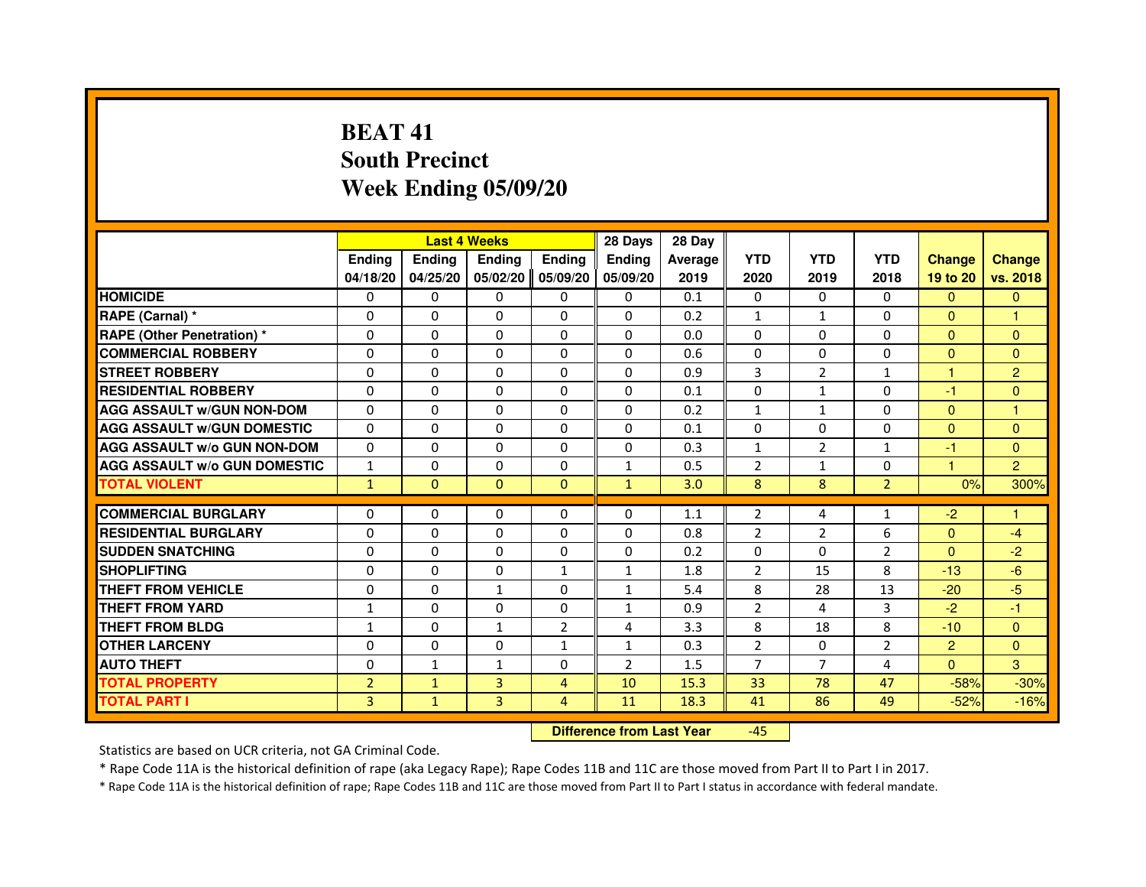# **BEAT 41 South PrecinctWeek Ending 05/09/20**

|                                     |                |               | <b>Last 4 Weeks</b> |                | 28 Days        | 28 Day  |                |                |                |                |                |
|-------------------------------------|----------------|---------------|---------------------|----------------|----------------|---------|----------------|----------------|----------------|----------------|----------------|
|                                     | <b>Ending</b>  | <b>Endina</b> | <b>Ending</b>       | <b>Ending</b>  | <b>Endina</b>  | Average | <b>YTD</b>     | <b>YTD</b>     | <b>YTD</b>     | <b>Change</b>  | <b>Change</b>  |
|                                     | 04/18/20       | 04/25/20      | 05/02/20            | 05/09/20       | 05/09/20       | 2019    | 2020           | 2019           | 2018           | 19 to 20       | vs. 2018       |
| <b>HOMICIDE</b>                     | 0              | $\mathbf{0}$  | $\mathbf{0}$        | 0              | 0              | 0.1     | 0              | 0              | $\Omega$       | $\mathbf{0}$   | $\mathbf{0}$   |
| RAPE (Carnal) *                     | $\Omega$       | $\Omega$      | $\Omega$            | $\Omega$       | $\Omega$       | 0.2     | $\mathbf{1}$   | $\mathbf{1}$   | $\Omega$       | $\Omega$       | 1              |
| <b>RAPE (Other Penetration) *</b>   | 0              | $\mathbf{0}$  | $\mathbf{0}$        | 0              | 0              | 0.0     | 0              | 0              | 0              | $\Omega$       | $\Omega$       |
| <b>COMMERCIAL ROBBERY</b>           | 0              | $\Omega$      | $\Omega$            | $\Omega$       | $\Omega$       | 0.6     | $\Omega$       | $\Omega$       | $\Omega$       | $\Omega$       | $\Omega$       |
| <b>STREET ROBBERY</b>               | $\Omega$       | $\Omega$      | $\Omega$            | $\Omega$       | $\Omega$       | 0.9     | 3              | $\overline{2}$ | $\mathbf{1}$   | 1              | $\overline{2}$ |
| <b>RESIDENTIAL ROBBERY</b>          | $\Omega$       | $\Omega$      | $\Omega$            | $\Omega$       | $\Omega$       | 0.1     | $\Omega$       | $\mathbf{1}$   | 0              | $-1$           | $\mathbf{0}$   |
| <b>AGG ASSAULT w/GUN NON-DOM</b>    | $\Omega$       | $\Omega$      | $\Omega$            | $\Omega$       | $\Omega$       | 0.2     | $\mathbf{1}$   | $\mathbf{1}$   | $\Omega$       | $\Omega$       | 1              |
| <b>AGG ASSAULT W/GUN DOMESTIC</b>   | $\Omega$       | $\Omega$      | $\Omega$            | 0              | $\Omega$       | 0.1     | $\Omega$       | $\Omega$       | $\Omega$       | $\Omega$       | $\Omega$       |
| <b>AGG ASSAULT W/o GUN NON-DOM</b>  | 0              | $\Omega$      | 0                   | $\Omega$       | $\Omega$       | 0.3     | 1              | $\overline{2}$ | $\mathbf{1}$   | $-1$           | $\mathbf{0}$   |
| <b>AGG ASSAULT W/o GUN DOMESTIC</b> | 1              | $\Omega$      | $\Omega$            | $\Omega$       | 1              | 0.5     | $\overline{2}$ | $\mathbf{1}$   | 0              | 1              | $\overline{2}$ |
| <b>TOTAL VIOLENT</b>                | $\mathbf{1}$   | $\mathbf{0}$  | $\Omega$            | $\Omega$       | $\mathbf{1}$   | 3.0     | 8              | 8              | $\overline{2}$ | 0%             | 300%           |
|                                     |                |               |                     |                |                |         |                |                |                |                |                |
| <b>COMMERCIAL BURGLARY</b>          | 0              | $\mathbf{0}$  | 0                   | 0              | $\Omega$       | 1.1     | 2              | 4              | 1              | $-2$           |                |
| <b>RESIDENTIAL BURGLARY</b>         | $\Omega$       | $\Omega$      | 0                   | 0              | 0              | 0.8     | $\overline{2}$ | $\overline{2}$ | 6              | $\mathbf{0}$   | $-4$           |
| <b>SUDDEN SNATCHING</b>             | 0              | $\Omega$      | 0                   | 0              | 0              | 0.2     | 0              | $\Omega$       | $\overline{2}$ | $\mathbf{0}$   | $-2$           |
| <b>SHOPLIFTING</b>                  | $\Omega$       | $\Omega$      | $\Omega$            | $\mathbf{1}$   | $\mathbf{1}$   | 1.8     | $\overline{2}$ | 15             | 8              | $-13$          | $-6$           |
| THEFT FROM VEHICLE                  | $\Omega$       | $\Omega$      | $\mathbf{1}$        | $\Omega$       | $\mathbf{1}$   | 5.4     | 8              | 28             | 13             | $-20$          | $-5$           |
| <b>THEFT FROM YARD</b>              | $\mathbf{1}$   | 0             | $\Omega$            | $\Omega$       | $\mathbf{1}$   | 0.9     | $\overline{2}$ | 4              | 3              | $-2$           | $-1$           |
| THEFT FROM BLDG                     | 1              | $\mathbf{0}$  | $\mathbf{1}$        | $\overline{2}$ | 4              | 3.3     | 8              | 18             | 8              | $-10$          | $\Omega$       |
| <b>OTHER LARCENY</b>                | $\Omega$       | $\Omega$      | $\Omega$            | $\mathbf{1}$   | $\mathbf{1}$   | 0.3     | $\overline{2}$ | $\Omega$       | $\overline{2}$ | $\overline{2}$ | $\mathbf{0}$   |
| <b>AUTO THEFT</b>                   | $\Omega$       | 1             | $\mathbf{1}$        | $\Omega$       | $\overline{2}$ | 1.5     | $\overline{7}$ | $\overline{7}$ | $\overline{a}$ | $\Omega$       | 3              |
| <b>TOTAL PROPERTY</b>               | $\overline{2}$ | $\mathbf{1}$  | 3                   | 4              | 10             | 15.3    | 33             | 78             | 47             | $-58%$         | $-30%$         |
| <b>TOTAL PART I</b>                 | 3              | $\mathbf{1}$  | 3                   | 4              | 11             | 18.3    | 41             | 86             | 49             | $-52%$         | $-16%$         |

 **Difference from Last Year**-45

Statistics are based on UCR criteria, not GA Criminal Code.

\* Rape Code 11A is the historical definition of rape (aka Legacy Rape); Rape Codes 11B and 11C are those moved from Part II to Part I in 2017.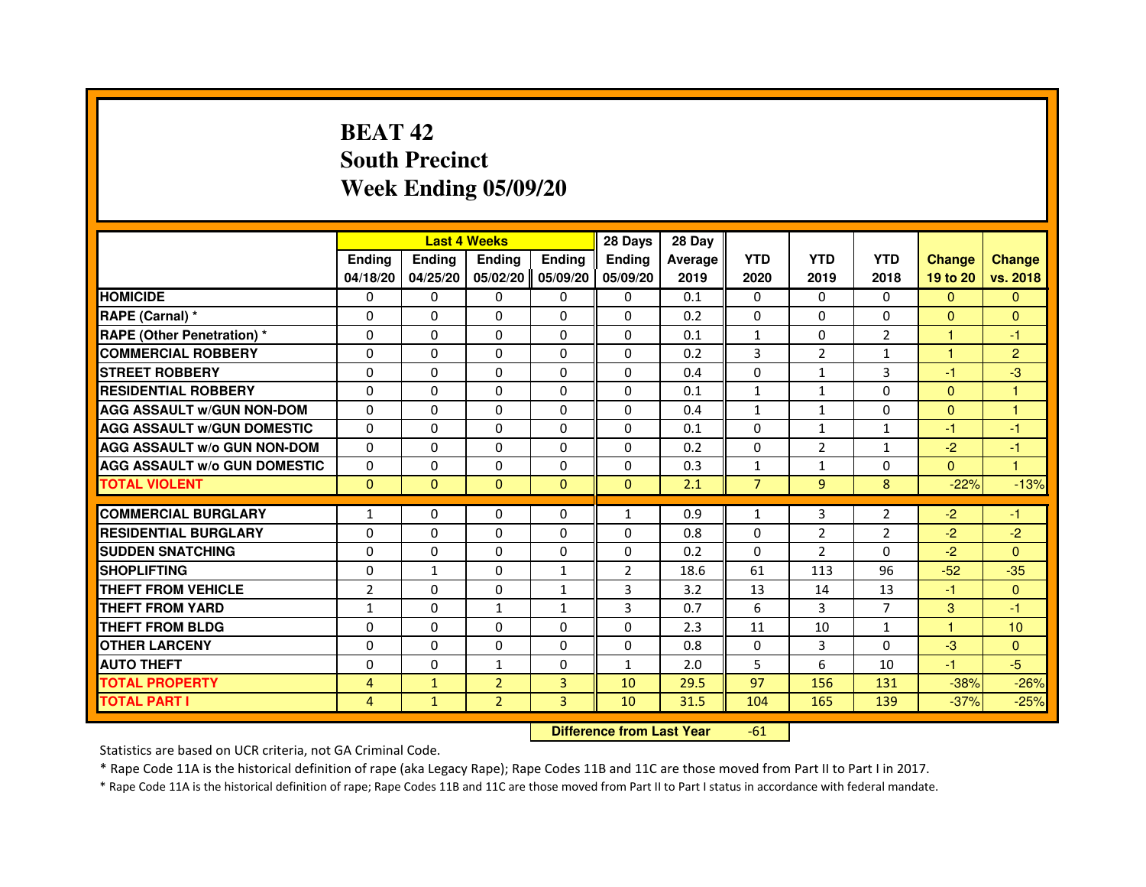# **BEAT 42 South PrecinctWeek Ending 05/09/20**

|                                     |                |               | <b>Last 4 Weeks</b> |               | 28 Days                          | 28 Day  |                |                |                |                |                |
|-------------------------------------|----------------|---------------|---------------------|---------------|----------------------------------|---------|----------------|----------------|----------------|----------------|----------------|
|                                     | <b>Ending</b>  | <b>Ending</b> | <b>Ending</b>       | <b>Ending</b> | <b>Ending</b>                    | Average | <b>YTD</b>     | <b>YTD</b>     | <b>YTD</b>     | <b>Change</b>  | <b>Change</b>  |
|                                     | 04/18/20       | 04/25/20      | 05/02/20            | 05/09/20      | 05/09/20                         | 2019    | 2020           | 2019           | 2018           | 19 to 20       | vs. 2018       |
| <b>HOMICIDE</b>                     | 0              | 0             | $\mathbf{0}$        | 0             | 0                                | 0.1     | $\mathbf{0}$   | $\Omega$       | $\Omega$       | $\Omega$       | $\mathbf{0}$   |
| RAPE (Carnal) *                     | 0              | 0             | 0                   | 0             | 0                                | 0.2     | 0              | 0              | 0              | $\mathbf{0}$   | $\mathbf{0}$   |
| <b>RAPE (Other Penetration) *</b>   | $\Omega$       | $\Omega$      | 0                   | $\Omega$      | $\Omega$                         | 0.1     | 1              | $\Omega$       | $\overline{2}$ | $\mathbf{1}$   | -1             |
| <b>COMMERCIAL ROBBERY</b>           | 0              | $\Omega$      | $\Omega$            | $\Omega$      | 0                                | 0.2     | 3              | $\overline{2}$ | $\mathbf{1}$   | $\mathbf{1}$   | $\overline{2}$ |
| <b>STREET ROBBERY</b>               | $\Omega$       | $\Omega$      | $\Omega$            | $\Omega$      | $\Omega$                         | 0.4     | $\Omega$       | $\mathbf{1}$   | 3              | $-1$           | $-3$           |
| <b>RESIDENTIAL ROBBERY</b>          | 0              | 0             | 0                   | 0             | 0                                | 0.1     | $\mathbf{1}$   | 1              | $\Omega$       | $\overline{0}$ | 1              |
| <b>AGG ASSAULT W/GUN NON-DOM</b>    | $\Omega$       | $\Omega$      | 0                   | $\Omega$      | $\Omega$                         | 0.4     | $\mathbf{1}$   | $\mathbf{1}$   | 0              | $\mathbf{0}$   | $\mathbf{1}$   |
| <b>AGG ASSAULT W/GUN DOMESTIC</b>   | $\Omega$       | $\Omega$      | 0                   | $\Omega$      | $\Omega$                         | 0.1     | $\Omega$       | $\mathbf{1}$   | $\mathbf{1}$   | $-1$           | $-1$           |
| <b>AGG ASSAULT W/o GUN NON-DOM</b>  | $\Omega$       | $\Omega$      | $\Omega$            | $\Omega$      | $\mathbf{0}$                     | 0.2     | $\mathbf{0}$   | $\overline{2}$ | $\mathbf{1}$   | $-2$           | -1             |
| <b>AGG ASSAULT W/o GUN DOMESTIC</b> | 0              | $\Omega$      | 0                   | $\Omega$      | $\Omega$                         | 0.3     | $\mathbf{1}$   | 1              | 0              | $\Omega$       | $\mathbf{1}$   |
| <b>TOTAL VIOLENT</b>                | $\mathbf{0}$   | $\mathbf{0}$  | $\mathbf{0}$        | $\mathbf{0}$  | $\mathbf{0}$                     | 2.1     | $\overline{7}$ | $\overline{9}$ | 8              | $-22%$         | $-13%$         |
| <b>COMMERCIAL BURGLARY</b>          | 1              | 0             | 0                   | 0             | $\mathbf{1}$                     | 0.9     | $\mathbf{1}$   | 3              | 2              | $-2$           | $-1$           |
| <b>RESIDENTIAL BURGLARY</b>         | 0              | $\Omega$      | 0                   | $\Omega$      | 0                                | 0.8     | 0              | $\overline{2}$ | $\overline{2}$ | $-2$           | $-2$           |
| <b>SUDDEN SNATCHING</b>             | 0              | $\Omega$      | $\Omega$            | $\Omega$      | $\Omega$                         | 0.2     | $\Omega$       | $\overline{2}$ | $\Omega$       | $-2$           | $\Omega$       |
| <b>SHOPLIFTING</b>                  | 0              | $\mathbf{1}$  | 0                   | 1             | 2                                | 18.6    | 61             | 113            | 96             | $-52$          | $-35$          |
| THEFT FROM VEHICLE                  | $\overline{2}$ | $\Omega$      | 0                   | $\mathbf{1}$  | 3                                | 3.2     | 13             | 14             | 13             | $-1$           | $\overline{0}$ |
| <b>THEFT FROM YARD</b>              | 1              | $\Omega$      | $\mathbf{1}$        | 1             | 3                                | 0.7     | 6              | 3              | $\overline{7}$ | 3              | $-1$           |
| <b>THEFT FROM BLDG</b>              | $\Omega$       | $\Omega$      | $\Omega$            | $\Omega$      | $\Omega$                         | 2.3     | 11             | 10             | $\mathbf{1}$   | $\mathbf{1}$   | 10             |
| <b>OTHER LARCENY</b>                | $\Omega$       | $\Omega$      | 0                   | $\Omega$      | $\Omega$                         | 0.8     | $\Omega$       | 3              | $\Omega$       | $-3$           | $\Omega$       |
| <b>AUTO THEFT</b>                   | $\Omega$       | $\Omega$      | $\mathbf{1}$        | $\Omega$      | $\mathbf{1}$                     | 2.0     | 5              | 6              | 10             | $-1$           | $-5$           |
| <b>TOTAL PROPERTY</b>               | 4              | $\mathbf{1}$  | $\overline{2}$      | 3             | 10                               | 29.5    | 97             | 156            | 131            | $-38%$         | $-26%$         |
| <b>TOTAL PART I</b>                 | $\overline{4}$ | $\mathbf{1}$  | $\overline{2}$      | 3             | 10                               | 31.5    | 104            | 165            | 139            | $-37%$         | $-25%$         |
|                                     |                |               |                     |               | <b>Difference from Last Year</b> |         | $-61$          |                |                |                |                |

 **Difference from Last Year**

Statistics are based on UCR criteria, not GA Criminal Code.

\* Rape Code 11A is the historical definition of rape (aka Legacy Rape); Rape Codes 11B and 11C are those moved from Part II to Part I in 2017.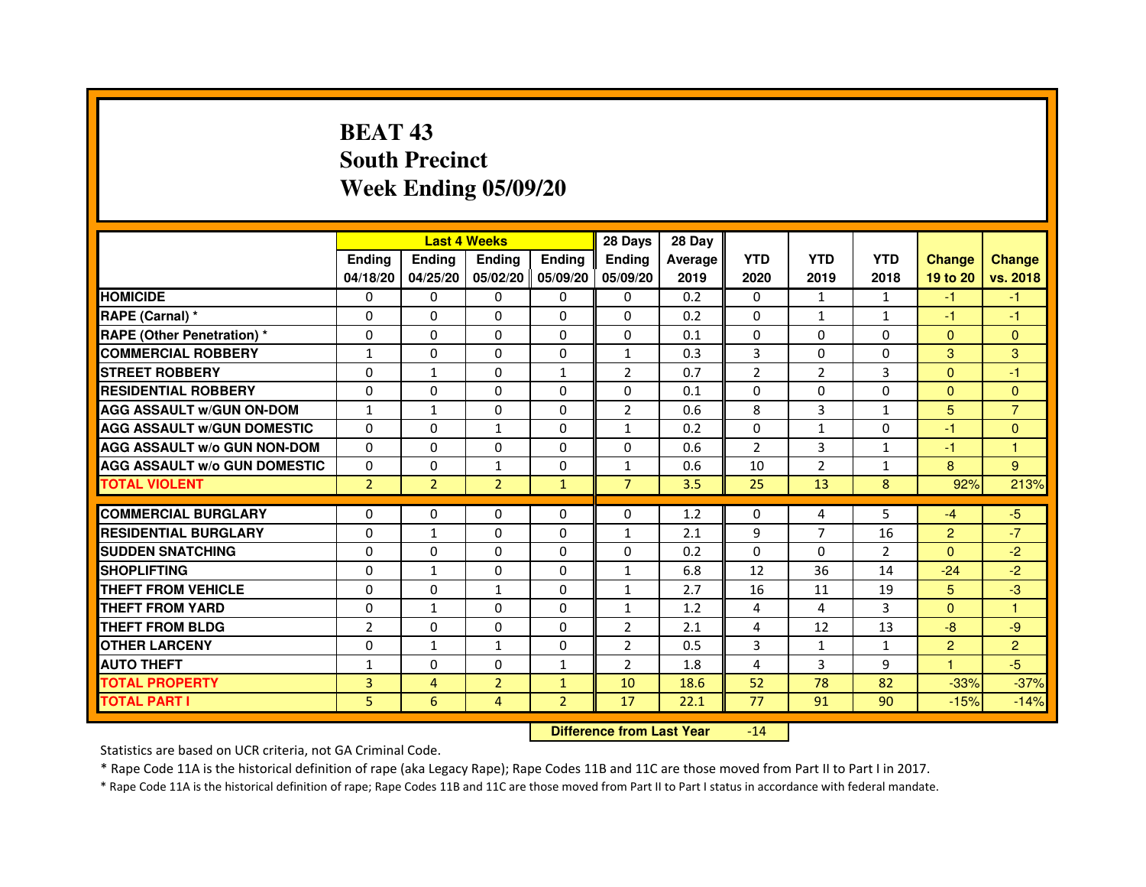# **BEAT 43 South PrecinctWeek Ending 05/09/20**

|                                     |                | <b>Last 4 Weeks</b> |                |                   | 28 Days        | 28 Day  |                |                |                |                |                |
|-------------------------------------|----------------|---------------------|----------------|-------------------|----------------|---------|----------------|----------------|----------------|----------------|----------------|
|                                     | <b>Endina</b>  | <b>Endina</b>       | <b>Endina</b>  | <b>Ending</b>     | <b>Endina</b>  | Average | <b>YTD</b>     | <b>YTD</b>     | <b>YTD</b>     | <b>Change</b>  | <b>Change</b>  |
|                                     | 04/18/20       | 04/25/20            |                | 05/02/20 05/09/20 | 05/09/20       | 2019    | 2020           | 2019           | 2018           | 19 to 20       | vs. 2018       |
| <b>HOMICIDE</b>                     | 0              | 0                   | $\mathbf{0}$   | 0                 | 0              | 0.2     | $\mathbf{0}$   | 1              | $\mathbf{1}$   | $-1$           | $-1$           |
| RAPE (Carnal) *                     | $\Omega$       | $\Omega$            | $\Omega$       | $\Omega$          | $\Omega$       | 0.2     | $\Omega$       | $\mathbf{1}$   | $\mathbf{1}$   | $-1$           | $-1$           |
| <b>RAPE (Other Penetration) *</b>   | 0              | $\Omega$            | 0              | $\mathbf{0}$      | $\Omega$       | 0.1     | $\Omega$       | $\Omega$       | $\Omega$       | $\Omega$       | $\Omega$       |
| <b>COMMERCIAL ROBBERY</b>           | 1              | 0                   | 0              | 0                 | $\mathbf{1}$   | 0.3     | 3              | 0              | $\Omega$       | 3              | 3              |
| <b>STREET ROBBERY</b>               | 0              | 1                   | 0              | 1                 | $\overline{2}$ | 0.7     | $\overline{2}$ | $\overline{2}$ | 3              | $\Omega$       | $-1$           |
| <b>RESIDENTIAL ROBBERY</b>          | 0              | 0                   | $\Omega$       | $\Omega$          | $\Omega$       | 0.1     | $\Omega$       | $\Omega$       | $\Omega$       | $\Omega$       | $\Omega$       |
| <b>AGG ASSAULT w/GUN ON-DOM</b>     | $\mathbf{1}$   | $\mathbf{1}$        | $\Omega$       | $\Omega$          | $\overline{2}$ | 0.6     | 8              | 3              | $\mathbf{1}$   | 5              | $\overline{7}$ |
| <b>AGG ASSAULT W/GUN DOMESTIC</b>   | 0              | 0                   | $\mathbf{1}$   | 0                 | $\mathbf{1}$   | 0.2     | 0              | $\mathbf{1}$   | $\Omega$       | $-1$           | $\Omega$       |
| <b>AGG ASSAULT W/o GUN NON-DOM</b>  | $\Omega$       | 0                   | $\Omega$       | $\Omega$          | $\Omega$       | 0.6     | $\overline{2}$ | 3              | 1              | $-1$           | 1              |
| <b>AGG ASSAULT W/o GUN DOMESTIC</b> | $\Omega$       | 0                   | $\mathbf{1}$   | 0                 | $\mathbf{1}$   | 0.6     | 10             | $\overline{2}$ | $\mathbf{1}$   | 8              | 9              |
| <b>TOTAL VIOLENT</b>                | $\overline{2}$ | $\overline{2}$      | $\overline{2}$ | $\mathbf{1}$      | $\overline{7}$ | 3.5     | 25             | 13             | 8              | 92%            | 213%           |
|                                     |                |                     |                |                   |                |         |                |                |                |                |                |
| <b>COMMERCIAL BURGLARY</b>          | 0              | 0                   | 0              | 0                 | $\Omega$       | 1.2     | $\Omega$       | 4              | 5              | $-4$           | $-5$           |
| <b>RESIDENTIAL BURGLARY</b>         | 0              | $\mathbf{1}$        | 0              | $\Omega$          | $\mathbf{1}$   | 2.1     | 9              | 7              | 16             | $\overline{2}$ | $-7$           |
| <b>SUDDEN SNATCHING</b>             | 0              | 0                   | 0              | 0                 | $\Omega$       | 0.2     | $\Omega$       | $\Omega$       | $\overline{2}$ | $\Omega$       | $-2$           |
| <b>SHOPLIFTING</b>                  | 0              | $\mathbf{1}$        | 0              | $\Omega$          | $\mathbf{1}$   | 6.8     | 12             | 36             | 14             | $-24$          | $-2$           |
| <b>THEFT FROM VEHICLE</b>           | 0              | $\Omega$            | $\mathbf{1}$   | $\mathbf{0}$      | $\mathbf{1}$   | 2.7     | 16             | 11             | 19             | 5              | -3             |
| <b>THEFT FROM YARD</b>              | $\Omega$       | $\mathbf{1}$        | $\Omega$       | $\Omega$          | $\mathbf{1}$   | 1.2     | $\overline{4}$ | 4              | 3              | $\Omega$       | $\mathbf{1}$   |
| <b>THEFT FROM BLDG</b>              | $\overline{2}$ | 0                   | 0              | 0                 | $\overline{2}$ | 2.1     | 4              | 12             | 13             | $-8$           | -9             |
| <b>OTHER LARCENY</b>                | 0              | $\mathbf{1}$        | 1              | $\Omega$          | $\overline{2}$ | 0.5     | 3              | $\mathbf{1}$   | $\mathbf{1}$   | $\overline{2}$ | $\overline{2}$ |
| <b>AUTO THEFT</b>                   | $\mathbf{1}$   | 0                   | $\Omega$       | $\mathbf{1}$      | $\overline{2}$ | 1.8     | 4              | 3              | 9              | $\mathbf{1}$   | $-5$           |
| <b>TOTAL PROPERTY</b>               | 3              | 4                   | $\overline{2}$ | $\mathbf{1}$      | 10             | 18.6    | 52             | 78             | 82             | $-33%$         | $-37%$         |
| <b>TOTAL PART I</b>                 | 5              | 6                   | 4              | $\overline{2}$    | 17             | 22.1    | 77             | 91             | 90             | $-15%$         | $-14%$         |

 **Difference from Last Year**-14

Statistics are based on UCR criteria, not GA Criminal Code.

\* Rape Code 11A is the historical definition of rape (aka Legacy Rape); Rape Codes 11B and 11C are those moved from Part II to Part I in 2017.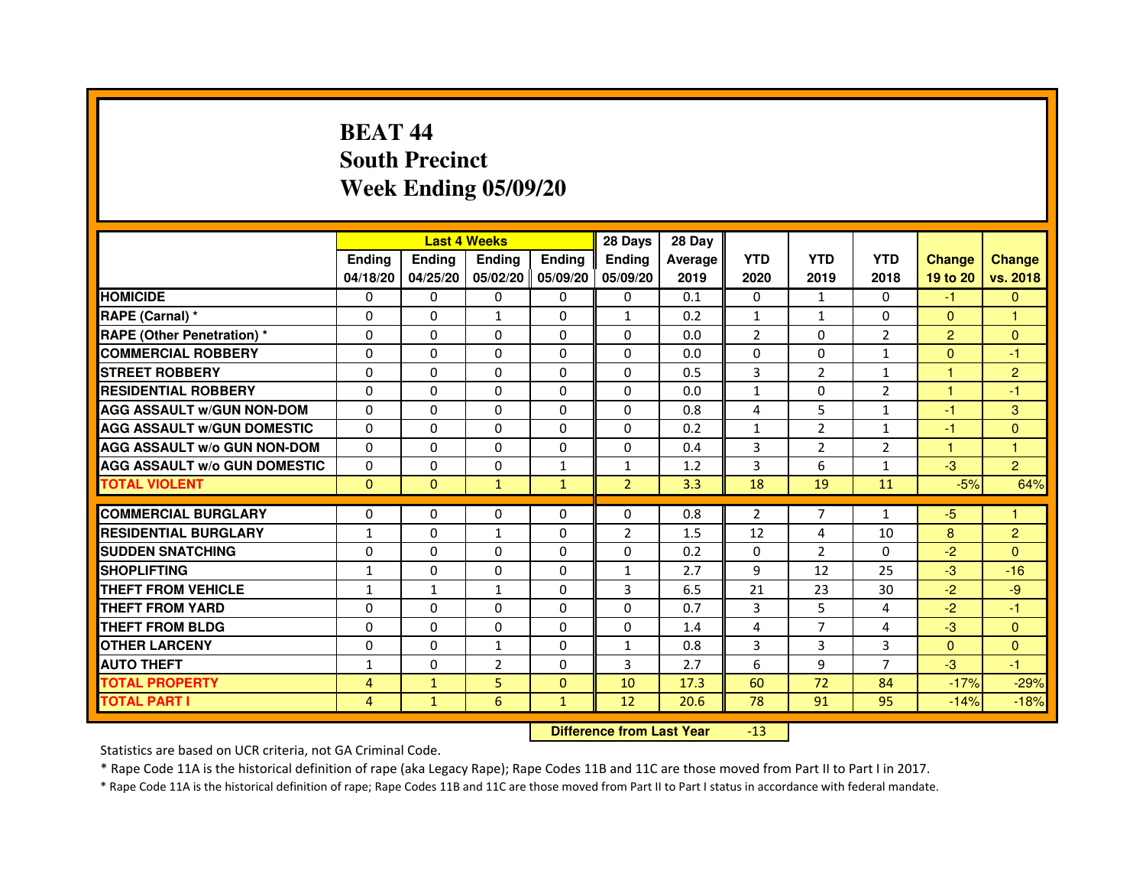# **BEAT 44 South PrecinctWeek Ending 05/09/20**

|                                     |                | <b>Last 4 Weeks</b> |                |                   | 28 Days        | 28 Day  |              |                |                |                |                |
|-------------------------------------|----------------|---------------------|----------------|-------------------|----------------|---------|--------------|----------------|----------------|----------------|----------------|
|                                     | <b>Endina</b>  | Ending              | <b>Endina</b>  | <b>Endina</b>     | <b>Endina</b>  | Average | <b>YTD</b>   | <b>YTD</b>     | <b>YTD</b>     | <b>Change</b>  | <b>Change</b>  |
|                                     | 04/18/20       | 04/25/20            |                | 05/02/20 05/09/20 | 05/09/20       | 2019    | 2020         | 2019           | 2018           | 19 to 20       | vs. 2018       |
| <b>HOMICIDE</b>                     | 0              | 0                   | 0              | 0                 | 0              | 0.1     | $\mathbf{0}$ | $\mathbf{1}$   | $\Omega$       | -1             | $\mathbf{0}$   |
| RAPE (Carnal) *                     | $\Omega$       | $\Omega$            | $\mathbf{1}$   | $\Omega$          | $\mathbf{1}$   | 0.2     | $\mathbf{1}$ | $\mathbf{1}$   | $\Omega$       | $\Omega$       | 1              |
| <b>RAPE (Other Penetration)*</b>    | $\Omega$       | $\Omega$            | $\Omega$       | $\Omega$          | $\Omega$       | 0.0     | 2            | $\Omega$       | 2              | $\overline{2}$ | $\Omega$       |
| <b>COMMERCIAL ROBBERY</b>           | 0              | 0                   | 0              | 0                 | 0              | 0.0     | 0            | 0              | $\mathbf{1}$   | $\Omega$       | -1             |
| <b>STREET ROBBERY</b>               | 0              | $\Omega$            | 0              | 0                 | 0              | 0.5     | 3            | $\overline{2}$ | $\mathbf{1}$   | 1              | $\overline{2}$ |
| <b>RESIDENTIAL ROBBERY</b>          | 0              | $\Omega$            | 0              | $\Omega$          | $\Omega$       | 0.0     | $\mathbf{1}$ | $\Omega$       | $\overline{2}$ | $\mathbf{1}$   | $-1$           |
| <b>AGG ASSAULT w/GUN NON-DOM</b>    | $\Omega$       | $\Omega$            | $\Omega$       | $\mathbf{0}$      | $\Omega$       | 0.8     | 4            | 5              | $\mathbf{1}$   | $-1$           | 3              |
| <b>AGG ASSAULT W/GUN DOMESTIC</b>   | $\Omega$       | $\Omega$            | $\Omega$       | $\Omega$          | $\Omega$       | 0.2     | $\mathbf{1}$ | $\mathcal{P}$  | $\mathbf{1}$   | $-1$           | $\Omega$       |
| <b>AGG ASSAULT W/o GUN NON-DOM</b>  | 0              | 0                   | 0              | 0                 | $\Omega$       | 0.4     | 3            | 2              | 2              | 1              | 1              |
| <b>AGG ASSAULT W/o GUN DOMESTIC</b> | 0              | 0                   | 0              | 1                 | 1              | 1.2     | 3            | 6              | $\mathbf{1}$   | $-3$           | $\overline{2}$ |
| <b>TOTAL VIOLENT</b>                | $\Omega$       | $\Omega$            | $\mathbf{1}$   | $\mathbf{1}$      | $\overline{2}$ | 3.3     | 18           | 19             | 11             | $-5%$          | 64%            |
|                                     |                |                     |                |                   |                |         |              |                |                |                |                |
| <b>COMMERCIAL BURGLARY</b>          | 0              | 0                   | 0              | 0                 | $\Omega$       | 0.8     | 2            | 7              | 1              | -5             | 1              |
| <b>RESIDENTIAL BURGLARY</b>         | $\mathbf{1}$   | 0                   | $\mathbf{1}$   | $\Omega$          | $\overline{2}$ | 1.5     | 12           | 4              | 10             | 8              | $\overline{2}$ |
| <b>SUDDEN SNATCHING</b>             | 0              | $\Omega$            | $\Omega$       | $\Omega$          | $\Omega$       | 0.2     | $\Omega$     | 2              | $\Omega$       | $-2$           | $\Omega$       |
| <b>SHOPLIFTING</b>                  | $\mathbf{1}$   | $\Omega$            | $\Omega$       | $\mathbf{0}$      | $\mathbf{1}$   | 2.7     | 9            | 12             | 25             | $-3$           | $-16$          |
| <b>THEFT FROM VEHICLE</b>           | $\mathbf{1}$   | $\mathbf{1}$        | $\mathbf{1}$   | $\mathbf{0}$      | 3              | 6.5     | 21           | 23             | 30             | $-2$           | $-9$           |
| <b>THEFT FROM YARD</b>              | $\Omega$       | 0                   | $\Omega$       | $\Omega$          | $\Omega$       | 0.7     | 3            | 5              | $\overline{a}$ | $-2$           | $-1$           |
| <b>THEFT FROM BLDG</b>              | 0              | $\Omega$            | 0              | $\mathbf{0}$      | $\Omega$       | 1.4     | 4            | 7              | $\overline{4}$ | $-3$           | $\Omega$       |
| <b>OTHER LARCENY</b>                | 0              | 0                   | $\mathbf{1}$   | $\Omega$          | $\mathbf{1}$   | 0.8     | 3            | 3              | 3              | $\Omega$       | $\Omega$       |
| <b>AUTO THEFT</b>                   | $\mathbf{1}$   | $\mathbf 0$         | $\overline{2}$ | $\mathbf{0}$      | 3              | 2.7     | 6            | 9              | $\overline{7}$ | $-3$           | $-1$           |
| <b>TOTAL PROPERTY</b>               | $\overline{4}$ | $\mathbf{1}$        | 5              | $\mathbf{0}$      | 10             | 17.3    | 60           | 72             | 84             | $-17%$         | $-29%$         |
| <b>TOTAL PART I</b>                 | 4              | $\mathbf{1}$        | 6              | $\mathbf{1}$      | 12             | 20.6    | 78           | 91             | 95             | $-14%$         | $-18%$         |

 **Difference from Last Year**-13

Statistics are based on UCR criteria, not GA Criminal Code.

\* Rape Code 11A is the historical definition of rape (aka Legacy Rape); Rape Codes 11B and 11C are those moved from Part II to Part I in 2017.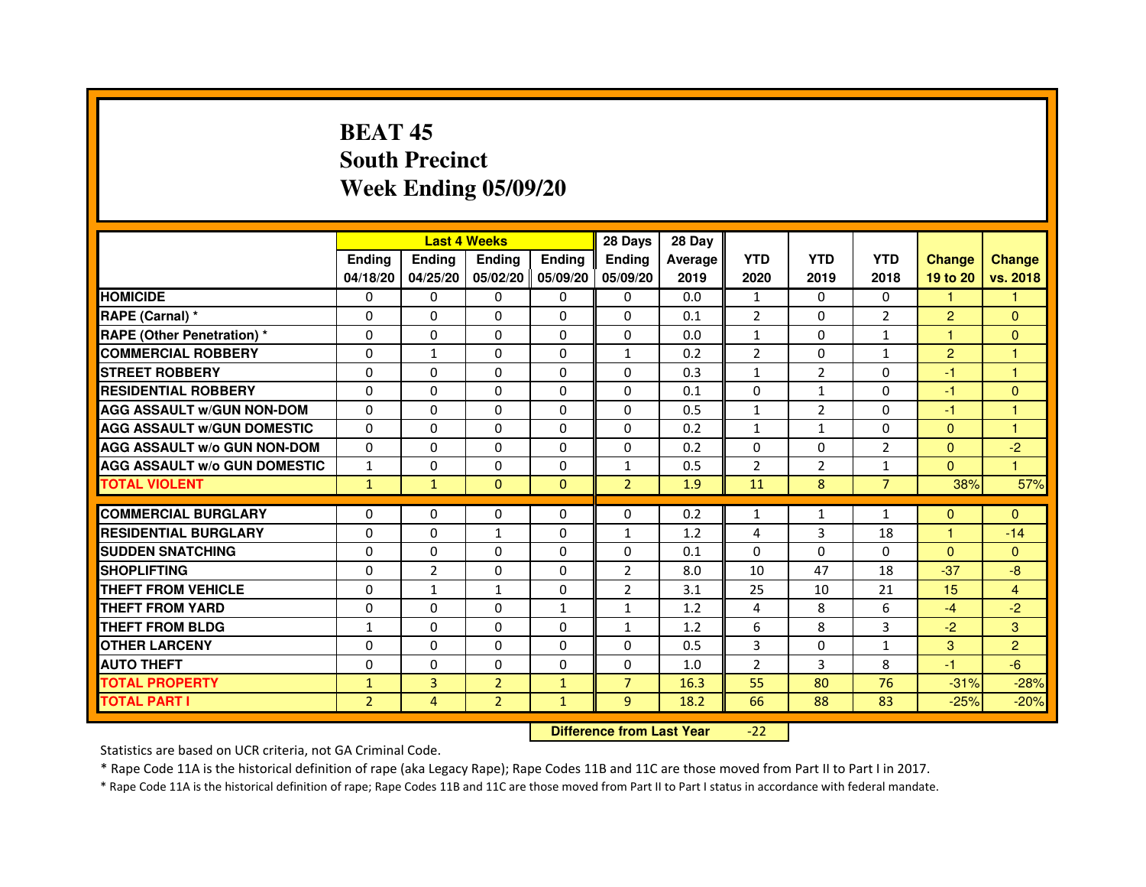# **BEAT 45 South PrecinctWeek Ending 05/09/20**

|                                     |                |                | <b>Last 4 Weeks</b> |                   | 28 Days        | 28 Day  |                |                |                |                |                |
|-------------------------------------|----------------|----------------|---------------------|-------------------|----------------|---------|----------------|----------------|----------------|----------------|----------------|
|                                     | <b>Endina</b>  | Ending         | <b>Endina</b>       | <b>Endina</b>     | <b>Endina</b>  | Average | <b>YTD</b>     | <b>YTD</b>     | <b>YTD</b>     | <b>Change</b>  | <b>Change</b>  |
|                                     | 04/18/20       | 04/25/20       |                     | 05/02/20 05/09/20 | 05/09/20       | 2019    | 2020           | 2019           | 2018           | 19 to 20       | vs. 2018       |
| <b>HOMICIDE</b>                     | 0              | 0              | 0                   | 0                 | 0              | 0.0     | $\mathbf{1}$   | $\Omega$       | 0              | $\mathbf{1}$   | 1              |
| RAPE (Carnal) *                     | $\Omega$       | $\Omega$       | $\Omega$            | $\Omega$          | $\Omega$       | 0.1     | $\overline{2}$ | $\Omega$       | $\overline{2}$ | $\overline{2}$ | $\Omega$       |
| <b>RAPE (Other Penetration)*</b>    | $\Omega$       | $\Omega$       | $\Omega$            | $\Omega$          | $\Omega$       | 0.0     | $\mathbf{1}$   | $\Omega$       | $\mathbf{1}$   | 1              | $\Omega$       |
| <b>COMMERCIAL ROBBERY</b>           | 0              | 1              | 0                   | 0                 | $\mathbf{1}$   | 0.2     | $\overline{2}$ | 0              | $\mathbf{1}$   | $\overline{2}$ | 1              |
| <b>STREET ROBBERY</b>               | 0              | $\Omega$       | 0                   | 0                 | 0              | 0.3     | $\mathbf{1}$   | $\overline{2}$ | 0              | $-1$           | 1              |
| <b>RESIDENTIAL ROBBERY</b>          | 0              | $\Omega$       | 0                   | $\Omega$          | $\Omega$       | 0.1     | $\Omega$       | $\mathbf{1}$   | $\Omega$       | $-1$           | $\Omega$       |
| <b>AGG ASSAULT w/GUN NON-DOM</b>    | $\Omega$       | $\Omega$       | $\Omega$            | $\mathbf{0}$      | $\Omega$       | 0.5     | $\mathbf{1}$   | $\overline{2}$ | $\Omega$       | $-1$           | 1              |
| <b>AGG ASSAULT W/GUN DOMESTIC</b>   | $\Omega$       | $\Omega$       | $\Omega$            | $\Omega$          | $\Omega$       | 0.2     | $\mathbf{1}$   | $\mathbf{1}$   | $\Omega$       | $\Omega$       | 1              |
| <b>AGG ASSAULT W/o GUN NON-DOM</b>  | 0              | 0              | 0                   | 0                 | $\Omega$       | 0.2     | $\Omega$       | $\Omega$       | $\overline{2}$ | $\Omega$       | $-2$           |
| <b>AGG ASSAULT W/o GUN DOMESTIC</b> | $\mathbf{1}$   | 0              | 0                   | $\mathbf{0}$      | 1              | 0.5     | $\overline{2}$ | 2              | 1              | $\Omega$       | 1              |
| <b>TOTAL VIOLENT</b>                | $\mathbf{1}$   | $\mathbf{1}$   | $\Omega$            | $\Omega$          | $\overline{2}$ | 1.9     | 11             | 8              | $\overline{7}$ | 38%            | 57%            |
|                                     |                |                |                     |                   |                |         |                |                |                |                |                |
| <b>COMMERCIAL BURGLARY</b>          | 0              | 0              | 0                   | 0                 | $\Omega$       | 0.2     | $\mathbf{1}$   | $\mathbf{1}$   | 1              | $\Omega$       | $\mathbf{0}$   |
| <b>RESIDENTIAL BURGLARY</b>         | 0              | 0              | $\mathbf{1}$        | $\Omega$          | $\mathbf{1}$   | 1.2     | 4              | 3              | 18             | 1              | $-14$          |
| <b>SUDDEN SNATCHING</b>             | 0              | $\Omega$       | $\Omega$            | $\Omega$          | $\Omega$       | 0.1     | $\Omega$       | $\Omega$       | $\Omega$       | $\Omega$       | $\Omega$       |
| <b>SHOPLIFTING</b>                  | $\Omega$       | $\overline{2}$ | $\Omega$            | $\mathbf{0}$      | $\overline{2}$ | 8.0     | 10             | 47             | 18             | $-37$          | -8             |
| <b>THEFT FROM VEHICLE</b>           | 0              | $\mathbf{1}$   | $\mathbf{1}$        | $\mathbf{0}$      | $\overline{2}$ | 3.1     | 25             | 10             | 21             | 15             | $\overline{4}$ |
| <b>THEFT FROM YARD</b>              | $\Omega$       | 0              | $\Omega$            | $\mathbf{1}$      | $\mathbf{1}$   | 1.2     | 4              | 8              | 6              | $-4$           | $-2$           |
| <b>THEFT FROM BLDG</b>              | 1              | $\Omega$       | 0                   | $\mathbf{0}$      | 1              | 1.2     | 6              | 8              | 3              | $-2$           | 3              |
| <b>OTHER LARCENY</b>                | 0              | 0              | $\Omega$            | $\Omega$          | $\Omega$       | 0.5     | 3              | $\Omega$       | 1              | 3              | $\overline{2}$ |
| <b>AUTO THEFT</b>                   | 0              | 0              | 0                   | $\Omega$          | $\Omega$       | 1.0     | $\overline{2}$ | 3              | 8              | $-1$           | -6             |
| <b>TOTAL PROPERTY</b>               | $\mathbf{1}$   | 3              | $\overline{2}$      | $\mathbf{1}$      | $\overline{7}$ | 16.3    | 55             | 80             | 76             | $-31%$         | $-28%$         |
| <b>TOTAL PART I</b>                 | $\overline{2}$ | 4              | $\overline{2}$      | $\mathbf{1}$      | 9              | 18.2    | 66             | 88             | 83             | $-25%$         | $-20%$         |

 **Difference from Last Year**-22

Statistics are based on UCR criteria, not GA Criminal Code.

\* Rape Code 11A is the historical definition of rape (aka Legacy Rape); Rape Codes 11B and 11C are those moved from Part II to Part I in 2017.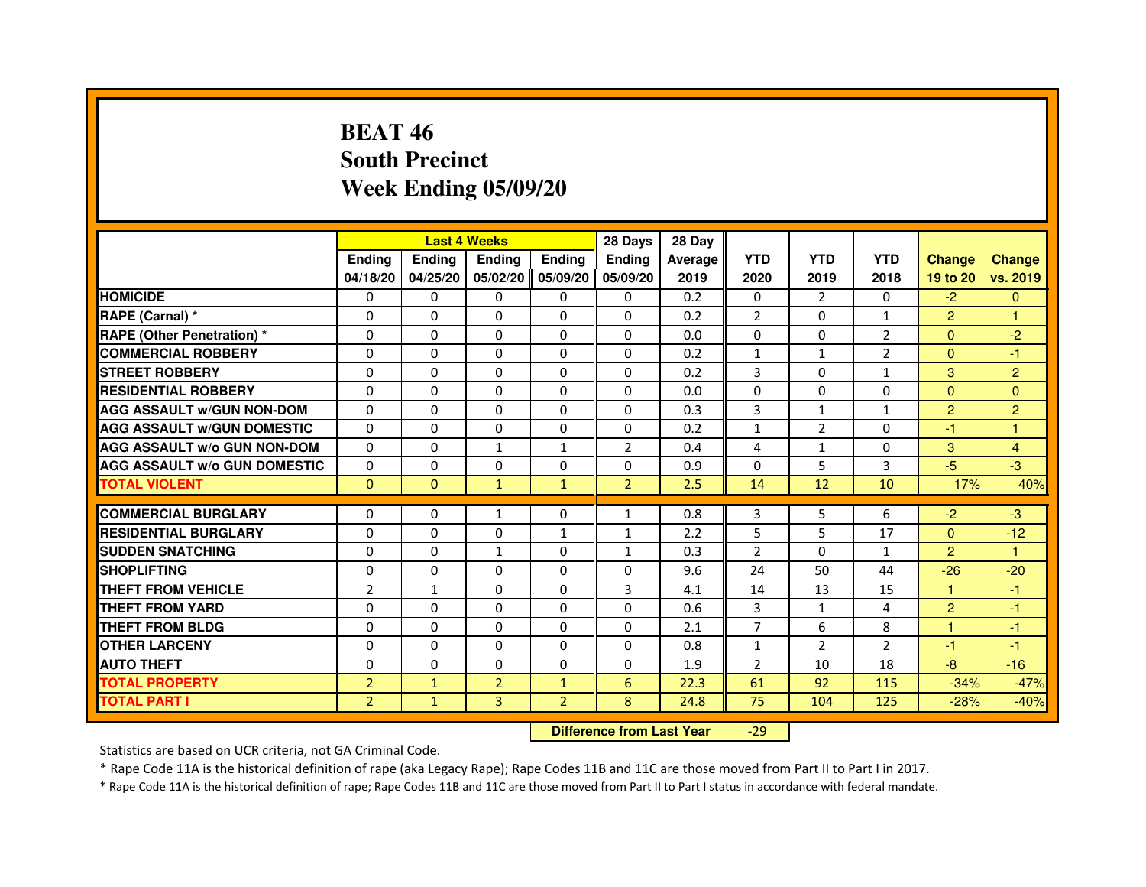# **BEAT 46 South PrecinctWeek Ending 05/09/20**

|                                     |                | <b>Last 4 Weeks</b>              |                |                | 28 Days        | 28 Day  |                |                |                |                |                |
|-------------------------------------|----------------|----------------------------------|----------------|----------------|----------------|---------|----------------|----------------|----------------|----------------|----------------|
|                                     | <b>Ending</b>  | Ending                           | Ending         | Ending         | Ending         | Average | <b>YTD</b>     | <b>YTD</b>     | <b>YTD</b>     | <b>Change</b>  | <b>Change</b>  |
|                                     | 04/18/20       | 04/25/20                         | 05/02/20       | 05/09/20       | 05/09/20       | 2019    | 2020           | 2019           | 2018           | 19 to 20       | vs. 2019       |
| <b>HOMICIDE</b>                     | 0              | $\Omega$                         | 0              | 0              | $\mathbf{0}$   | 0.2     | $\mathbf{0}$   | $\mathcal{P}$  | $\Omega$       | $-2$           | $\mathbf{0}$   |
| RAPE (Carnal) *                     | 0              | 0                                | 0              | 0              | 0              | 0.2     | 2              | 0              | $\mathbf{1}$   | $\overline{2}$ | 1              |
| RAPE (Other Penetration) *          | $\Omega$       | $\Omega$                         | $\Omega$       | $\Omega$       | $\Omega$       | 0.0     | $\Omega$       | $\Omega$       | $\overline{2}$ | $\Omega$       | $-2$           |
| <b>COMMERCIAL ROBBERY</b>           | 0              | $\Omega$                         | $\Omega$       | $\Omega$       | $\Omega$       | 0.2     | $\mathbf{1}$   | $\mathbf{1}$   | $\overline{2}$ | $\Omega$       | $-1$           |
| <b>STREET ROBBERY</b>               | $\Omega$       | $\Omega$                         | $\Omega$       | $\Omega$       | $\Omega$       | 0.2     | 3              | $\Omega$       | $\mathbf{1}$   | 3              | $\overline{2}$ |
| <b>RESIDENTIAL ROBBERY</b>          | 0              | 0                                | 0              | 0              | 0              | 0.0     | 0              | 0              | 0              | $\Omega$       | $\mathbf{0}$   |
| <b>AGG ASSAULT w/GUN NON-DOM</b>    | $\Omega$       | $\Omega$                         | $\Omega$       | $\Omega$       | $\Omega$       | 0.3     | 3              | $\mathbf{1}$   | $\mathbf{1}$   | $\overline{2}$ | $\overline{2}$ |
| <b>AGG ASSAULT W/GUN DOMESTIC</b>   | $\Omega$       | $\Omega$                         | $\Omega$       | $\Omega$       | $\Omega$       | 0.2     | $\mathbf 1$    | $\overline{2}$ | 0              | $-1$           | $\mathbf{1}$   |
| <b>AGG ASSAULT W/o GUN NON-DOM</b>  | $\Omega$       | $\Omega$                         | $\mathbf{1}$   | $\mathbf{1}$   | 2              | 0.4     | 4              | $\mathbf{1}$   | $\Omega$       | 3              | 4              |
| <b>AGG ASSAULT w/o GUN DOMESTIC</b> | $\Omega$       | $\Omega$                         | $\Omega$       | $\Omega$       | $\Omega$       | 0.9     | $\Omega$       | 5              | 3              | $-5$           | $-3$           |
| <b>TOTAL VIOLENT</b>                | $\mathbf{0}$   | $\mathbf{0}$                     | $\mathbf{1}$   | $\mathbf{1}$   | $\overline{2}$ | 2.5     | 14             | 12             | 10             | 17%            | 40%            |
| <b>COMMERCIAL BURGLARY</b>          | 0              | 0                                | 1              | 0              | $\mathbf{1}$   | 0.8     | 3              | 5              | 6              | $-2$           | $-3$           |
| <b>RESIDENTIAL BURGLARY</b>         | 0              | $\Omega$                         | 0              | 1              | $\mathbf{1}$   | 2.2     | 5              | 5              | 17             | $\mathbf{0}$   | $-12$          |
| <b>SUDDEN SNATCHING</b>             | $\Omega$       | $\Omega$                         | $\mathbf{1}$   | $\Omega$       | $\mathbf{1}$   | 0.3     | $\overline{2}$ | $\Omega$       | $\mathbf{1}$   | $\overline{2}$ | $\mathbf{1}$   |
| <b>SHOPLIFTING</b>                  | 0              | $\Omega$                         | $\Omega$       | $\Omega$       | $\Omega$       | 9.6     | 24             | 50             | 44             | $-26$          | $-20$          |
| <b>THEFT FROM VEHICLE</b>           | $\overline{2}$ | $\mathbf{1}$                     | $\Omega$       | $\Omega$       | 3              | 4.1     | 14             | 13             | 15             | 1              | $-1$           |
| <b>THEFT FROM YARD</b>              | $\Omega$       | $\Omega$                         | $\Omega$       | $\Omega$       | $\Omega$       | 0.6     | 3              | $\mathbf{1}$   | 4              | $\overline{2}$ | $-1$           |
| <b>THEFT FROM BLDG</b>              | $\Omega$       | $\Omega$                         | $\Omega$       | $\Omega$       | $\Omega$       | 2.1     | $\overline{7}$ | 6              | 8              | $\mathbf{1}$   | $-1$           |
| <b>OTHER LARCENY</b>                | 0              | $\Omega$                         | $\Omega$       | $\Omega$       | $\Omega$       | 0.8     | $\mathbf{1}$   | $\overline{2}$ | $\overline{2}$ | -1             | $-1$           |
| <b>AUTO THEFT</b>                   | $\Omega$       | $\Omega$                         | $\Omega$       | $\Omega$       | $\Omega$       | 1.9     | $\overline{2}$ | 10             | 18             | $-8-$          | $-16$          |
| <b>TOTAL PROPERTY</b>               | $\overline{2}$ | $\mathbf{1}$                     | $\overline{2}$ | $\mathbf{1}$   | $6\phantom{1}$ | 22.3    | 61             | 92             | 115            | $-34%$         | $-47%$         |
| <b>TOTAL PART I</b>                 | $\overline{2}$ | $\mathbf{1}$                     | 3              | $\overline{2}$ | 8              | 24.8    | 75             | 104            | 125            | $-28%$         | $-40%$         |
|                                     |                | <b>Difference from Last Year</b> |                | $-29$          |                |         |                |                |                |                |                |

 **Difference from Last Year**

Statistics are based on UCR criteria, not GA Criminal Code.

\* Rape Code 11A is the historical definition of rape (aka Legacy Rape); Rape Codes 11B and 11C are those moved from Part II to Part I in 2017.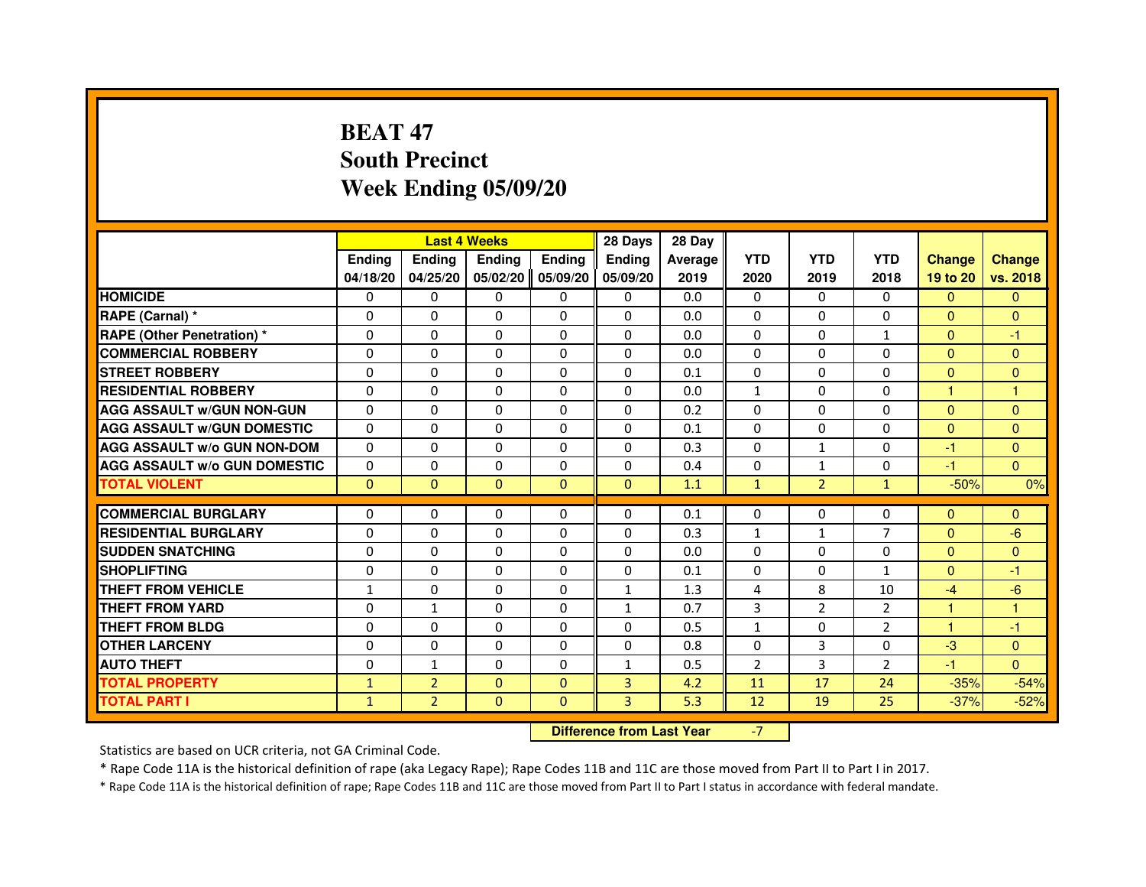# **BEAT 47 South PrecinctWeek Ending 05/09/20**

|                                     |               | <b>Last 4 Weeks</b>              |              |              | 28 Days      | 28 Day  |                |                |                |                |                |
|-------------------------------------|---------------|----------------------------------|--------------|--------------|--------------|---------|----------------|----------------|----------------|----------------|----------------|
|                                     | <b>Ending</b> | Ending                           | Ending       | Ending       | Ending       | Average | <b>YTD</b>     | <b>YTD</b>     | <b>YTD</b>     | <b>Change</b>  | <b>Change</b>  |
|                                     | 04/18/20      | 04/25/20                         | 05/02/20     | 05/09/20     | 05/09/20     | 2019    | 2020           | 2019           | 2018           | 19 to 20       | vs. 2018       |
| <b>HOMICIDE</b>                     | 0             | 0                                | 0            | 0            | $\mathbf{0}$ | 0.0     | $\mathbf{0}$   | $\Omega$       | $\Omega$       | $\mathbf{0}$   | $\mathbf{0}$   |
| RAPE (Carnal) *                     | 0             | 0                                | 0            | 0            | 0            | 0.0     | 0              | 0              | 0              | $\Omega$       | $\mathbf{0}$   |
| RAPE (Other Penetration) *          | 0             | 0                                | $\Omega$     | $\Omega$     | $\Omega$     | 0.0     | $\Omega$       | $\Omega$       | $\mathbf{1}$   | $\Omega$       | -1             |
| <b>COMMERCIAL ROBBERY</b>           | 0             | $\Omega$                         | $\Omega$     | $\Omega$     | $\Omega$     | 0.0     | $\Omega$       | $\Omega$       | $\Omega$       | $\Omega$       | $\mathbf{0}$   |
| <b>STREET ROBBERY</b>               | $\Omega$      | $\Omega$                         | $\Omega$     | $\Omega$     | $\Omega$     | 0.1     | $\Omega$       | $\Omega$       | $\Omega$       | $\Omega$       | $\mathbf{0}$   |
| <b>RESIDENTIAL ROBBERY</b>          | 0             | 0                                | 0            | 0            | 0            | 0.0     | $\mathbf{1}$   | 0              | 0              | $\mathbf{1}$   | $\mathbf{1}$   |
| <b>AGG ASSAULT w/GUN NON-GUN</b>    | $\Omega$      | $\Omega$                         | $\Omega$     | $\Omega$     | $\Omega$     | 0.2     | $\Omega$       | $\Omega$       | 0              | $\Omega$       | $\Omega$       |
| <b>AGG ASSAULT W/GUN DOMESTIC</b>   | $\Omega$      | $\Omega$                         | $\Omega$     | $\Omega$     | $\Omega$     | 0.1     | $\Omega$       | $\Omega$       | $\Omega$       | $\Omega$       | $\Omega$       |
| <b>AGG ASSAULT W/o GUN NON-DOM</b>  | $\Omega$      | $\Omega$                         | $\Omega$     | $\Omega$     | $\Omega$     | 0.3     | $\Omega$       | $\mathbf{1}$   | $\Omega$       | $-1$           | $\mathbf{0}$   |
| <b>AGG ASSAULT w/o GUN DOMESTIC</b> | $\Omega$      | $\Omega$                         | $\Omega$     | $\Omega$     | $\Omega$     | 0.4     | $\Omega$       | $\mathbf{1}$   | $\Omega$       | $-1$           | $\Omega$       |
| <b>TOTAL VIOLENT</b>                | $\mathbf{0}$  | $\mathbf{0}$                     | $\mathbf{0}$ | $\mathbf{0}$ | $\mathbf{0}$ | 1.1     | $\mathbf{1}$   | $\overline{2}$ | $\mathbf{1}$   | $-50%$         | 0%             |
| <b>COMMERCIAL BURGLARY</b>          | 0             | 0                                | 0            | 0            | 0            | 0.1     | 0              | 0              | 0              | $\mathbf{0}$   | $\mathbf{0}$   |
| <b>RESIDENTIAL BURGLARY</b>         | 0             | $\Omega$                         | $\Omega$     | $\Omega$     | 0            | 0.3     | $\mathbf{1}$   | $\mathbf{1}$   | $\overline{7}$ | $\overline{0}$ | $-6$           |
| <b>SUDDEN SNATCHING</b>             | $\Omega$      | $\Omega$                         | $\Omega$     | $\Omega$     | $\Omega$     | 0.0     | $\Omega$       | $\Omega$       | $\Omega$       | $\Omega$       | $\overline{0}$ |
| <b>SHOPLIFTING</b>                  | 0             | $\Omega$                         | $\Omega$     | $\Omega$     | $\Omega$     | 0.1     | $\Omega$       | 0              | $\mathbf{1}$   | $\Omega$       | -1             |
| <b>THEFT FROM VEHICLE</b>           | 1             | 0                                | $\Omega$     | $\Omega$     | $\mathbf{1}$ | 1.3     | 4              | 8              | 10             | $-4$           | $-6$           |
| <b>THEFT FROM YARD</b>              | $\mathbf 0$   | $\mathbf{1}$                     | $\Omega$     | $\Omega$     | $\mathbf{1}$ | 0.7     | 3              | $\overline{2}$ | $\overline{2}$ | $\mathbf{1}$   | $\mathbf{1}$   |
| <b>THEFT FROM BLDG</b>              | $\Omega$      | $\Omega$                         | $\Omega$     | $\Omega$     | $\Omega$     | 0.5     | $\mathbf{1}$   | $\Omega$       | $\overline{2}$ | $\mathbf{1}$   | $-1$           |
| <b>OTHER LARCENY</b>                | $\Omega$      | $\Omega$                         | $\Omega$     | $\Omega$     | $\Omega$     | 0.8     | $\Omega$       | 3              | 0              | $-3$           | $\overline{0}$ |
| <b>AUTO THEFT</b>                   | $\Omega$      | $\mathbf{1}$                     | $\Omega$     | $\Omega$     | $\mathbf{1}$ | 0.5     | $\overline{2}$ | 3              | $\overline{2}$ | $-1$           | $\Omega$       |
| <b>TOTAL PROPERTY</b>               | $\mathbf{1}$  | $\overline{2}$                   | $\Omega$     | $\Omega$     | 3            | 4.2     | 11             | 17             | 24             | $-35%$         | $-54%$         |
| <b>TOTAL PART I</b>                 | $\mathbf{1}$  | $\overline{2}$                   | $\mathbf{0}$ | $\mathbf{0}$ | 3            | 5.3     | 12             | 19             | 25             | $-37%$         | $-52%$         |
|                                     |               | <b>Difference from Last Year</b> |              | $-7$         |              |         |                |                |                |                |                |

 **Difference from Last Year**

Statistics are based on UCR criteria, not GA Criminal Code.

\* Rape Code 11A is the historical definition of rape (aka Legacy Rape); Rape Codes 11B and 11C are those moved from Part II to Part I in 2017.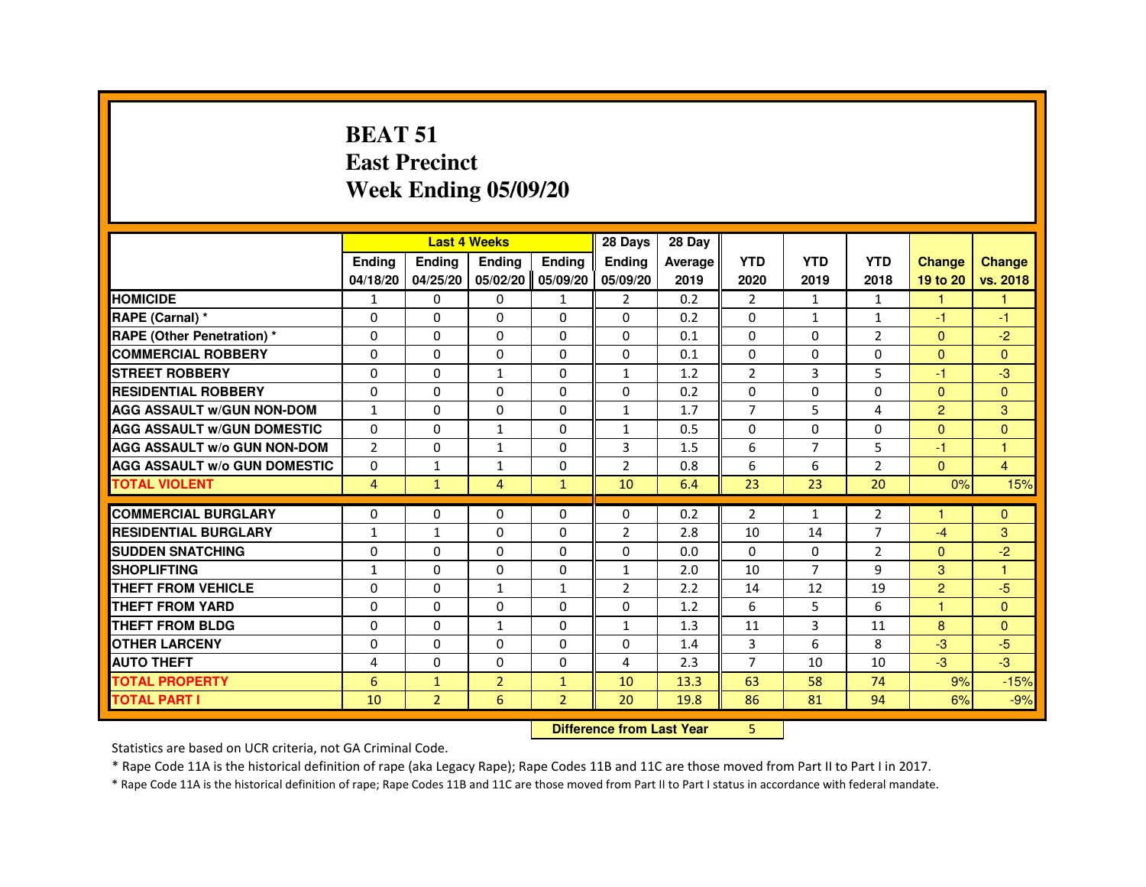#### **BEAT 51 East PrecinctWeek Ending 05/09/20**

|                                     |                |                                  | <b>Last 4 Weeks</b> |                | 28 Days        | 28 Day  |                |                |                |                |                      |
|-------------------------------------|----------------|----------------------------------|---------------------|----------------|----------------|---------|----------------|----------------|----------------|----------------|----------------------|
|                                     | <b>Ending</b>  | Ending                           | Ending              | <b>Ending</b>  | Ending         | Average | <b>YTD</b>     | <b>YTD</b>     | <b>YTD</b>     | <b>Change</b>  | <b>Change</b>        |
|                                     | 04/18/20       | 04/25/20                         | 05/02/20            | 05/09/20       | 05/09/20       | 2019    | 2020           | 2019           | 2018           | 19 to 20       | vs. 2018             |
| <b>HOMICIDE</b>                     | $\mathbf{1}$   | 0                                | 0                   | $\mathbf{1}$   | $\overline{2}$ | 0.2     | $\overline{2}$ | $\mathbf{1}$   | 1              | $\mathbf{1}$   | $\mathbf{1}$         |
| <b>RAPE (Carnal)</b> *              | 0              | 0                                | 0                   | $\Omega$       | $\Omega$       | 0.2     | 0              | $\mathbf{1}$   | $\mathbf{1}$   | $-1$           | $-1$                 |
| <b>RAPE (Other Penetration) *</b>   | $\Omega$       | $\Omega$                         | $\Omega$            | $\Omega$       | $\Omega$       | 0.1     | $\Omega$       | $\Omega$       | $\overline{2}$ | $\Omega$       | $-2$                 |
| <b>COMMERCIAL ROBBERY</b>           | $\Omega$       | $\Omega$                         | $\Omega$            | $\Omega$       | $\Omega$       | 0.1     | $\Omega$       | $\Omega$       | $\Omega$       | $\Omega$       | $\Omega$             |
| <b>STREET ROBBERY</b>               | $\Omega$       | $\Omega$                         | $\mathbf{1}$        | $\Omega$       | $\mathbf{1}$   | 1.2     | $\overline{2}$ | 3              | 5              | $-1$           | $-3$                 |
| <b>RESIDENTIAL ROBBERY</b>          | 0              | 0                                | 0                   | $\Omega$       | $\Omega$       | 0.2     | 0              | $\Omega$       | 0              | $\Omega$       | $\overline{0}$       |
| <b>AGG ASSAULT W/GUN NON-DOM</b>    | $\mathbf{1}$   | $\Omega$                         | $\Omega$            | $\Omega$       | $\mathbf{1}$   | 1.7     | $\overline{7}$ | 5              | 4              | $\overline{2}$ | 3                    |
| <b>AGG ASSAULT W/GUN DOMESTIC</b>   | $\Omega$       | $\Omega$                         | $\mathbf{1}$        | $\Omega$       | $\mathbf{1}$   | 0.5     | $\Omega$       | $\Omega$       | $\Omega$       | $\Omega$       | $\overline{0}$       |
| <b>AGG ASSAULT W/o GUN NON-DOM</b>  | $\overline{2}$ | 0                                | 1                   | $\Omega$       | 3              | 1.5     | 6              | $\overline{7}$ | 5              | $-1$           | $\overline{1}$       |
| <b>AGG ASSAULT W/o GUN DOMESTIC</b> | $\Omega$       | $\mathbf{1}$                     | $\mathbf{1}$        | $\Omega$       | $\overline{2}$ | 0.8     | 6              | 6              | $\overline{2}$ | $\mathbf{0}$   | $\overline{4}$       |
| <b>TOTAL VIOLENT</b>                | $\overline{4}$ | $\mathbf{1}$                     | $\overline{4}$      | $\mathbf{1}$   | 10             | 6.4     | 23             | 23             | 20             | 0%             | 15%                  |
| <b>COMMERCIAL BURGLARY</b>          | 0              | 0                                | 0                   | $\Omega$       | $\Omega$       | 0.2     | $\overline{2}$ | $\mathbf{1}$   | $\overline{2}$ | 1              | $\Omega$             |
| <b>RESIDENTIAL BURGLARY</b>         | $\mathbf{1}$   | $\mathbf{1}$                     | $\Omega$            | $\Omega$       | $\overline{2}$ | 2.8     | 10             | 14             | $\overline{7}$ | $-4$           | 3                    |
| <b>SUDDEN SNATCHING</b>             | $\Omega$       | $\Omega$                         | $\Omega$            | $\Omega$       | $\Omega$       | 0.0     | $\Omega$       | $\Omega$       | $\overline{2}$ | $\Omega$       | $-2$                 |
| <b>SHOPLIFTING</b>                  | 1              | 0                                | 0                   | $\Omega$       | 1              | 2.0     | 10             | $\overline{7}$ | 9              | 3              | $\blacktriangleleft$ |
| <b>THEFT FROM VEHICLE</b>           | $\Omega$       | $\Omega$                         | $\mathbf{1}$        | $\mathbf{1}$   | 2              | 2.2     | 14             | 12             | 19             | $\overline{2}$ | $-5$                 |
| <b>THEFT FROM YARD</b>              | $\Omega$       | $\Omega$                         | $\Omega$            | $\Omega$       | $\Omega$       | 1.2     | 6              | 5              | 6              | $\mathbf{1}$   | $\Omega$             |
| <b>THEFT FROM BLDG</b>              | 0              | $\Omega$                         | $\mathbf{1}$        | $\Omega$       | $\mathbf{1}$   | 1.3     | 11             | 3              | 11             | 8              | $\Omega$             |
| <b>OTHER LARCENY</b>                | $\Omega$       | $\Omega$                         | $\Omega$            | $\Omega$       | $\Omega$       | 1.4     | 3              | 6              | 8              | $-3$           | $-5$                 |
| <b>AUTO THEFT</b>                   | 4              | 0                                | $\Omega$            | 0              | 4              | 2.3     | $\overline{7}$ | 10             | 10             | $-3$           | $-3$                 |
| <b>TOTAL PROPERTY</b>               | 6              | $\mathbf{1}$                     | $\overline{2}$      | $\mathbf{1}$   | 10             | 13.3    | 63             | 58             | 74             | 9%             | $-15%$               |
| <b>TOTAL PART I</b>                 | 10             | $\overline{2}$                   | 6                   | $\overline{2}$ | 20             | 19.8    | 86             | 81             | 94             | 6%             | $-9%$                |
|                                     |                | <b>Difference from Last Year</b> |                     | 5.             |                |         |                |                |                |                |                      |

 **Difference from Last Year**

Statistics are based on UCR criteria, not GA Criminal Code.

\* Rape Code 11A is the historical definition of rape (aka Legacy Rape); Rape Codes 11B and 11C are those moved from Part II to Part I in 2017.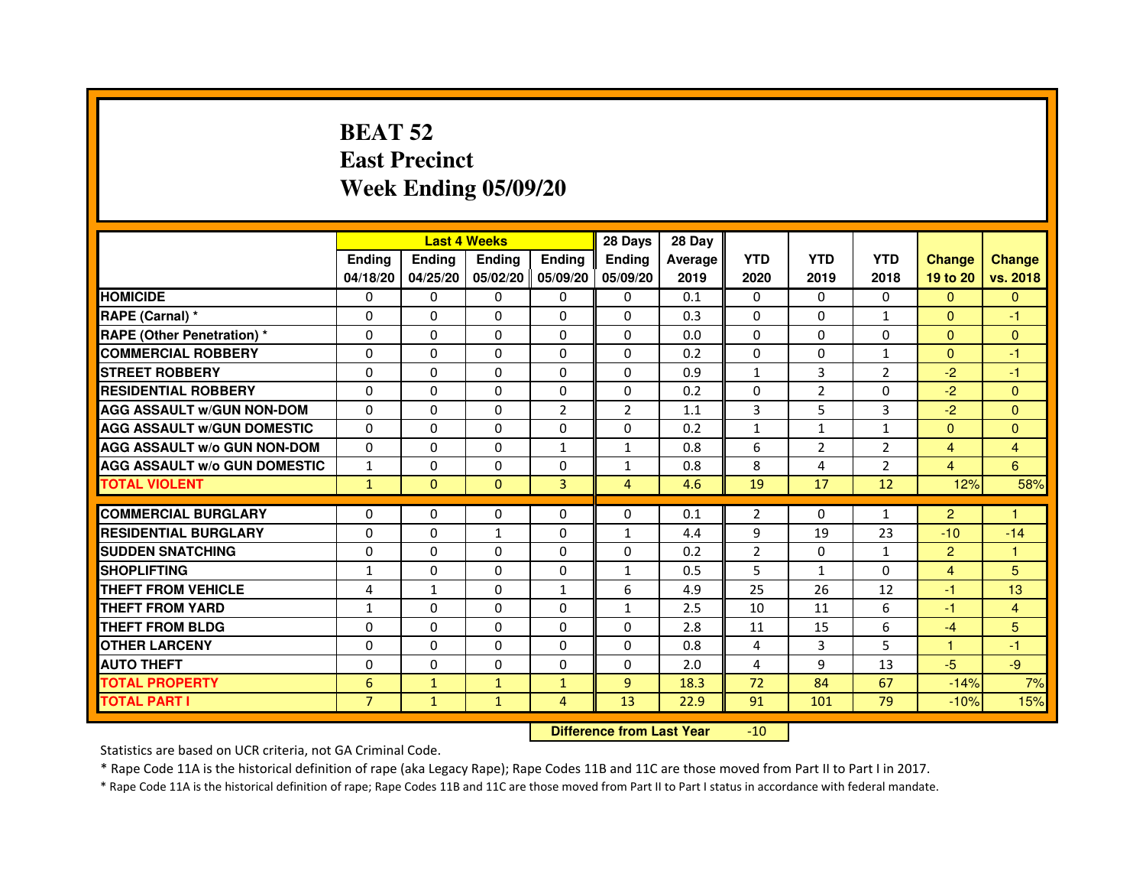# **BEAT 52 East PrecinctWeek Ending 05/09/20**

|                                     |                |              | <b>Last 4 Weeks</b> |                   | 28 Days        | 28 Day  |                |                |                |                |                |
|-------------------------------------|----------------|--------------|---------------------|-------------------|----------------|---------|----------------|----------------|----------------|----------------|----------------|
|                                     | <b>Endina</b>  | Ending       | <b>Endina</b>       | <b>Endina</b>     | <b>Endina</b>  | Average | <b>YTD</b>     | <b>YTD</b>     | <b>YTD</b>     | <b>Change</b>  | <b>Change</b>  |
|                                     | 04/18/20       | 04/25/20     |                     | 05/02/20 05/09/20 | 05/09/20       | 2019    | 2020           | 2019           | 2018           | 19 to 20       | vs. 2018       |
| <b>HOMICIDE</b>                     | 0              | $\mathbf{0}$ | $\mathbf{0}$        | $\mathbf{0}$      | $\mathbf{0}$   | 0.1     | $\Omega$       | $\Omega$       | $\Omega$       | $\Omega$       | $\mathbf{0}$   |
| RAPE (Carnal) *                     | $\mathbf 0$    | 0            | $\Omega$            | $\mathbf{0}$      | $\Omega$       | 0.3     | $\Omega$       | $\Omega$       | $\mathbf{1}$   | $\Omega$       | $-1$           |
| <b>RAPE (Other Penetration)*</b>    | 0              | $\Omega$     | 0                   | $\Omega$          | $\Omega$       | 0.0     | $\Omega$       | $\Omega$       | $\Omega$       | $\Omega$       | $\Omega$       |
| <b>COMMERCIAL ROBBERY</b>           | $\Omega$       | 0            | 0                   | $\Omega$          | $\Omega$       | 0.2     | $\Omega$       | $\Omega$       | 1              | $\Omega$       | $-1$           |
| <b>STREET ROBBERY</b>               | $\Omega$       | $\Omega$     | $\Omega$            | $\Omega$          | $\Omega$       | 0.9     | $\mathbf{1}$   | 3              | $\overline{2}$ | $-2$           | $-1$           |
| <b>RESIDENTIAL ROBBERY</b>          | 0              | 0            | 0                   | 0                 | 0              | 0.2     | 0              | $\overline{2}$ | $\Omega$       | $-2$           | $\Omega$       |
| <b>AGG ASSAULT W/GUN NON-DOM</b>    | $\Omega$       | 0            | $\Omega$            | $\overline{2}$    | $\overline{2}$ | 1.1     | 3              | 5              | 3              | $-2$           | $\Omega$       |
| <b>AGG ASSAULT W/GUN DOMESTIC</b>   | $\Omega$       | $\Omega$     | $\Omega$            | $\Omega$          | $\Omega$       | 0.2     | $\mathbf{1}$   | $\mathbf{1}$   | $\mathbf{1}$   | $\Omega$       | $\Omega$       |
| <b>AGG ASSAULT W/o GUN NON-DOM</b>  | 0              | 0            | 0                   | $\mathbf{1}$      | $\mathbf{1}$   | 0.8     | 6              | 2              | $\overline{2}$ | $\overline{4}$ | $\overline{4}$ |
| <b>AGG ASSAULT W/o GUN DOMESTIC</b> | $\mathbf{1}$   | 0            | 0                   | 0                 | 1              | 0.8     | 8              | 4              | $\overline{2}$ | $\overline{4}$ | 6              |
| <b>TOTAL VIOLENT</b>                | $\mathbf{1}$   | $\mathbf{0}$ | $\overline{0}$      | 3                 | 4              | 4.6     | 19             | 17             | 12             | 12%            | 58%            |
| <b>COMMERCIAL BURGLARY</b>          | 0              | 0            | 0                   | 0                 | $\Omega$       | 0.1     | $\overline{2}$ | 0              | $\mathbf{1}$   | $\overline{2}$ | 1              |
| <b>RESIDENTIAL BURGLARY</b>         | 0              | 0            | 1                   | $\Omega$          | $\mathbf{1}$   | 4.4     | 9              | 19             | 23             | $-10$          | $-14$          |
| <b>SUDDEN SNATCHING</b>             | 0              | 0            | 0                   | 0                 | 0              | 0.2     | $\overline{2}$ | 0              | $\mathbf{1}$   | $\overline{2}$ | 1              |
| <b>SHOPLIFTING</b>                  | $\mathbf{1}$   | 0            | 0                   | $\Omega$          | $\mathbf{1}$   | 0.5     | 5              | $\mathbf{1}$   | $\Omega$       | $\overline{4}$ | 5              |
| THEFT FROM VEHICLE                  | 4              | $\mathbf{1}$ | $\Omega$            | $\mathbf{1}$      | 6              | 4.9     | 25             | 26             | 12             | $-1$           | 13             |
| <b>THEFT FROM YARD</b>              | 1              | 0            | $\Omega$            | 0                 | $\mathbf{1}$   | 2.5     | 10             | 11             | 6              | $-1$           | 4              |
| <b>THEFT FROM BLDG</b>              | 0              | 0            | 0                   | 0                 | 0              | 2.8     | 11             | 15             | 6              | $-4$           | 5              |
| <b>OTHER LARCENY</b>                | 0              | $\Omega$     | 0                   | 0                 | 0              | 0.8     | 4              | 3              | 5              | 1              | $-1$           |
| <b>AUTO THEFT</b>                   | $\mathbf 0$    | 0            | $\mathbf 0$         | 0                 | $\Omega$       | 2.0     | 4              | 9              | 13             | $-5$           | $-9$           |
| <b>TOTAL PROPERTY</b>               | 6              | $\mathbf{1}$ | $\mathbf{1}$        | $\mathbf{1}$      | 9              | 18.3    | 72             | 84             | 67             | $-14%$         | 7%             |
| <b>TOTAL PART I</b>                 | $\overline{7}$ | $\mathbf{1}$ | $\mathbf{1}$        | 4                 | 13             | 22.9    | 91             | 101            | 79             | $-10%$         | 15%            |
|                                     |                |              |                     |                   |                |         |                |                |                |                |                |

#### **Difference from Last Year**-10

Statistics are based on UCR criteria, not GA Criminal Code.

\* Rape Code 11A is the historical definition of rape (aka Legacy Rape); Rape Codes 11B and 11C are those moved from Part II to Part I in 2017.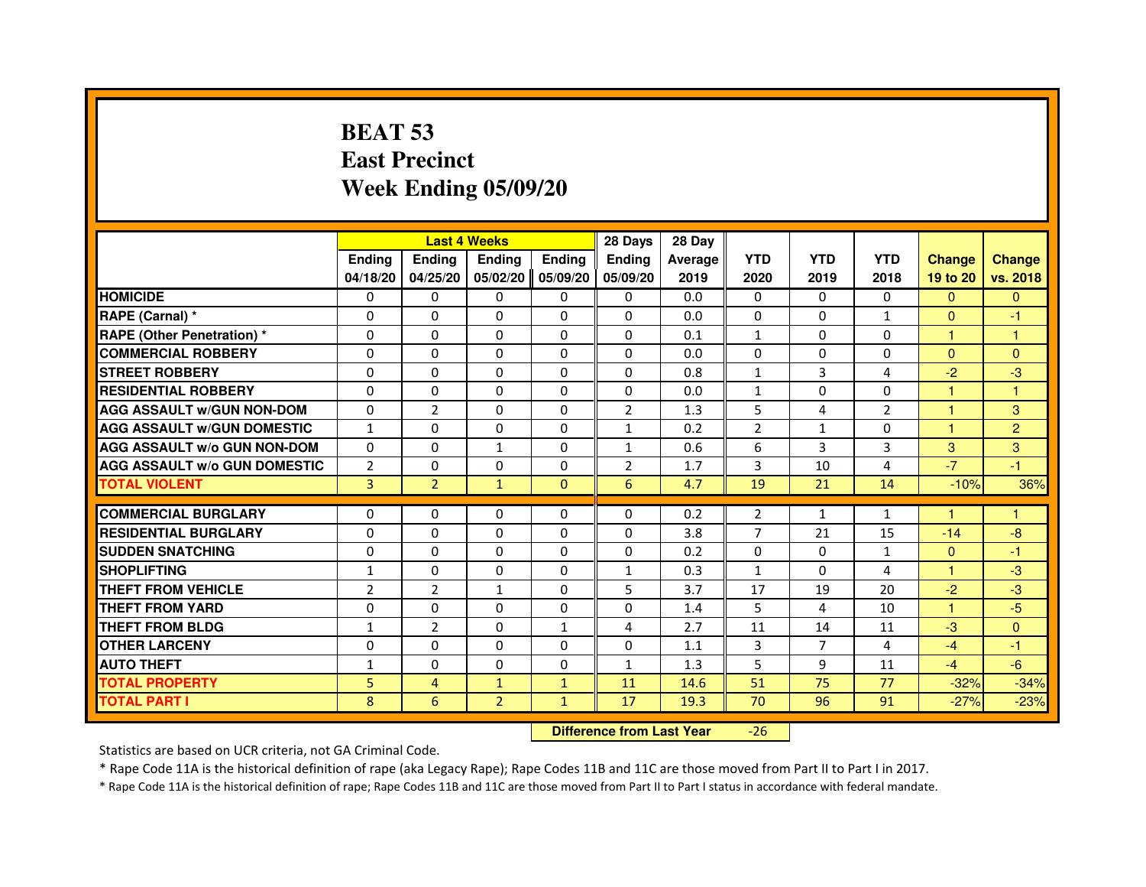# **BEAT 53 East PrecinctWeek Ending 05/09/20**

|                                     |                |                | <b>Last 4 Weeks</b> |               | 28 Days                          | 28 Day  |                |                |                |               |                |
|-------------------------------------|----------------|----------------|---------------------|---------------|----------------------------------|---------|----------------|----------------|----------------|---------------|----------------|
|                                     | <b>Ending</b>  | Ending         | <b>Ending</b>       | <b>Ending</b> | <b>Ending</b>                    | Average | <b>YTD</b>     | <b>YTD</b>     | <b>YTD</b>     | <b>Change</b> | <b>Change</b>  |
|                                     | 04/18/20       | 04/25/20       | 05/02/20            | 05/09/20      | 05/09/20                         | 2019    | 2020           | 2019           | 2018           | 19 to 20      | vs. 2018       |
| <b>HOMICIDE</b>                     | 0              | $\Omega$       | $\Omega$            | 0             | 0                                | 0.0     | 0              | $\Omega$       | $\Omega$       | $\Omega$      | $\mathbf{0}$   |
| RAPE (Carnal) *                     | 0              | $\mathbf{0}$   | 0                   | 0             | 0                                | 0.0     | 0              | 0              | $\mathbf{1}$   | $\Omega$      | -1             |
| RAPE (Other Penetration) *          | $\Omega$       | 0              | $\Omega$            | $\Omega$      | 0                                | 0.1     | $\mathbf{1}$   | $\mathbf{0}$   | 0              | 1             | 1              |
| <b>COMMERCIAL ROBBERY</b>           | $\Omega$       | $\Omega$       | $\Omega$            | $\Omega$      | $\Omega$                         | 0.0     | $\Omega$       | $\mathbf{0}$   | $\Omega$       | $\mathbf{0}$  | $\overline{0}$ |
| <b>STREET ROBBERY</b>               | $\Omega$       | $\Omega$       | $\Omega$            | $\Omega$      | $\Omega$                         | 0.8     | $\mathbf{1}$   | 3              | $\overline{a}$ | $-2$          | $-3$           |
| <b>RESIDENTIAL ROBBERY</b>          | 0              | 0              | 0                   | 0             | 0                                | 0.0     | $\mathbf{1}$   | $\Omega$       | $\Omega$       | 1             | 1              |
| <b>AGG ASSAULT w/GUN NON-DOM</b>    | $\Omega$       | $\overline{2}$ | $\Omega$            | $\Omega$      | $\overline{2}$                   | 1.3     | 5              | 4              | $\overline{2}$ | 1             | 3              |
| <b>AGG ASSAULT W/GUN DOMESTIC</b>   | $\mathbf{1}$   | $\Omega$       | $\Omega$            | $\Omega$      | $\mathbf{1}$                     | 0.2     | $\overline{2}$ | $\mathbf{1}$   | $\Omega$       | $\mathbf{1}$  | $\overline{2}$ |
| <b>AGG ASSAULT W/o GUN NON-DOM</b>  | $\Omega$       | $\Omega$       | $\mathbf{1}$        | $\Omega$      | $\mathbf{1}$                     | 0.6     | 6              | 3              | 3              | 3             | 3              |
| <b>AGG ASSAULT w/o GUN DOMESTIC</b> | $\overline{2}$ | $\Omega$       | 0                   | $\Omega$      | $\overline{2}$                   | 1.7     | 3              | 10             | 4              | $-7$          | $-1$           |
| <b>TOTAL VIOLENT</b>                | 3              | $\overline{2}$ | $\mathbf{1}$        | $\mathbf{0}$  | 6                                | 4.7     | 19             | 21             | 14             | $-10%$        | 36%            |
| <b>COMMERCIAL BURGLARY</b>          | 0              | 0              | 0                   | 0             | 0                                | 0.2     | 2              | $\mathbf{1}$   | $\mathbf{1}$   | 1             | 1              |
| <b>RESIDENTIAL BURGLARY</b>         | $\Omega$       | $\Omega$       | $\Omega$            | $\Omega$      | 0                                | 3.8     | 7              | 21             | 15             | $-14$         | $-8$           |
| <b>SUDDEN SNATCHING</b>             | $\Omega$       | $\Omega$       | $\Omega$            | $\Omega$      | $\Omega$                         | 0.2     | $\Omega$       | $\Omega$       | $\mathbf{1}$   | $\Omega$      | $-1$           |
| <b>SHOPLIFTING</b>                  | 1              | $\Omega$       | 0                   | 0             | 1                                | 0.3     | $\mathbf{1}$   | $\mathbf{0}$   | 4              | $\mathbf{1}$  | $-3$           |
| THEFT FROM VEHICLE                  | $\overline{2}$ | $\overline{2}$ | $\mathbf{1}$        | $\Omega$      | 5                                | 3.7     | 17             | 19             | 20             | $-2$          | $-3$           |
| <b>THEFT FROM YARD</b>              | $\Omega$       | $\Omega$       | $\Omega$            | $\Omega$      | $\Omega$                         | 1.4     | 5              | 4              | 10             | $\mathbf{1}$  | $-5$           |
| <b>THEFT FROM BLDG</b>              | $\mathbf{1}$   | $\overline{2}$ | $\Omega$            | $\mathbf{1}$  | 4                                | 2.7     | 11             | 14             | 11             | $-3$          | $\Omega$       |
| <b>OTHER LARCENY</b>                | 0              | $\Omega$       | $\mathbf{0}$        | 0             | 0                                | 1.1     | 3              | $\overline{7}$ | 4              | $-4$          | $-1$           |
| <b>AUTO THEFT</b>                   | $\mathbf{1}$   | $\Omega$       | $\Omega$            | $\Omega$      | $\mathbf{1}$                     | 1.3     | 5              | 9              | 11             | $-4$          | $-6$           |
| <b>TOTAL PROPERTY</b>               | 5              | $\overline{4}$ | $\mathbf{1}$        | $\mathbf{1}$  | 11                               | 14.6    | 51             | 75             | 77             | $-32%$        | $-34%$         |
| <b>TOTAL PART I</b>                 | 8              | 6              | $\overline{2}$      | $\mathbf{1}$  | 17                               | 19.3    | 70             | 96             | 91             | $-27%$        | $-23%$         |
|                                     |                |                |                     |               | <b>Difference from Last Year</b> |         | $-26$          |                |                |               |                |

Statistics are based on UCR criteria, not GA Criminal Code.

\* Rape Code 11A is the historical definition of rape (aka Legacy Rape); Rape Codes 11B and 11C are those moved from Part II to Part I in 2017.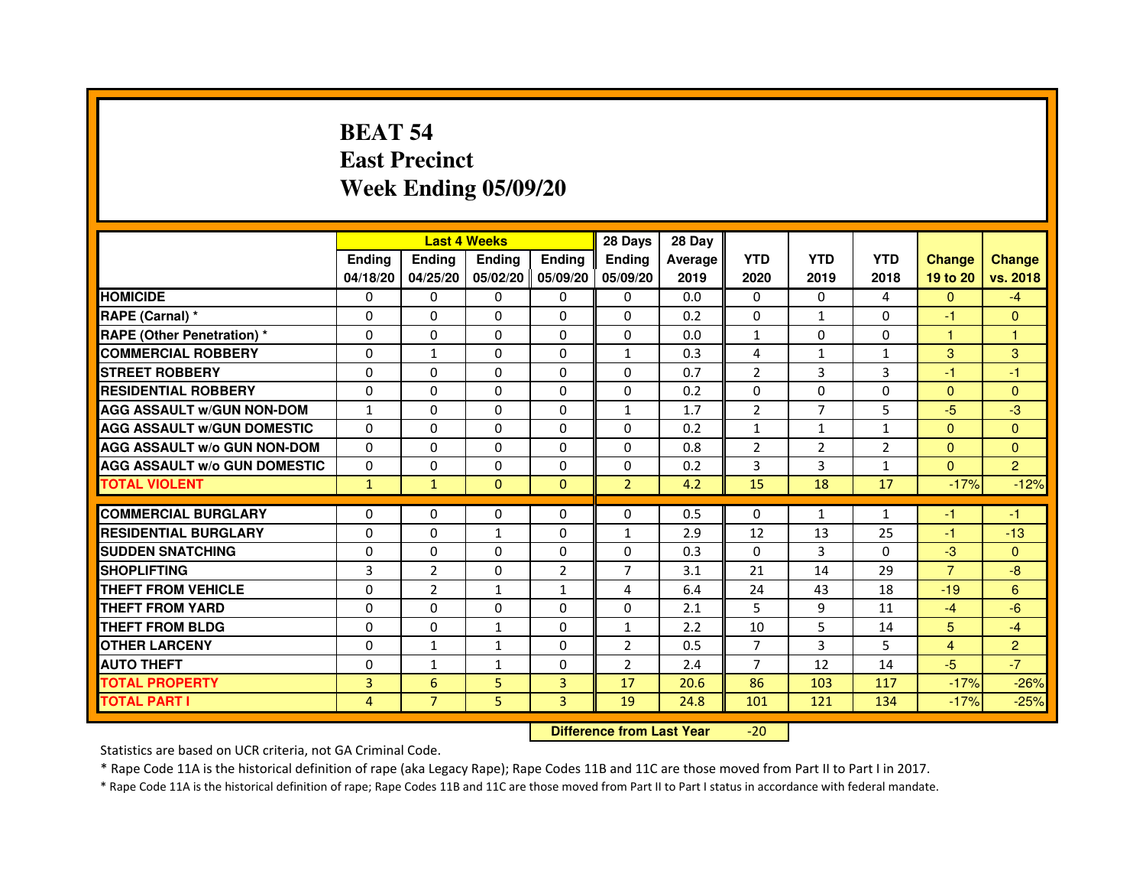# **BEAT 54 East PrecinctWeek Ending 05/09/20**

|                                     |               |                | <b>Last 4 Weeks</b> |                   | 28 Days        | 28 Day  |                |                |              |                |                |
|-------------------------------------|---------------|----------------|---------------------|-------------------|----------------|---------|----------------|----------------|--------------|----------------|----------------|
|                                     | <b>Endina</b> | Ending         | <b>Endina</b>       | <b>Endina</b>     | <b>Endina</b>  | Average | <b>YTD</b>     | <b>YTD</b>     | <b>YTD</b>   | <b>Change</b>  | <b>Change</b>  |
|                                     | 04/18/20      | 04/25/20       |                     | 05/02/20 05/09/20 | 05/09/20       | 2019    | 2020           | 2019           | 2018         | 19 to 20       | vs. 2018       |
| <b>HOMICIDE</b>                     | 0             | 0              | 0                   | $\Omega$          | 0              | 0.0     | $\mathbf{0}$   | $\Omega$       | 4            | $\mathbf{0}$   | $-4$           |
| RAPE (Carnal) *                     | $\Omega$      | $\Omega$       | $\Omega$            | $\Omega$          | $\Omega$       | 0.2     | $\Omega$       | $\mathbf{1}$   | $\Omega$     | $-1$           | $\Omega$       |
| <b>RAPE (Other Penetration)*</b>    | 0             | $\Omega$       | $\Omega$            | 0                 | $\Omega$       | 0.0     | $\mathbf{1}$   | $\Omega$       | $\Omega$     | $\mathbf{1}$   | 1              |
| <b>COMMERCIAL ROBBERY</b>           | 0             | 1              | 0                   | 0                 | $\mathbf{1}$   | 0.3     | 4              | $\mathbf{1}$   | $\mathbf{1}$ | 3              | 3              |
| <b>STREET ROBBERY</b>               | 0             | 0              | 0                   | 0                 | 0              | 0.7     | $\overline{2}$ | 3              | 3            | $-1$           | $-1$           |
| <b>RESIDENTIAL ROBBERY</b>          | 0             | $\Omega$       | 0                   | $\Omega$          | 0              | 0.2     | 0              | 0              | 0            | $\Omega$       | $\Omega$       |
| <b>AGG ASSAULT w/GUN NON-DOM</b>    | 1             | $\Omega$       | $\Omega$            | $\Omega$          | $\mathbf{1}$   | 1.7     | $\overline{2}$ | $\overline{7}$ | 5            | $-5$           | -3             |
| <b>AGG ASSAULT W/GUN DOMESTIC</b>   | $\Omega$      | 0              | 0                   | 0                 | $\Omega$       | 0.2     | $\mathbf{1}$   | $\mathbf{1}$   | $\mathbf{1}$ | $\Omega$       | $\Omega$       |
| <b>AGG ASSAULT W/o GUN NON-DOM</b>  | $\Omega$      | 0              | $\Omega$            | $\Omega$          | $\Omega$       | 0.8     | $\overline{2}$ | 2              | 2            | $\Omega$       | $\Omega$       |
| <b>AGG ASSAULT W/o GUN DOMESTIC</b> | $\Omega$      | 0              | 0                   | 0                 | 0              | 0.2     | 3              | 3              | 1            | $\Omega$       | $\overline{2}$ |
| <b>TOTAL VIOLENT</b>                | $\mathbf{1}$  | $\mathbf{1}$   | $\mathbf{0}$        | $\mathbf{0}$      | $\overline{2}$ | 4.2     | 15             | 18             | 17           | $-17%$         | $-12%$         |
|                                     |               |                |                     |                   |                |         |                |                |              |                |                |
| <b>COMMERCIAL BURGLARY</b>          | 0             | 0              | 0                   | 0                 | 0              | 0.5     | 0              | $\mathbf{1}$   | $\mathbf{1}$ | $-1$           | $-1$           |
| <b>RESIDENTIAL BURGLARY</b>         | 0             | 0              | $\mathbf{1}$        | 0                 | $\mathbf{1}$   | 2.9     | 12             | 13             | 25           | $-1$           | $-13$          |
| <b>SUDDEN SNATCHING</b>             | 0             | $\Omega$       | 0                   | $\Omega$          | $\Omega$       | 0.3     | $\Omega$       | 3              | $\Omega$     | $-3$           | $\Omega$       |
| <b>SHOPLIFTING</b>                  | 3             | $\overline{2}$ | $\Omega$            | $\overline{2}$    | $\overline{7}$ | 3.1     | 21             | 14             | 29           | $\overline{7}$ | $-8$           |
| THEFT FROM VEHICLE                  | $\Omega$      | $\overline{2}$ | $\mathbf{1}$        | $\mathbf{1}$      | 4              | 6.4     | 24             | 43             | 18           | $-19$          | 6              |
| <b>THEFT FROM YARD</b>              | 0             | 0              | $\Omega$            | $\Omega$          | $\Omega$       | 2.1     | 5              | 9              | 11           | $-4$           | $-6$           |
| <b>THEFT FROM BLDG</b>              | 0             | 0              | $\mathbf{1}$        | $\Omega$          | $\mathbf{1}$   | 2.2     | 10             | 5              | 14           | 5 <sup>5</sup> | $-4$           |
| <b>OTHER LARCENY</b>                | 0             | $\mathbf{1}$   | 1                   | $\Omega$          | $\overline{2}$ | 0.5     | $\overline{7}$ | 3              | 5            | $\overline{4}$ | $\overline{2}$ |
| <b>AUTO THEFT</b>                   | $\Omega$      | $\mathbf{1}$   | $\mathbf{1}$        | $\mathbf{0}$      | $\overline{2}$ | 2.4     | $\overline{7}$ | 12             | 14           | $-5$           | $-7$           |
| <b>TOTAL PROPERTY</b>               | 3             | 6              | 5                   | 3                 | 17             | 20.6    | 86             | 103            | 117          | $-17%$         | $-26%$         |
| <b>TOTAL PART I</b>                 | 4             | $\overline{7}$ | 5                   | 3                 | 19             | 24.8    | 101            | 121            | 134          | $-17%$         | $-25%$         |

 **Difference from Last Year**-20

Statistics are based on UCR criteria, not GA Criminal Code.

\* Rape Code 11A is the historical definition of rape (aka Legacy Rape); Rape Codes 11B and 11C are those moved from Part II to Part I in 2017.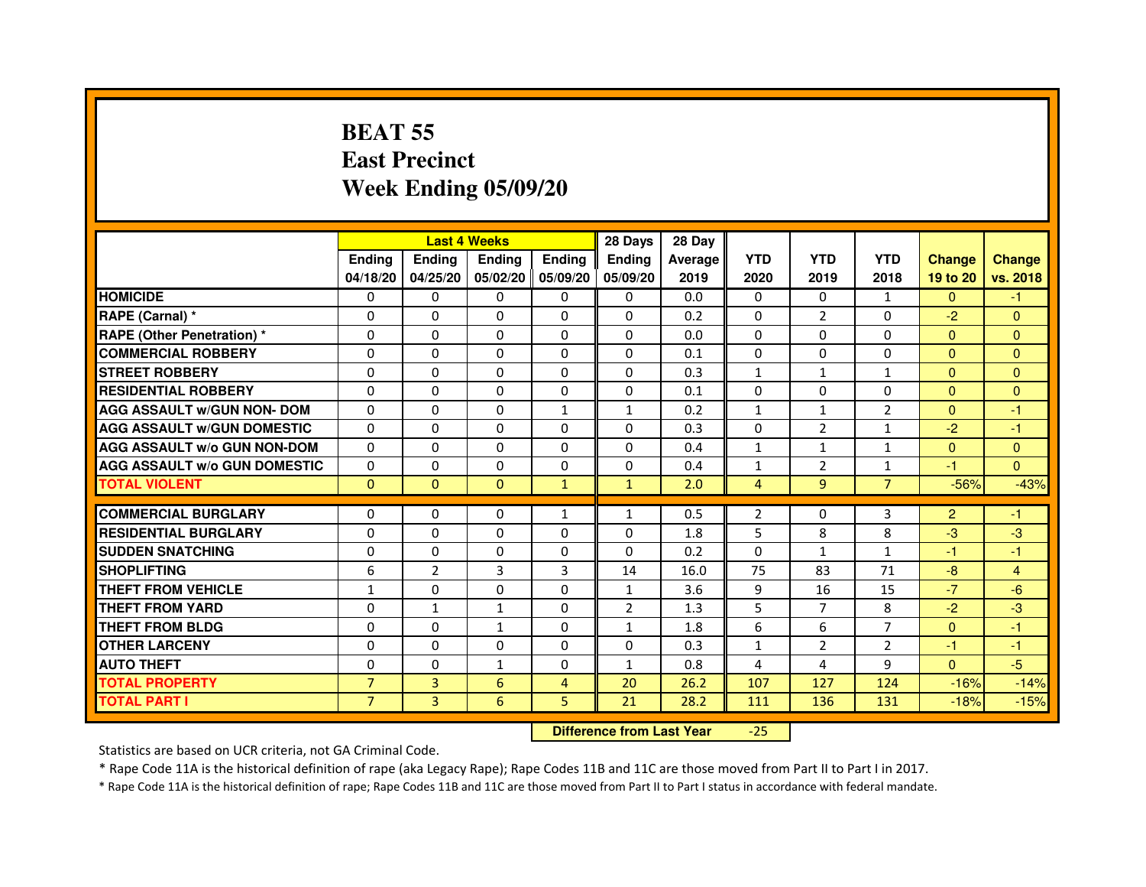# **BEAT 55 East PrecinctWeek Ending 05/09/20**

|                                     |                |                | <b>Last 4 Weeks</b> |                | 28 Days                          | 28 Day  |                |                |                |                |                |
|-------------------------------------|----------------|----------------|---------------------|----------------|----------------------------------|---------|----------------|----------------|----------------|----------------|----------------|
|                                     | <b>Ending</b>  | <b>Ending</b>  | <b>Ending</b>       | <b>Ending</b>  | Ending                           | Average | <b>YTD</b>     | <b>YTD</b>     | <b>YTD</b>     | <b>Change</b>  | <b>Change</b>  |
|                                     | 04/18/20       | 04/25/20       | 05/02/20            | 05/09/20       | 05/09/20                         | 2019    | 2020           | 2019           | 2018           | 19 to 20       | vs. 2018       |
| <b>HOMICIDE</b>                     | $\Omega$       | $\Omega$       | 0                   | $\mathbf{0}$   | 0                                | 0.0     | $\Omega$       | 0              | $\mathbf{1}$   | $\Omega$       | $-1$           |
| RAPE (Carnal) *                     | $\mathbf{0}$   | $\Omega$       | $\Omega$            | $\Omega$       | $\Omega$                         | 0.2     | $\Omega$       | $\overline{2}$ | 0              | $-2$           | $\Omega$       |
| <b>RAPE (Other Penetration) *</b>   | $\Omega$       | $\Omega$       | $\Omega$            | $\Omega$       | $\Omega$                         | 0.0     | $\Omega$       | $\Omega$       | $\Omega$       | $\Omega$       | $\overline{0}$ |
| <b>COMMERCIAL ROBBERY</b>           | $\Omega$       | $\Omega$       | $\Omega$            | $\Omega$       | $\Omega$                         | 0.1     | $\Omega$       | $\Omega$       | $\Omega$       | $\mathbf{0}$   | $\mathbf{0}$   |
| <b>STREET ROBBERY</b>               | $\Omega$       | $\Omega$       | $\Omega$            | $\Omega$       | $\Omega$                         | 0.3     | $\mathbf{1}$   | $\mathbf{1}$   | $\mathbf{1}$   | $\Omega$       | $\overline{0}$ |
| <b>RESIDENTIAL ROBBERY</b>          | $\Omega$       | $\Omega$       | $\Omega$            | $\Omega$       | $\Omega$                         | 0.1     | $\Omega$       | $\Omega$       | $\Omega$       | $\mathbf{0}$   | $\Omega$       |
| <b>AGG ASSAULT w/GUN NON- DOM</b>   | $\Omega$       | $\Omega$       | $\Omega$            | $\mathbf{1}$   | $\mathbf{1}$                     | 0.2     | $\mathbf{1}$   | $\mathbf{1}$   | $\overline{2}$ | $\Omega$       | $-1$           |
| <b>AGG ASSAULT w/GUN DOMESTIC</b>   | $\Omega$       | $\Omega$       | $\Omega$            | $\Omega$       | $\Omega$                         | 0.3     | $\Omega$       | $\overline{2}$ | $\mathbf{1}$   | $-2$           | $-1$           |
| <b>AGG ASSAULT W/o GUN NON-DOM</b>  | $\Omega$       | $\Omega$       | $\Omega$            | $\Omega$       | $\Omega$                         | 0.4     | $\mathbf{1}$   | $\mathbf{1}$   | $\mathbf{1}$   | $\Omega$       | $\overline{0}$ |
| <b>AGG ASSAULT W/o GUN DOMESTIC</b> | $\Omega$       | $\Omega$       | $\Omega$            | $\Omega$       | $\Omega$                         | 0.4     | $\mathbf{1}$   | 2              | 1              | $-1$           | $\Omega$       |
| <b>TOTAL VIOLENT</b>                | $\mathbf{0}$   | $\mathbf{0}$   | $\mathbf{0}$        | $\mathbf{1}$   | $\mathbf{1}$                     | 2.0     | $\overline{4}$ | 9              | $\overline{7}$ | $-56%$         | $-43%$         |
| <b>COMMERCIAL BURGLARY</b>          | $\Omega$       | $\Omega$       | $\Omega$            | $\mathbf{1}$   | $\mathbf{1}$                     | 0.5     | $\overline{2}$ | 0              | 3              | $\overline{2}$ | $-1$           |
| <b>RESIDENTIAL BURGLARY</b>         | $\Omega$       | $\Omega$       | $\Omega$            | $\Omega$       | $\Omega$                         | 1.8     | 5              | 8              | 8              | $-3$           | $-3$           |
| <b>SUDDEN SNATCHING</b>             | $\Omega$       | $\Omega$       | $\Omega$            | $\Omega$       | $\Omega$                         | 0.2     | $\Omega$       | $\mathbf{1}$   | 1              | $-1$           | $-1$           |
| <b>SHOPLIFTING</b>                  | 6              | $\overline{2}$ | 3                   | 3              | 14                               | 16.0    | 75             | 83             | 71             | $-8$           | 4              |
| <b>THEFT FROM VEHICLE</b>           | $\mathbf{1}$   | $\Omega$       | $\Omega$            | $\Omega$       | $\mathbf{1}$                     | 3.6     | 9              | 16             | 15             | $-7$           | $-6$           |
| <b>THEFT FROM YARD</b>              | 0              | $\mathbf{1}$   | $\mathbf{1}$        | 0              | $\overline{2}$                   | 1.3     | 5              | $\overline{7}$ | 8              | $-2$           | $-3$           |
| <b>THEFT FROM BLDG</b>              | $\Omega$       | $\Omega$       | $\mathbf{1}$        | $\Omega$       | $\mathbf{1}$                     | 1.8     | 6              | 6              | 7              | $\Omega$       | $-1$           |
| <b>OTHER LARCENY</b>                | $\mathbf{0}$   | $\Omega$       | $\Omega$            | $\Omega$       | $\Omega$                         | 0.3     | $\mathbf{1}$   | $\overline{2}$ | $\overline{2}$ | $-1$           | $-1$           |
| <b>AUTO THEFT</b>                   | $\Omega$       | $\Omega$       | $\mathbf{1}$        | $\Omega$       | $\mathbf{1}$                     | 0.8     | 4              | 4              | 9              | $\Omega$       | $-5$           |
| <b>TOTAL PROPERTY</b>               | $\overline{7}$ | $\overline{3}$ | 6                   | $\overline{4}$ | 20                               | 26.2    | 107            | 127            | 124            | $-16%$         | $-14%$         |
| <b>TOTAL PART I</b>                 | $\overline{7}$ | $\overline{3}$ | 6                   | 5              | 21                               | 28.2    | 111            | 136            | 131            | $-18%$         | $-15%$         |
|                                     |                |                |                     |                |                                  |         |                |                |                |                |                |
|                                     |                |                |                     |                | <b>Difference from Last Year</b> |         | $-25$          |                |                |                |                |

Statistics are based on UCR criteria, not GA Criminal Code.

\* Rape Code 11A is the historical definition of rape (aka Legacy Rape); Rape Codes 11B and 11C are those moved from Part II to Part I in 2017.